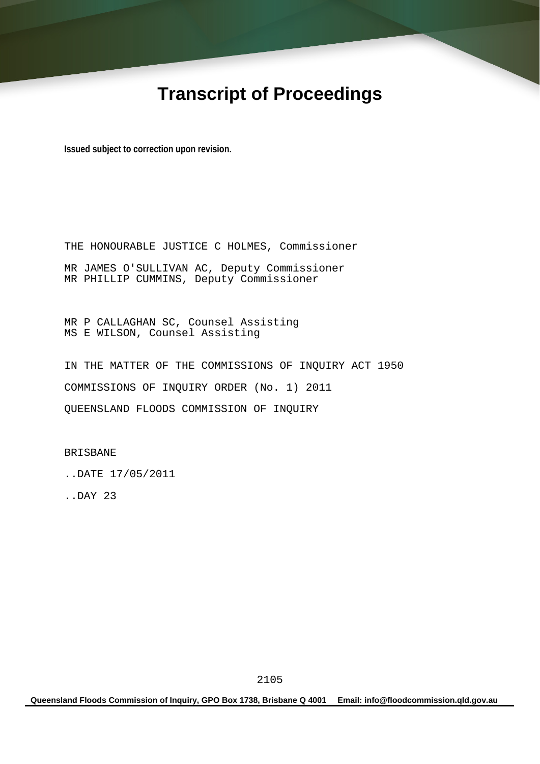# **Transcript of Proceedings**

**Issued subject to correction upon revision.** 

THE HONOURABLE JUSTICE C HOLMES, Commissioner MR JAMES O'SULLIVAN AC, Deputy Commissioner MR PHILLIP CUMMINS, Deputy Commissioner

MR P CALLAGHAN SC, Counsel Assisting MS E WILSON, Counsel Assisting

IN THE MATTER OF THE COMMISSIONS OF INQUIRY ACT 1950 COMMISSIONS OF INQUIRY ORDER (No. 1) 2011 QUEENSLAND FLOODS COMMISSION OF INQUIRY

BRISBANE

..DATE 17/05/2011

..DAY 23

**Queensland Floods Commission of Inquiry, GPO Box 1738, Brisbane Q 4001 Email: info@floodcommission.qld.gov.au**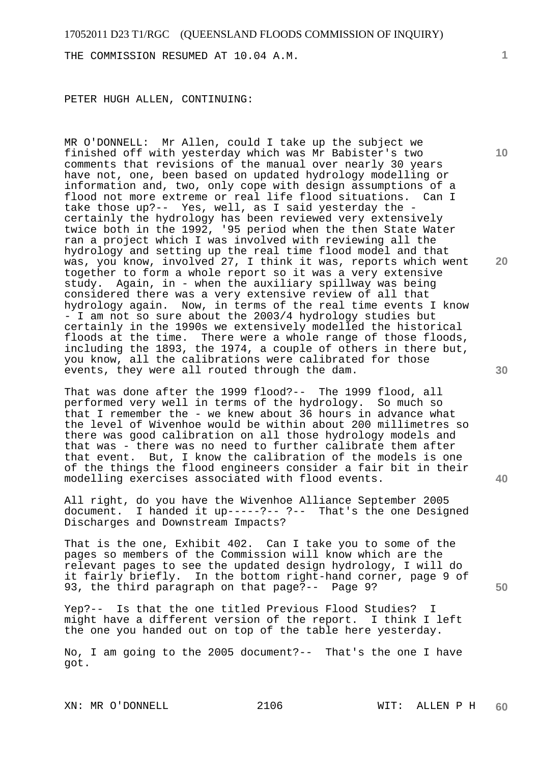THE COMMISSION RESUMED AT 10.04 A.M.

PETER HUGH ALLEN, CONTINUING:

MR O'DONNELL: Mr Allen, could I take up the subject we finished off with yesterday which was Mr Babister's two comments that revisions of the manual over nearly 30 years have not, one, been based on updated hydrology modelling or information and, two, only cope with design assumptions of a flood not more extreme or real life flood situations. Can I take those up?-- Yes, well, as I said yesterday the certainly the hydrology has been reviewed very extensively twice both in the 1992, '95 period when the then State Water ran a project which I was involved with reviewing all the hydrology and setting up the real time flood model and that was, you know, involved 27, I think it was, reports which went together to form a whole report so it was a very extensive study. Again, in - when the auxiliary spillway was being considered there was a very extensive review of all that hydrology again. Now, in terms of the real time events I know - I am not so sure about the 2003/4 hydrology studies but certainly in the 1990s we extensively modelled the historical floods at the time. There were a whole range of those floods, including the 1893, the 1974, a couple of others in there but, you know, all the calibrations were calibrated for those events, they were all routed through the dam.

That was done after the 1999 flood?-- The 1999 flood, all performed very well in terms of the hydrology. So much so that I remember the - we knew about 36 hours in advance what the level of Wivenhoe would be within about 200 millimetres so there was good calibration on all those hydrology models and that was - there was no need to further calibrate them after that event. But, I know the calibration of the models is one of the things the flood engineers consider a fair bit in their modelling exercises associated with flood events.

All right, do you have the Wivenhoe Alliance September 2005 document. I handed it up-----?-- ?-- That's the one Designed Discharges and Downstream Impacts?

That is the one, Exhibit 402. Can I take you to some of the pages so members of the Commission will know which are the relevant pages to see the updated design hydrology, I will do it fairly briefly. In the bottom right-hand corner, page 9 of 93, the third paragraph on that page?-- Page 9?

Yep?-- Is that the one titled Previous Flood Studies? I might have a different version of the report. I think I left the one you handed out on top of the table here yesterday.

No, I am going to the 2005 document?-- That's the one I have got.

**1**

**10** 

**30** 

**20** 

**40**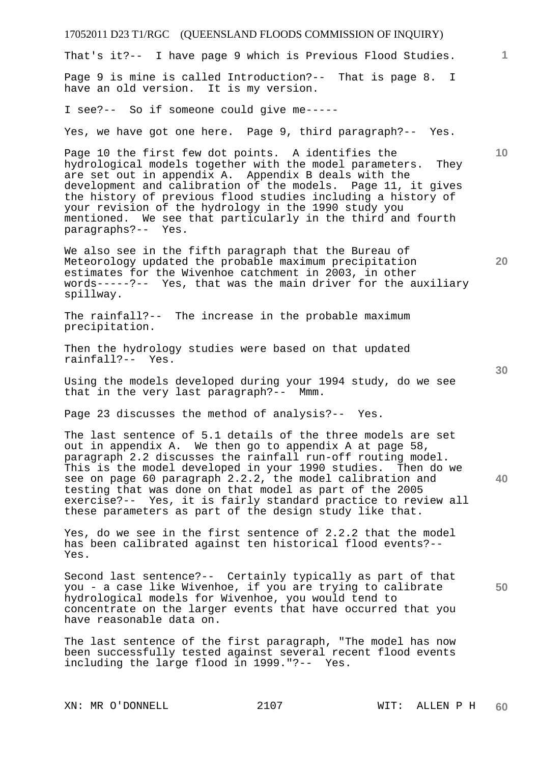17052011 D23 T1/RGC (QUEENSLAND FLOODS COMMISSION OF INQUIRY) **1 10 20 30 40 50**  That's it?-- I have page 9 which is Previous Flood Studies. Page 9 is mine is called Introduction?-- That is page 8. I have an old version. It is my version. I see?-- So if someone could give me----- Yes, we have got one here. Page 9, third paragraph?-- Yes. Page 10 the first few dot points. A identifies the hydrological models together with the model parameters. They are set out in appendix A. Appendix B deals with the development and calibration of the models. Page 11, it gives the history of previous flood studies including a history of your revision of the hydrology in the 1990 study you mentioned. We see that particularly in the third and fourth paragraphs?-- Yes. We also see in the fifth paragraph that the Bureau of Meteorology updated the probable maximum precipitation estimates for the Wivenhoe catchment in 2003, in other words-----?-- Yes, that was the main driver for the auxiliary spillway. The rainfall?-- The increase in the probable maximum precipitation. Then the hydrology studies were based on that updated rainfall?-- Yes. Using the models developed during your 1994 study, do we see that in the very last paragraph?-- Mmm. Page 23 discusses the method of analysis?-- Yes. The last sentence of 5.1 details of the three models are set out in appendix A. We then go to appendix A at page 58, paragraph 2.2 discusses the rainfall run-off routing model. This is the model developed in your 1990 studies. Then do we see on page 60 paragraph 2.2.2, the model calibration and testing that was done on that model as part of the 2005 exercise?-- Yes, it is fairly standard practice to review all these parameters as part of the design study like that. Yes, do we see in the first sentence of 2.2.2 that the model has been calibrated against ten historical flood events?-- Yes. Second last sentence?-- Certainly typically as part of that you - a case like Wivenhoe, if you are trying to calibrate hydrological models for Wivenhoe, you would tend to concentrate on the larger events that have occurred that you have reasonable data on. The last sentence of the first paragraph, "The model has now been successfully tested against several recent flood events including the large flood in 1999."?-- Yes.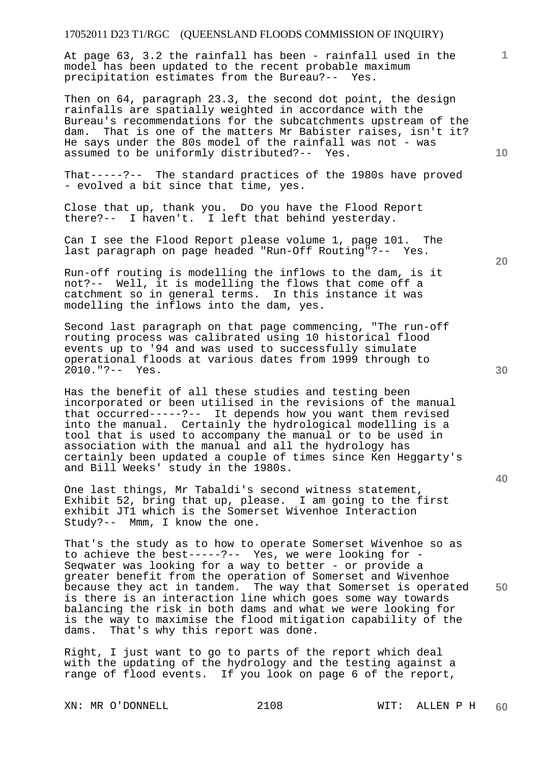At page 63, 3.2 the rainfall has been - rainfall used in the model has been updated to the recent probable maximum precipitation estimates from the Bureau?-- Yes.

Then on 64, paragraph 23.3, the second dot point, the design rainfalls are spatially weighted in accordance with the Bureau's recommendations for the subcatchments upstream of the dam. That is one of the matters Mr Babister raises, isn't it? He says under the 80s model of the rainfall was not - was assumed to be uniformly distributed?-- Yes.

That-----?-- The standard practices of the 1980s have proved - evolved a bit since that time, yes.

Close that up, thank you. Do you have the Flood Report there?-- I haven't. I left that behind yesterday.

Can I see the Flood Report please volume 1, page 101. The last paragraph on page headed "Run-Off Routing"?-- Yes.

Run-off routing is modelling the inflows to the dam, is it not?-- Well, it is modelling the flows that come off a catchment so in general terms. In this instance it was modelling the inflows into the dam, yes.

Second last paragraph on that page commencing, "The run-off routing process was calibrated using 10 historical flood events up to '94 and was used to successfully simulate operational floods at various dates from 1999 through to 2010."?-- Yes.

Has the benefit of all these studies and testing been incorporated or been utilised in the revisions of the manual that occurred-----?-- It depends how you want them revised into the manual. Certainly the hydrological modelling is a tool that is used to accompany the manual or to be used in association with the manual and all the hydrology has certainly been updated a couple of times since Ken Heggarty's and Bill Weeks' study in the 1980s.

One last things, Mr Tabaldi's second witness statement, Exhibit 52, bring that up, please. I am going to the first exhibit JT1 which is the Somerset Wivenhoe Interaction Study?-- Mmm, I know the one.

**50**  That's the study as to how to operate Somerset Wivenhoe so as to achieve the best-----?-- Yes, we were looking for - Seqwater was looking for a way to better - or provide a greater benefit from the operation of Somerset and Wivenhoe because they act in tandem. The way that Somerset is operated is there is an interaction line which goes some way towards balancing the risk in both dams and what we were looking for is the way to maximise the flood mitigation capability of the dams. That's why this report was done.

Right, I just want to go to parts of the report which deal with the updating of the hydrology and the testing against a range of flood events. If you look on page 6 of the report,

XN: MR O'DONNELL 2108 WIT: ALLEN P H

**10** 

**20** 

**1**

**30**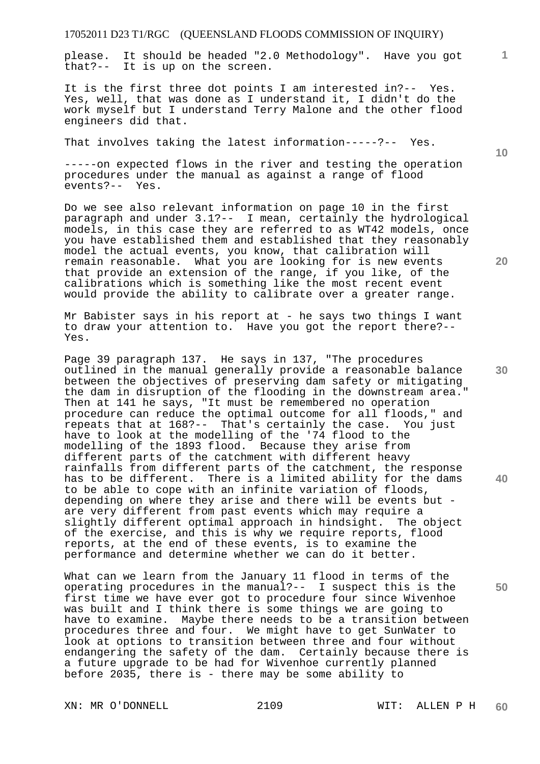please. It should be headed "2.0 Methodology". Have you got that?-- It is up on the screen.

It is the first three dot points I am interested in?-- Yes. Yes, well, that was done as I understand it, I didn't do the work myself but I understand Terry Malone and the other flood engineers did that.

That involves taking the latest information-----?-- Yes.

-----on expected flows in the river and testing the operation procedures under the manual as against a range of flood events?-- Yes.

Do we see also relevant information on page 10 in the first paragraph and under 3.1?-- I mean, certainly the hydrological models, in this case they are referred to as WT42 models, once you have established them and established that they reasonably model the actual events, you know, that calibration will remain reasonable. What you are looking for is new events that provide an extension of the range, if you like, of the calibrations which is something like the most recent event would provide the ability to calibrate over a greater range.

Mr Babister says in his report at - he says two things I want to draw your attention to. Have you got the report there?-- Yes.

Page 39 paragraph 137. He says in 137, "The procedures outlined in the manual generally provide a reasonable balance between the objectives of preserving dam safety or mitigating the dam in disruption of the flooding in the downstream area." Then at 141 he says, "It must be remembered no operation procedure can reduce the optimal outcome for all floods," and repeats that at 168?-- That's certainly the case. You just have to look at the modelling of the '74 flood to the modelling of the 1893 flood. Because they arise from different parts of the catchment with different heavy rainfalls from different parts of the catchment, the response has to be different. There is a limited ability for the dams to be able to cope with an infinite variation of floods, depending on where they arise and there will be events but are very different from past events which may require a slightly different optimal approach in hindsight. The object of the exercise, and this is why we require reports, flood reports, at the end of these events, is to examine the performance and determine whether we can do it better.

What can we learn from the January 11 flood in terms of the operating procedures in the manual?-- I suspect this is the first time we have ever got to procedure four since Wivenhoe was built and I think there is some things we are going to have to examine. Maybe there needs to be a transition between procedures three and four. We might have to get SunWater to look at options to transition between three and four without endangering the safety of the dam. Certainly because there is a future upgrade to be had for Wivenhoe currently planned before 2035, there is - there may be some ability to

XN: MR O'DONNELL 2109 WIT: ALLEN P H

**10** 

**20** 

**1**

**30** 

**40**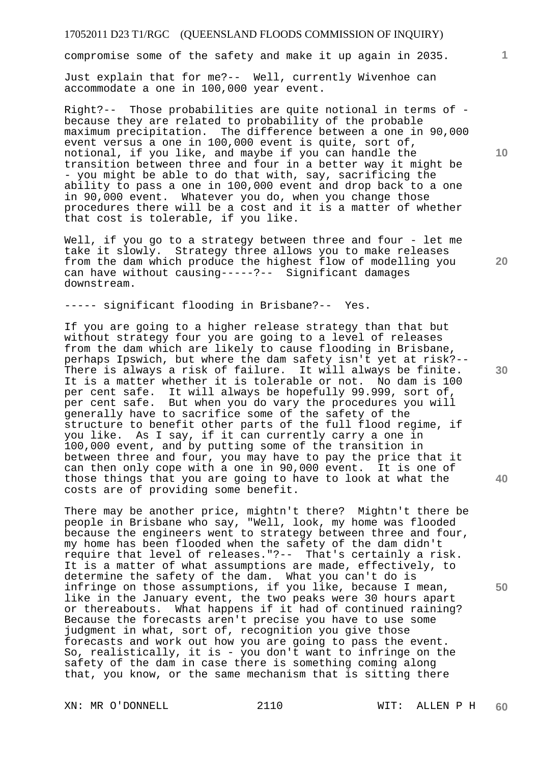compromise some of the safety and make it up again in 2035.

Just explain that for me?-- Well, currently Wivenhoe can accommodate a one in 100,000 year event.

Right?-- Those probabilities are quite notional in terms of because they are related to probability of the probable maximum precipitation. The difference between a one in 90,000 event versus a one in 100,000 event is quite, sort of, notional, if you like, and maybe if you can handle the transition between three and four in a better way it might be - you might be able to do that with, say, sacrificing the ability to pass a one in 100,000 event and drop back to a one in 90,000 event. Whatever you do, when you change those procedures there will be a cost and it is a matter of whether that cost is tolerable, if you like.

Well, if you go to a strategy between three and four - let me take it slowly. Strategy three allows you to make releases from the dam which produce the highest flow of modelling you can have without causing-----?-- Significant damages downstream.

----- significant flooding in Brisbane?-- Yes.

If you are going to a higher release strategy than that but without strategy four you are going to a level of releases from the dam which are likely to cause flooding in Brisbane, perhaps Ipswich, but where the dam safety isn't yet at risk?-- There is always a risk of failure. It will always be finite. It is a matter whether it is tolerable or not. No dam is 100 per cent safe. It will always be hopefully 99.999, sort of, per cent safe. But when you do vary the procedures you will generally have to sacrifice some of the safety of the structure to benefit other parts of the full flood regime, if you like. As I say, if it can currently carry a one in 100,000 event, and by putting some of the transition in between three and four, you may have to pay the price that it can then only cope with a one in 90,000 event. It is one of those things that you are going to have to look at what the costs are of providing some benefit.

There may be another price, mightn't there? Mightn't there be people in Brisbane who say, "Well, look, my home was flooded because the engineers went to strategy between three and four, my home has been flooded when the safety of the dam didn't require that level of releases."?-- That's certainly a risk. It is a matter of what assumptions are made, effectively, to determine the safety of the dam. What you can't do is infringe on those assumptions, if you like, because I mean, like in the January event, the two peaks were 30 hours apart or thereabouts. What happens if it had of continued raining? Because the forecasts aren't precise you have to use some judgment in what, sort of, recognition you give those forecasts and work out how you are going to pass the event. So, realistically, it is - you don't want to infringe on the safety of the dam in case there is something coming along that, you know, or the same mechanism that is sitting there

XN: MR O'DONNELL 2110 WIT: ALLEN P H

**10** 

**1**

**20** 

**30** 

**40**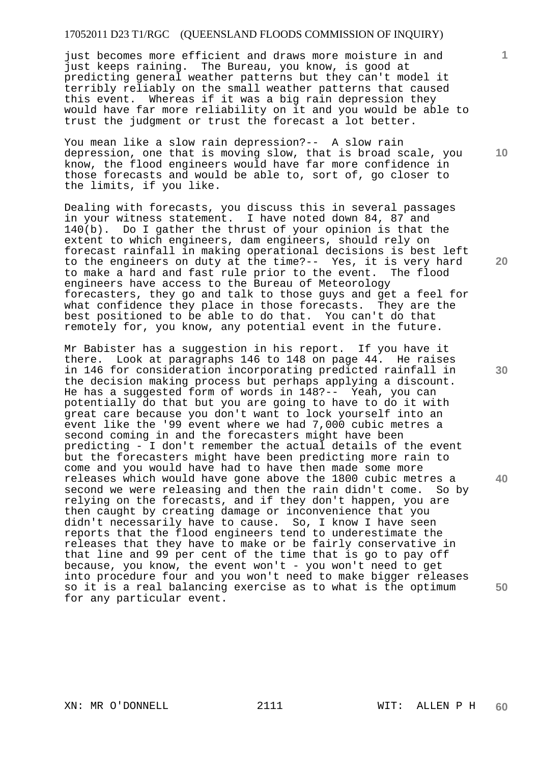just becomes more efficient and draws more moisture in and just keeps raining. The Bureau, you know, is good at predicting general weather patterns but they can't model it terribly reliably on the small weather patterns that caused this event. Whereas if it was a big rain depression they would have far more reliability on it and you would be able to trust the judgment or trust the forecast a lot better.

You mean like a slow rain depression?-- A slow rain depression, one that is moving slow, that is broad scale, you know, the flood engineers would have far more confidence in those forecasts and would be able to, sort of, go closer to the limits, if you like.

Dealing with forecasts, you discuss this in several passages in your witness statement. I have noted down 84, 87 and 140(b). Do I gather the thrust of your opinion is that the extent to which engineers, dam engineers, should rely on forecast rainfall in making operational decisions is best left to the engineers on duty at the time?-- Yes, it is very hard<br>to make a hard and fast rule prior to the event. The flood to make a hard and fast rule prior to the event. engineers have access to the Bureau of Meteorology forecasters, they go and talk to those guys and get a feel for what confidence they place in those forecasts. They are the best positioned to be able to do that. You can't do that remotely for, you know, any potential event in the future.

Mr Babister has a suggestion in his report. If you have it there. Look at paragraphs 146 to 148 on page 44. He raises in 146 for consideration incorporating predicted rainfall in the decision making process but perhaps applying a discount. He has a suggested form of words in 148?-- Yeah, you can potentially do that but you are going to have to do it with great care because you don't want to lock yourself into an event like the '99 event where we had 7,000 cubic metres a second coming in and the forecasters might have been predicting - I don't remember the actual details of the event but the forecasters might have been predicting more rain to come and you would have had to have then made some more releases which would have gone above the 1800 cubic metres a second we were releasing and then the rain didn't come. So by relying on the forecasts, and if they don't happen, you are then caught by creating damage or inconvenience that you didn't necessarily have to cause. So, I know I have seen reports that the flood engineers tend to underestimate the releases that they have to make or be fairly conservative in that line and 99 per cent of the time that is go to pay off because, you know, the event won't - you won't need to get into procedure four and you won't need to make bigger releases so it is a real balancing exercise as to what is the optimum for any particular event.

**20** 

**1**

**10** 

**30** 

**40**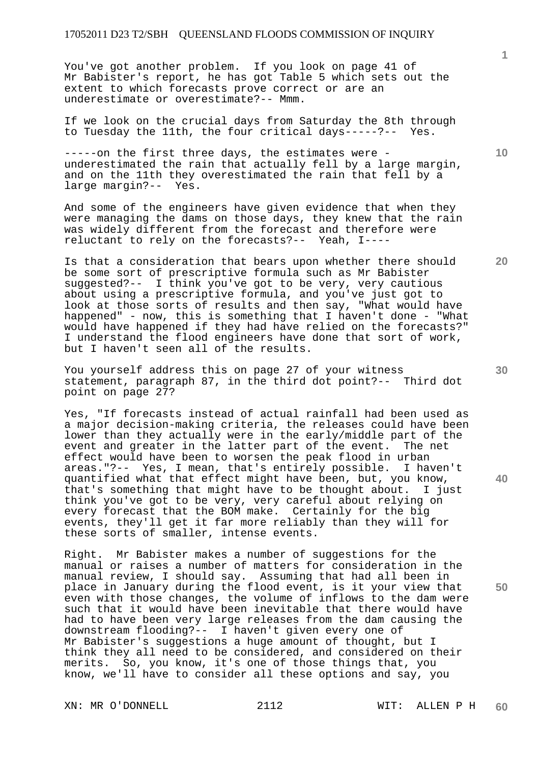You've got another problem. If you look on page 41 of Mr Babister's report, he has got Table 5 which sets out the extent to which forecasts prove correct or are an underestimate or overestimate?-- Mmm.

If we look on the crucial days from Saturday the 8th through to Tuesday the 11th, the four critical days-----?-- Yes.

-----on the first three days, the estimates were underestimated the rain that actually fell by a large margin, and on the 11th they overestimated the rain that fell by a large margin?-- Yes.

And some of the engineers have given evidence that when they were managing the dams on those days, they knew that the rain was widely different from the forecast and therefore were reluctant to rely on the forecasts?-- Yeah, I----

Is that a consideration that bears upon whether there should be some sort of prescriptive formula such as Mr Babister suggested?-- I think you've got to be very, very cautious about using a prescriptive formula, and you've just got to look at those sorts of results and then say, "What would have happened" - now, this is something that I haven't done - "What would have happened if they had have relied on the forecasts?" I understand the flood engineers have done that sort of work, but I haven't seen all of the results.

You yourself address this on page 27 of your witness statement, paragraph 87, in the third dot point?-- Third dot point on page 27?

Yes, "If forecasts instead of actual rainfall had been used as a major decision-making criteria, the releases could have been lower than they actually were in the early/middle part of the event and greater in the latter part of the event. The net effect would have been to worsen the peak flood in urban areas."?-- Yes, I mean, that's entirely possible. I haven't quantified what that effect might have been, but, you know, that's something that might have to be thought about. I just think you've got to be very, very careful about relying on every forecast that the BOM make. Certainly for the big events, they'll get it far more reliably than they will for these sorts of smaller, intense events.

Right. Mr Babister makes a number of suggestions for the manual or raises a number of matters for consideration in the manual review, I should say. Assuming that had all been in place in January during the flood event, is it your view that even with those changes, the volume of inflows to the dam were such that it would have been inevitable that there would have had to have been very large releases from the dam causing the downstream flooding?-- I haven't given every one of Mr Babister's suggestions a huge amount of thought, but I think they all need to be considered, and considered on their merits. So, you know, it's one of those things that, you know, we'll have to consider all these options and say, you

XN: MR O'DONNELL 2112 WIT: ALLEN P H

**10** 

**30** 

**40** 

**50**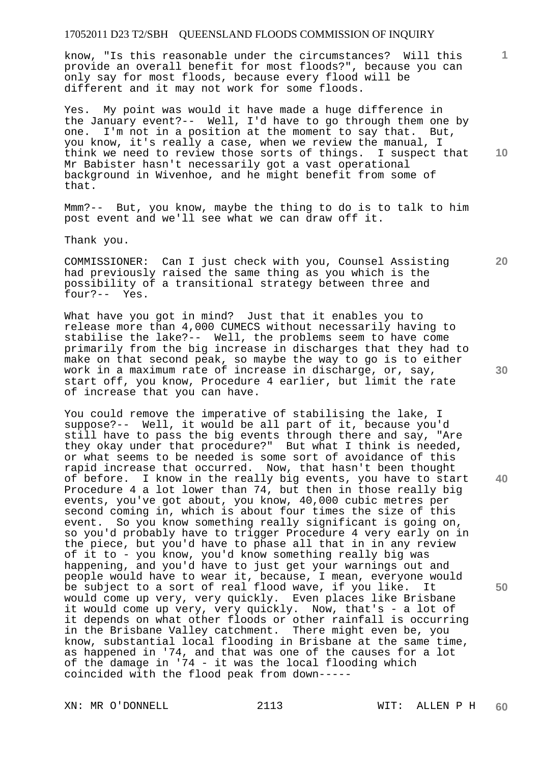know, "Is this reasonable under the circumstances? Will this provide an overall benefit for most floods?", because you can only say for most floods, because every flood will be different and it may not work for some floods.

Yes. My point was would it have made a huge difference in the January event?-- Well, I'd have to go through them one by one. I'm not in a position at the moment to say that. But, you know, it's really a case, when we review the manual, I think we need to review those sorts of things. I suspect that Mr Babister hasn't necessarily got a vast operational background in Wivenhoe, and he might benefit from some of that.

Mmm?-- But, you know, maybe the thing to do is to talk to him post event and we'll see what we can draw off it.

Thank you.

COMMISSIONER: Can I just check with you, Counsel Assisting had previously raised the same thing as you which is the possibility of a transitional strategy between three and four?-- Yes.

What have you got in mind? Just that it enables you to release more than 4,000 CUMECS without necessarily having to stabilise the lake?-- Well, the problems seem to have come primarily from the big increase in discharges that they had to make on that second peak, so maybe the way to go is to either work in a maximum rate of increase in discharge, or, say, start off, you know, Procedure 4 earlier, but limit the rate of increase that you can have.

You could remove the imperative of stabilising the lake, I suppose?-- Well, it would be all part of it, because you'd still have to pass the big events through there and say, "Are they okay under that procedure?" But what I think is needed, or what seems to be needed is some sort of avoidance of this rapid increase that occurred. Now, that hasn't been thought of before. I know in the really big events, you have to start Procedure 4 a lot lower than 74, but then in those really big events, you've got about, you know, 40,000 cubic metres per second coming in, which is about four times the size of this event. So you know something really significant is going on, so you'd probably have to trigger Procedure 4 very early on in the piece, but you'd have to phase all that in in any review of it to - you know, you'd know something really big was happening, and you'd have to just get your warnings out and people would have to wear it, because, I mean, everyone would be subject to a sort of real flood wave, if you like. It would come up very, very quickly. Even places like Brisbane it would come up very, very quickly. Now, that's - a lot of it depends on what other floods or other rainfall is occurring in the Brisbane Valley catchment. There might even be, you know, substantial local flooding in Brisbane at the same time, as happened in '74, and that was one of the causes for a lot of the damage in '74 - it was the local flooding which coincided with the flood peak from down-----

**30** 

**40** 

**50** 

**20** 

**1**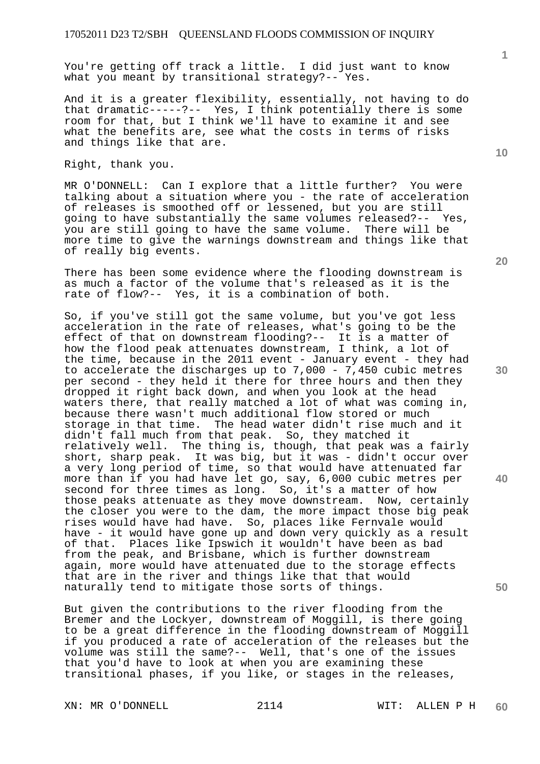You're getting off track a little. I did just want to know what you meant by transitional strategy?-- Yes.

And it is a greater flexibility, essentially, not having to do that dramatic-----?-- Yes, I think potentially there is some room for that, but I think we'll have to examine it and see what the benefits are, see what the costs in terms of risks and things like that are.

Right, thank you.

MR O'DONNELL: Can I explore that a little further? You were talking about a situation where you - the rate of acceleration of releases is smoothed off or lessened, but you are still going to have substantially the same volumes released?-- Yes, you are still going to have the same volume. There will be more time to give the warnings downstream and things like that of really big events.

There has been some evidence where the flooding downstream is as much a factor of the volume that's released as it is the rate of flow?-- Yes, it is a combination of both.

So, if you've still got the same volume, but you've got less acceleration in the rate of releases, what's going to be the effect of that on downstream flooding?-- It is a matter of how the flood peak attenuates downstream, I think, a lot of the time, because in the 2011 event - January event - they had to accelerate the discharges up to 7,000 - 7,450 cubic metres per second - they held it there for three hours and then they dropped it right back down, and when you look at the head waters there, that really matched a lot of what was coming in, because there wasn't much additional flow stored or much storage in that time. The head water didn't rise much and it didn't fall much from that peak. So, they matched it relatively well. The thing is, though, that peak was a fairly short, sharp peak. It was big, but it was - didn't occur over a very long period of time, so that would have attenuated far more than if you had have let go, say, 6,000 cubic metres per second for three times as long. So, it's a matter of how those peaks attenuate as they move downstream. Now, certainly the closer you were to the dam, the more impact those big peak rises would have had have. So, places like Fernvale would have - it would have gone up and down very quickly as a result of that. Places like Ipswich it wouldn't have been as bad from the peak, and Brisbane, which is further downstream again, more would have attenuated due to the storage effects that are in the river and things like that that would naturally tend to mitigate those sorts of things.

But given the contributions to the river flooding from the Bremer and the Lockyer, downstream of Moggill, is there going to be a great difference in the flooding downstream of Moggill if you produced a rate of acceleration of the releases but the volume was still the same?-- Well, that's one of the issues that you'd have to look at when you are examining these transitional phases, if you like, or stages in the releases,

XN: MR O'DONNELL 2114 WIT: ALLEN P H

**10** 

**1**

**30** 

**20**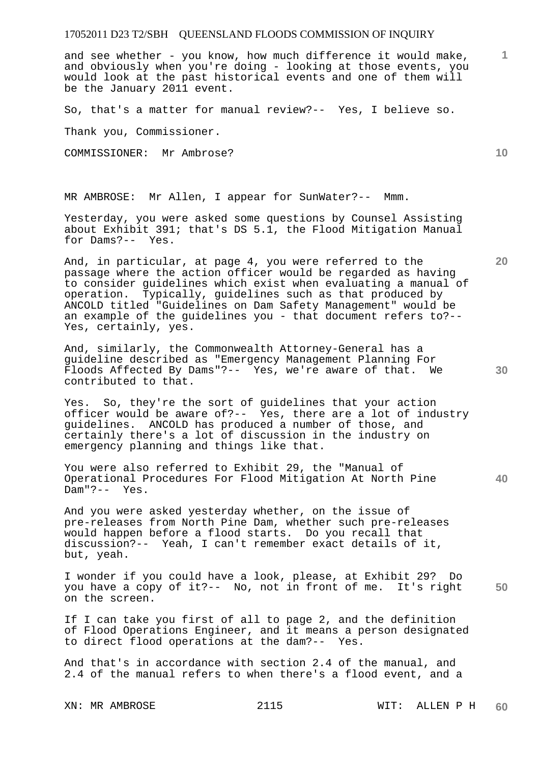and see whether - you know, how much difference it would make, and obviously when you're doing - looking at those events, you would look at the past historical events and one of them will be the January 2011 event.

So, that's a matter for manual review?-- Yes, I believe so.

Thank you, Commissioner.

COMMISSIONER: Mr Ambrose?

MR AMBROSE: Mr Allen, I appear for SunWater?-- Mmm.

Yesterday, you were asked some questions by Counsel Assisting about Exhibit 391; that's DS 5.1, the Flood Mitigation Manual for Dams?-- Yes.

And, in particular, at page 4, you were referred to the passage where the action officer would be regarded as having to consider guidelines which exist when evaluating a manual of operation. Typically, guidelines such as that produced by ANCOLD titled "Guidelines on Dam Safety Management" would be an example of the guidelines you - that document refers to?-- Yes, certainly, yes.

And, similarly, the Commonwealth Attorney-General has a guideline described as "Emergency Management Planning For Floods Affected By Dams"?-- Yes, we're aware of that. We contributed to that.

Yes. So, they're the sort of guidelines that your action officer would be aware of?-- Yes, there are a lot of industry guidelines. ANCOLD has produced a number of those, and certainly there's a lot of discussion in the industry on emergency planning and things like that.

You were also referred to Exhibit 29, the "Manual of Operational Procedures For Flood Mitigation At North Pine Dam"?-- Yes.

And you were asked yesterday whether, on the issue of pre-releases from North Pine Dam, whether such pre-releases would happen before a flood starts. Do you recall that discussion?-- Yeah, I can't remember exact details of it, but, yeah.

**50**  I wonder if you could have a look, please, at Exhibit 29? Do you have a copy of it?-- No, not in front of me. It's right on the screen.

If I can take you first of all to page 2, and the definition of Flood Operations Engineer, and it means a person designated to direct flood operations at the dam?-- Yes.

And that's in accordance with section 2.4 of the manual, and 2.4 of the manual refers to when there's a flood event, and a

**10** 

**1**

**20**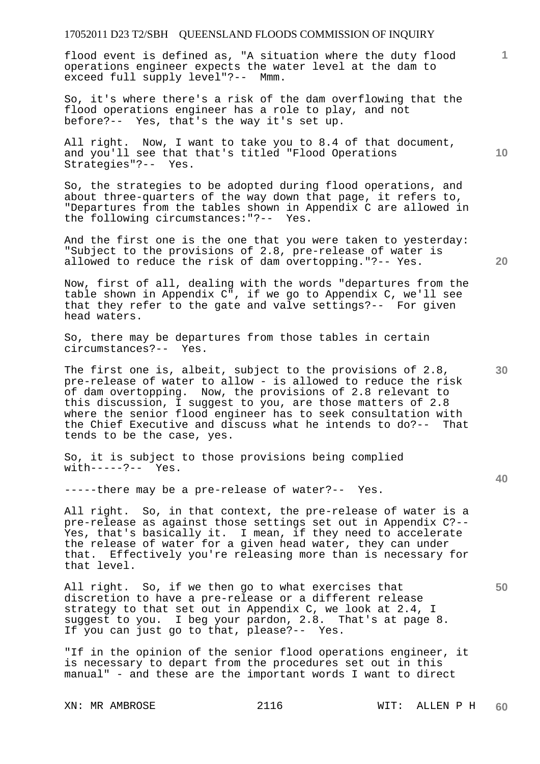flood event is defined as, "A situation where the duty flood operations engineer expects the water level at the dam to exceed full supply level"?-- Mmm.

So, it's where there's a risk of the dam overflowing that the flood operations engineer has a role to play, and not before?-- Yes, that's the way it's set up.

All right. Now, I want to take you to 8.4 of that document, and you'll see that that's titled "Flood Operations Strategies"?-- Yes.

So, the strategies to be adopted during flood operations, and about three-quarters of the way down that page, it refers to, "Departures from the tables shown in Appendix C are allowed in the following circumstances:"?-- Yes.

And the first one is the one that you were taken to yesterday: "Subject to the provisions of 2.8, pre-release of water is allowed to reduce the risk of dam overtopping."?-- Yes.

Now, first of all, dealing with the words "departures from the table shown in Appendix C", if we go to Appendix C, we'll see that they refer to the gate and valve settings?-- For given head waters.

So, there may be departures from those tables in certain circumstances?-- Yes.

The first one is, albeit, subject to the provisions of 2.8, pre-release of water to allow - is allowed to reduce the risk of dam overtopping. Now, the provisions of 2.8 relevant to this discussion, I suggest to you, are those matters of 2.8 where the senior flood engineer has to seek consultation with the Chief Executive and discuss what he intends to do?-- That tends to be the case, yes.

So, it is subject to those provisions being complied with-----?-- Yes.

-----there may be a pre-release of water?-- Yes.

All right. So, in that context, the pre-release of water is a pre-release as against those settings set out in Appendix C?-- Yes, that's basically it. I mean, if they need to accelerate the release of water for a given head water, they can under that. Effectively you're releasing more than is necessary for that level.

All right. So, if we then go to what exercises that discretion to have a pre-release or a different release strategy to that set out in Appendix C, we look at 2.4, I suggest to you. I beg your pardon, 2.8. That's at page 8. If you can just go to that, please?-- Yes.

"If in the opinion of the senior flood operations engineer, it is necessary to depart from the procedures set out in this manual" - and these are the important words I want to direct

**10** 

**20** 

**1**

**30**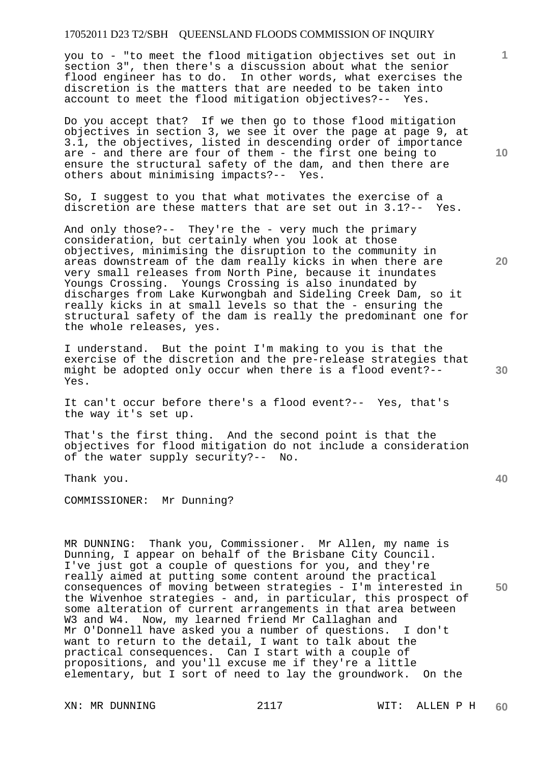you to - "to meet the flood mitigation objectives set out in section 3", then there's a discussion about what the senior flood engineer has to do. In other words, what exercises the discretion is the matters that are needed to be taken into account to meet the flood mitigation objectives?-- Yes.

Do you accept that? If we then go to those flood mitigation objectives in section 3, we see it over the page at page 9, at 3.1, the objectives, listed in descending order of importance are - and there are four of them - the first one being to ensure the structural safety of the dam, and then there are others about minimising impacts?-- Yes.

So, I suggest to you that what motivates the exercise of a discretion are these matters that are set out in 3.1?-- Yes.

And only those?-- They're the - very much the primary consideration, but certainly when you look at those objectives, minimising the disruption to the community in areas downstream of the dam really kicks in when there are very small releases from North Pine, because it inundates Youngs Crossing. Youngs Crossing is also inundated by discharges from Lake Kurwongbah and Sideling Creek Dam, so it really kicks in at small levels so that the - ensuring the structural safety of the dam is really the predominant one for the whole releases, yes.

I understand. But the point I'm making to you is that the exercise of the discretion and the pre-release strategies that might be adopted only occur when there is a flood event?-- Yes.

It can't occur before there's a flood event?-- Yes, that's the way it's set up.

That's the first thing. And the second point is that the objectives for flood mitigation do not include a consideration of the water supply security?-- No.

Thank you.

COMMISSIONER: Mr Dunning?

**50**  MR DUNNING: Thank you, Commissioner. Mr Allen, my name is Dunning, I appear on behalf of the Brisbane City Council. I've just got a couple of questions for you, and they're really aimed at putting some content around the practical consequences of moving between strategies - I'm interested in the Wivenhoe strategies - and, in particular, this prospect of some alteration of current arrangements in that area between W3 and W4. Now, my learned friend Mr Callaghan and Mr O'Donnell have asked you a number of questions. I don't want to return to the detail, I want to talk about the practical consequences. Can I start with a couple of propositions, and you'll excuse me if they're a little elementary, but I sort of need to lay the groundwork. On the

**10** 

**1**

**20** 

**40**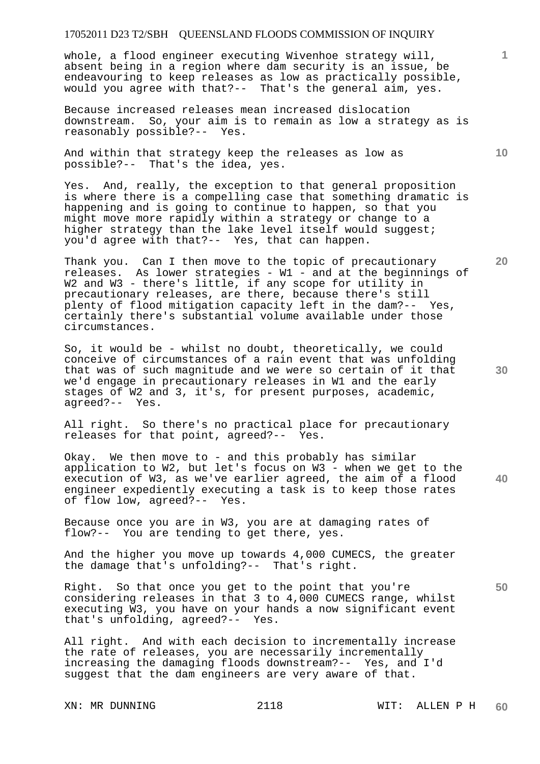whole, a flood engineer executing Wivenhoe strategy will, absent being in a region where dam security is an issue, be endeavouring to keep releases as low as practically possible, would you agree with that?-- That's the general aim, yes.

Because increased releases mean increased dislocation downstream. So, your aim is to remain as low a strategy as is reasonably possible?-- Yes.

And within that strategy keep the releases as low as possible?-- That's the idea, yes.

Yes. And, really, the exception to that general proposition is where there is a compelling case that something dramatic is happening and is going to continue to happen, so that you might move more rapidly within a strategy or change to a higher strategy than the lake level itself would suggest; you'd agree with that?-- Yes, that can happen.

Thank you. Can I then move to the topic of precautionary releases. As lower strategies - W1 - and at the beginnings of W2 and W3 - there's little, if any scope for utility in precautionary releases, are there, because there's still plenty of flood mitigation capacity left in the dam?-- Yes, certainly there's substantial volume available under those circumstances.

So, it would be - whilst no doubt, theoretically, we could conceive of circumstances of a rain event that was unfolding that was of such magnitude and we were so certain of it that we'd engage in precautionary releases in W1 and the early stages of W2 and 3, it's, for present purposes, academic, agreed?-- Yes.

All right. So there's no practical place for precautionary releases for that point, agreed?-- Yes.

Okay. We then move to - and this probably has similar application to W2, but let's focus on W3 - when we get to the execution of W3, as we've earlier agreed, the aim of a flood engineer expediently executing a task is to keep those rates of flow low, agreed?-- Yes.

Because once you are in W3, you are at damaging rates of flow?-- You are tending to get there, yes.

And the higher you move up towards 4,000 CUMECS, the greater the damage that's unfolding?-- That's right.

Right. So that once you get to the point that you're considering releases in that 3 to 4,000 CUMECS range, whilst executing W3, you have on your hands a now significant event that's unfolding, agreed?-- Yes.

All right. And with each decision to incrementally increase the rate of releases, you are necessarily incrementally increasing the damaging floods downstream?-- Yes, and I'd suggest that the dam engineers are very aware of that.

**10** 

**1**

**20** 

**50**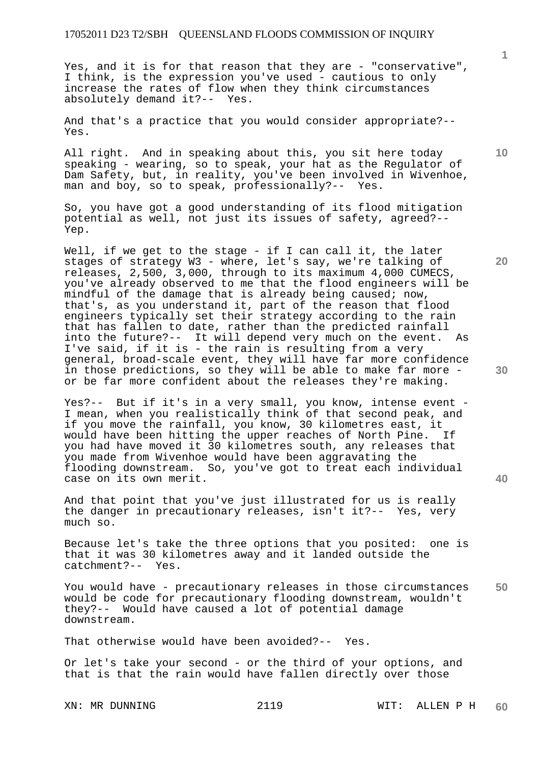Yes, and it is for that reason that they are - "conservative", I think, is the expression you've used - cautious to only increase the rates of flow when they think circumstances absolutely demand it?-- Yes.

And that's a practice that you would consider appropriate?-- Yes.

All right. And in speaking about this, you sit here today speaking - wearing, so to speak, your hat as the Regulator of Dam Safety, but, in reality, you've been involved in Wivenhoe, man and boy, so to speak, professionally?-- Yes.

So, you have got a good understanding of its flood mitigation potential as well, not just its issues of safety, agreed?-- Yep.

Well, if we get to the stage - if I can call it, the later stages of strategy W3 - where, let's say, we're talking of releases, 2,500, 3,000, through to its maximum 4,000 CUMECS, you've already observed to me that the flood engineers will be mindful of the damage that is already being caused; now, that's, as you understand it, part of the reason that flood engineers typically set their strategy according to the rain that has fallen to date, rather than the predicted rainfall into the future?-- It will depend very much on the event. As I've said, if it is - the rain is resulting from a very general, broad-scale event, they will have far more confidence in those predictions, so they will be able to make far more or be far more confident about the releases they're making.

Yes?-- But if it's in a very small, you know, intense event - I mean, when you realistically think of that second peak, and if you move the rainfall, you know, 30 kilometres east, it would have been hitting the upper reaches of North Pine. If you had have moved it 30 kilometres south, any releases that you made from Wivenhoe would have been aggravating the flooding downstream. So, you've got to treat each individual case on its own merit.

And that point that you've just illustrated for us is really the danger in precautionary releases, isn't it?-- Yes, very much so.

Because let's take the three options that you posited: one is that it was 30 kilometres away and it landed outside the catchment?-- Yes.

**50**  You would have - precautionary releases in those circumstances would be code for precautionary flooding downstream, wouldn't they?-- Would have caused a lot of potential damage downstream.

That otherwise would have been avoided?-- Yes.

Or let's take your second - or the third of your options, and that is that the rain would have fallen directly over those

**1**

**10** 

**30**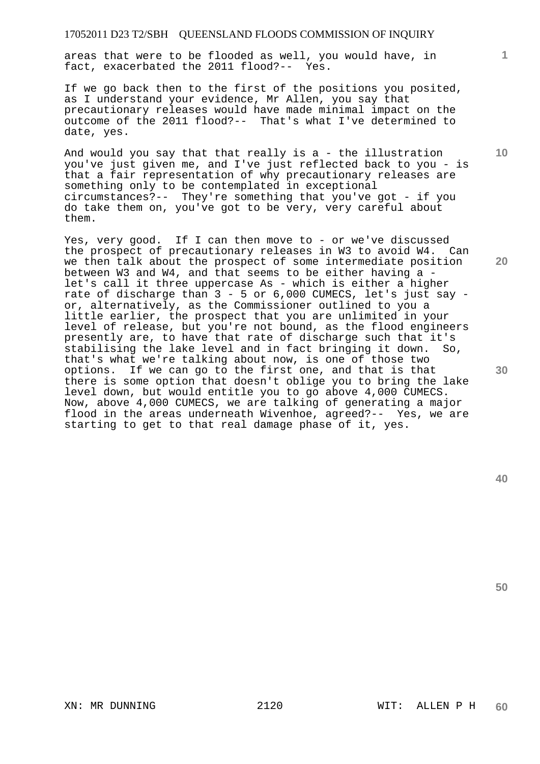areas that were to be flooded as well, you would have, in fact, exacerbated the 2011 flood?-- Yes.

If we go back then to the first of the positions you posited, as I understand your evidence, Mr Allen, you say that precautionary releases would have made minimal impact on the outcome of the 2011 flood?-- That's what I've determined to date, yes.

And would you say that that really is a - the illustration you've just given me, and I've just reflected back to you - is that a fair representation of why precautionary releases are something only to be contemplated in exceptional circumstances?-- They're something that you've got - if you do take them on, you've got to be very, very careful about them.

Yes, very good. If I can then move to - or we've discussed the prospect of precautionary releases in W3 to avoid W4. Can we then talk about the prospect of some intermediate position between W3 and W4, and that seems to be either having a let's call it three uppercase As - which is either a higher rate of discharge than 3 - 5 or 6,000 CUMECS, let's just say or, alternatively, as the Commissioner outlined to you a little earlier, the prospect that you are unlimited in your level of release, but you're not bound, as the flood engineers presently are, to have that rate of discharge such that it's stabilising the lake level and in fact bringing it down. So, that's what we're talking about now, is one of those two options. If we can go to the first one, and that is that there is some option that doesn't oblige you to bring the lake level down, but would entitle you to go above 4,000 CUMECS. Now, above 4,000 CUMECS, we are talking of generating a major flood in the areas underneath Wivenhoe, agreed?-- Yes, we are starting to get to that real damage phase of it, yes.

**50** 

**30** 

**1**

**10**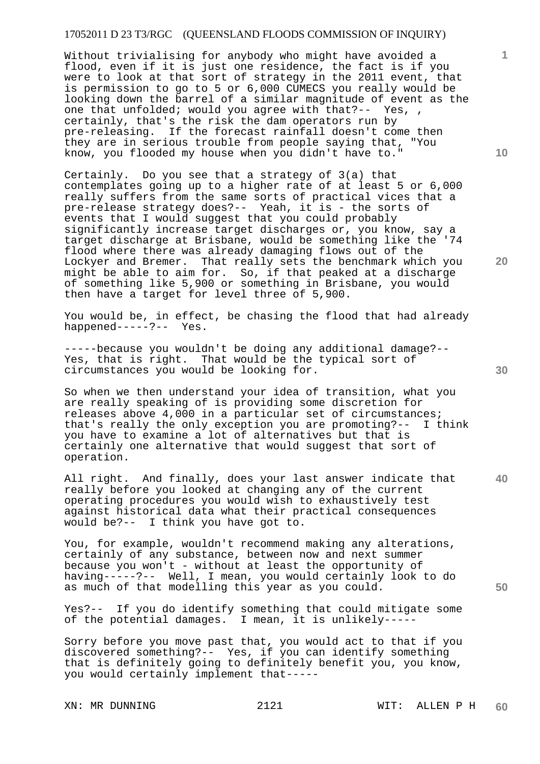Without trivialising for anybody who might have avoided a flood, even if it is just one residence, the fact is if you were to look at that sort of strategy in the 2011 event, that is permission to go to 5 or 6,000 CUMECS you really would be looking down the barrel of a similar magnitude of event as the one that unfolded; would you agree with that?-- Yes, , certainly, that's the risk the dam operators run by pre-releasing. If the forecast rainfall doesn't come then they are in serious trouble from people saying that, "You know, you flooded my house when you didn't have to."

Certainly. Do you see that a strategy of 3(a) that contemplates going up to a higher rate of at least 5 or 6,000 really suffers from the same sorts of practical vices that a pre-release strategy does?-- Yeah, it is - the sorts of events that I would suggest that you could probably significantly increase target discharges or, you know, say a target discharge at Brisbane, would be something like the '74 flood where there was already damaging flows out of the Lockyer and Bremer. That really sets the benchmark which you might be able to aim for. So, if that peaked at a discharge of something like 5,900 or something in Brisbane, you would then have a target for level three of 5,900.

You would be, in effect, be chasing the flood that had already happened-----?-- Yes.

-----because you wouldn't be doing any additional damage?-- Yes, that is right. That would be the typical sort of circumstances you would be looking for.

So when we then understand your idea of transition, what you are really speaking of is providing some discretion for releases above 4,000 in a particular set of circumstances; that's really the only exception you are promoting?-- I think you have to examine a lot of alternatives but that is certainly one alternative that would suggest that sort of operation.

**40**  All right. And finally, does your last answer indicate that really before you looked at changing any of the current operating procedures you would wish to exhaustively test against historical data what their practical consequences would be?-- I think you have got to.

You, for example, wouldn't recommend making any alterations, certainly of any substance, between now and next summer because you won't - without at least the opportunity of having-----?-- Well, I mean, you would certainly look to do as much of that modelling this year as you could.

Yes?-- If you do identify something that could mitigate some of the potential damages. I mean, it is unlikely-----

Sorry before you move past that, you would act to that if you discovered something?-- Yes, if you can identify something that is definitely going to definitely benefit you, you know, you would certainly implement that-----

**10** 

**1**

**20**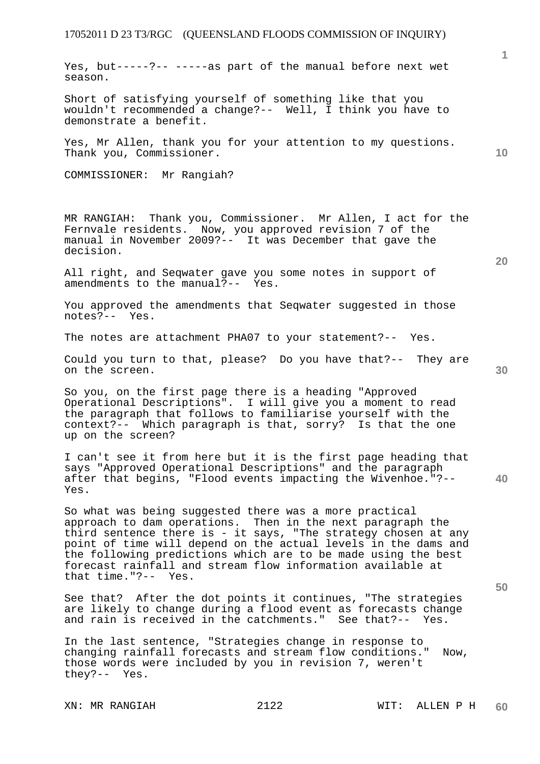Yes, but-----?-- -----as part of the manual before next wet season.

Short of satisfying yourself of something like that you wouldn't recommended a change?-- Well, I think you have to demonstrate a benefit.

Yes, Mr Allen, thank you for your attention to my questions. Thank you, Commissioner.

COMMISSIONER: Mr Rangiah?

MR RANGIAH: Thank you, Commissioner. Mr Allen, I act for the Fernvale residents. Now, you approved revision 7 of the manual in November 2009?-- It was December that gave the decision.

All right, and Seqwater gave you some notes in support of amendments to the manual?-- Yes.

You approved the amendments that Seqwater suggested in those notes?-- Yes.

The notes are attachment PHA07 to your statement?-- Yes.

Could you turn to that, please? Do you have that?-- They are on the screen.

So you, on the first page there is a heading "Approved Operational Descriptions". I will give you a moment to read the paragraph that follows to familiarise yourself with the context?-- Which paragraph is that, sorry? Is that the one up on the screen?

**40**  I can't see it from here but it is the first page heading that says "Approved Operational Descriptions" and the paragraph after that begins, "Flood events impacting the Wivenhoe."?-- Yes.

So what was being suggested there was a more practical approach to dam operations. Then in the next paragraph the third sentence there is - it says, "The strategy chosen at any point of time will depend on the actual levels in the dams and the following predictions which are to be made using the best forecast rainfall and stream flow information available at that time."?-- Yes.

See that? After the dot points it continues, "The strategies are likely to change during a flood event as forecasts change and rain is received in the catchments." See that?-- Yes.

In the last sentence, "Strategies change in response to changing rainfall forecasts and stream flow conditions." Now, those words were included by you in revision 7, weren't they?-- Yes.

**10** 

**1**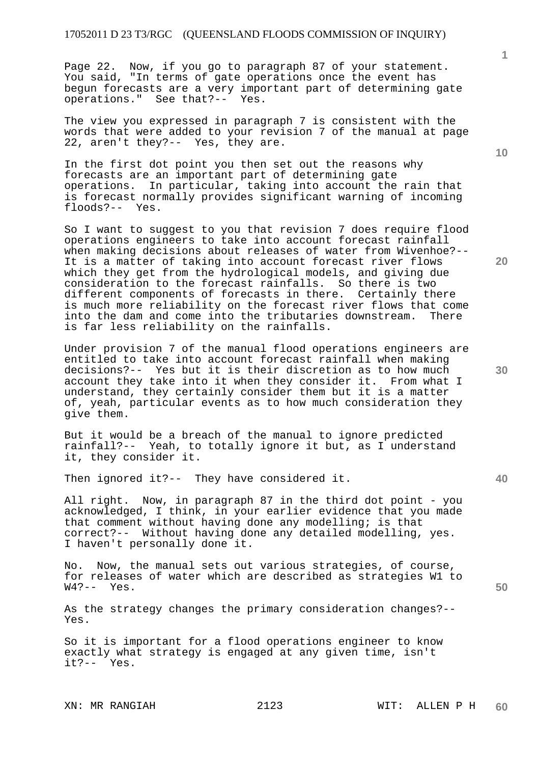Page 22. Now, if you go to paragraph 87 of your statement. You said, "In terms of gate operations once the event has begun forecasts are a very important part of determining gate operations." See that?-- Yes.

The view you expressed in paragraph 7 is consistent with the words that were added to your revision 7 of the manual at page 22, aren't they?-- Yes, they are.

In the first dot point you then set out the reasons why forecasts are an important part of determining gate operations. In particular, taking into account the rain that is forecast normally provides significant warning of incoming floods?-- Yes.

So I want to suggest to you that revision 7 does require flood operations engineers to take into account forecast rainfall when making decisions about releases of water from Wivenhoe?-- It is a matter of taking into account forecast river flows which they get from the hydrological models, and giving due consideration to the forecast rainfalls. So there is two different components of forecasts in there. Certainly there is much more reliability on the forecast river flows that come<br>into the dam and come into the tributaries downstream. There into the dam and come into the tributaries downstream. is far less reliability on the rainfalls.

Under provision 7 of the manual flood operations engineers are entitled to take into account forecast rainfall when making decisions?-- Yes but it is their discretion as to how much account they take into it when they consider it. From what I understand, they certainly consider them but it is a matter of, yeah, particular events as to how much consideration they give them.

But it would be a breach of the manual to ignore predicted rainfall?-- Yeah, to totally ignore it but, as I understand it, they consider it.

Then ignored it?-- They have considered it.

All right. Now, in paragraph 87 in the third dot point - you acknowledged, I think, in your earlier evidence that you made that comment without having done any modelling; is that correct?-- Without having done any detailed modelling, yes. I haven't personally done it.

No. Now, the manual sets out various strategies, of course, for releases of water which are described as strategies W1 to W4?-- Yes.

As the strategy changes the primary consideration changes?-- Yes.

So it is important for a flood operations engineer to know exactly what strategy is engaged at any given time, isn't it?-- Yes.

**1**

**40**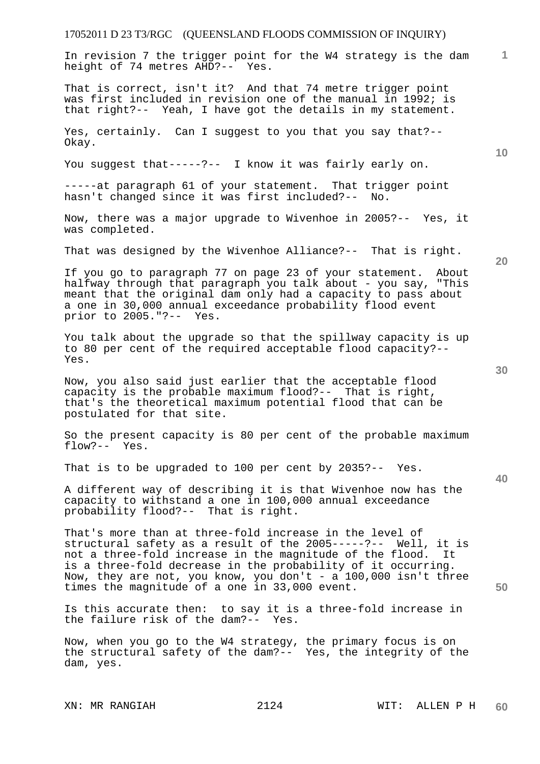# 17052011 D 23 T3/RGC (QUEENSLAND FLOODS COMMISSION OF INQUIRY) **1 10 20 30 40 50**  In revision 7 the trigger point for the W4 strategy is the dam height of 74 metres AHD?-- Yes. That is correct, isn't it? And that 74 metre trigger point was first included in revision one of the manual in 1992; is that right?-- Yeah, I have got the details in my statement. Yes, certainly. Can I suggest to you that you say that?-- Okay. You suggest that-----?-- I know it was fairly early on. -----at paragraph 61 of your statement. That trigger point hasn't changed since it was first included?-- No. Now, there was a major upgrade to Wivenhoe in 2005?-- Yes, it was completed. That was designed by the Wivenhoe Alliance?-- That is right. If you go to paragraph 77 on page 23 of your statement. About halfway through that paragraph you talk about - you say, "This meant that the original dam only had a capacity to pass about a one in 30,000 annual exceedance probability flood event prior to 2005."?-- Yes. You talk about the upgrade so that the spillway capacity is up to 80 per cent of the required acceptable flood capacity?-- Yes. Now, you also said just earlier that the acceptable flood capacity is the probable maximum flood?-- That is right, that's the theoretical maximum potential flood that can be postulated for that site. So the present capacity is 80 per cent of the probable maximum flow?-- Yes. That is to be upgraded to 100 per cent by 2035?-- Yes. A different way of describing it is that Wivenhoe now has the capacity to withstand a one in 100,000 annual exceedance probability flood?-- That is right. That's more than at three-fold increase in the level of structural safety as a result of the 2005-----?-- Well, it is not a three-fold increase in the magnitude of the flood. It is a three-fold decrease in the probability of it occurring. Now, they are not, you know, you don't - a 100,000 isn't three times the magnitude of a one in 33,000 event. Is this accurate then: to say it is a three-fold increase in the failure risk of the dam?-- Yes. the failure risk of the dam?--Now, when you go to the W4 strategy, the primary focus is on the structural safety of the dam?-- Yes, the integrity of the dam, yes.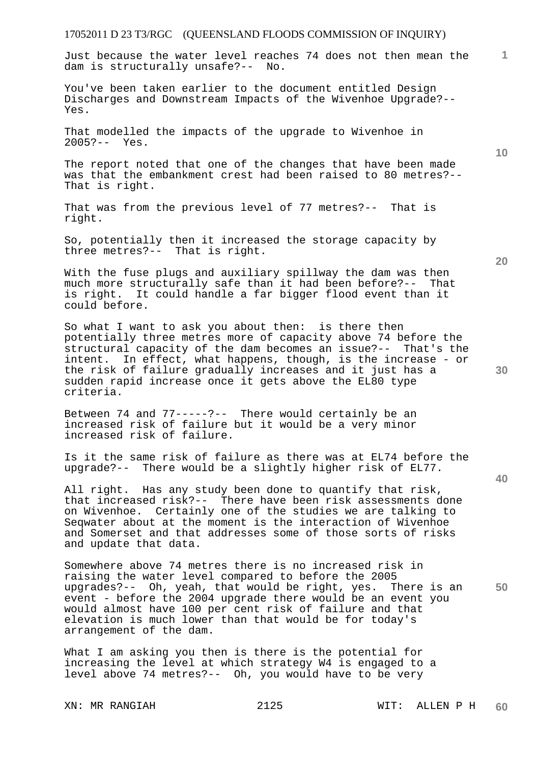Just because the water level reaches 74 does not then mean the dam is structurally unsafe?-- No.

You've been taken earlier to the document entitled Design Discharges and Downstream Impacts of the Wivenhoe Upgrade?-- Yes.

That modelled the impacts of the upgrade to Wivenhoe in 2005?-- Yes.

The report noted that one of the changes that have been made was that the embankment crest had been raised to 80 metres?-- That is right.

That was from the previous level of 77 metres?-- That is right.

So, potentially then it increased the storage capacity by three metres?-- That is right.

With the fuse plugs and auxiliary spillway the dam was then much more structurally safe than it had been before?-- That is right. It could handle a far bigger flood event than it could before.

So what I want to ask you about then: is there then potentially three metres more of capacity above 74 before the structural capacity of the dam becomes an issue?-- That's the intent. In effect, what happens, though, is the increase - or the risk of failure gradually increases and it just has a sudden rapid increase once it gets above the EL80 type criteria.

Between 74 and 77-----?-- There would certainly be an increased risk of failure but it would be a very minor increased risk of failure.

Is it the same risk of failure as there was at EL74 before the upgrade?-- There would be a slightly higher risk of EL77.

All right. Has any study been done to quantify that risk, that increased risk?-- There have been risk assessments done on Wivenhoe. Certainly one of the studies we are talking to Seqwater about at the moment is the interaction of Wivenhoe and Somerset and that addresses some of those sorts of risks and update that data.

Somewhere above 74 metres there is no increased risk in raising the water level compared to before the 2005 upgrades?-- Oh, yeah, that would be right, yes. There is an event - before the 2004 upgrade there would be an event you would almost have 100 per cent risk of failure and that elevation is much lower than that would be for today's arrangement of the dam.

What I am asking you then is there is the potential for increasing the level at which strategy W4 is engaged to a level above 74 metres?-- Oh, you would have to be very

**20** 

**40** 

**50** 

**30** 

**10**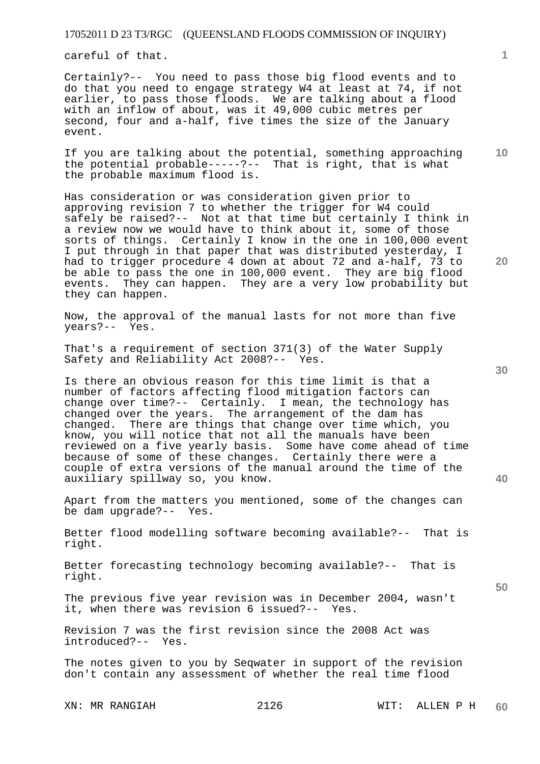careful of that.

Certainly?-- You need to pass those big flood events and to do that you need to engage strategy W4 at least at 74, if not earlier, to pass those floods. We are talking about a flood with an inflow of about, was it 49,000 cubic metres per second, four and a-half, five times the size of the January event.

If you are talking about the potential, something approaching the potential probable-----?-- That is right, that is what the probable maximum flood is.

Has consideration or was consideration given prior to approving revision 7 to whether the trigger for W4 could safely be raised?-- Not at that time but certainly I think in a review now we would have to think about it, some of those sorts of things. Certainly I know in the one in 100,000 event I put through in that paper that was distributed yesterday, I had to trigger procedure 4 down at about 72 and a-half, 73 to be able to pass the one in 100,000 event. They are big flood events. They can happen. They are a very low probability but They can happen. They are a very low probability but they can happen.

Now, the approval of the manual lasts for not more than five years?-- Yes.

That's a requirement of section 371(3) of the Water Supply Safety and Reliability Act 2008?-- Yes.

Is there an obvious reason for this time limit is that a number of factors affecting flood mitigation factors can change over time?-- Certainly. I mean, the technology has changed over the years. The arrangement of the dam has changed. There are things that change over time which, you know, you will notice that not all the manuals have been reviewed on a five yearly basis. Some have come ahead of time because of some of these changes. Certainly there were a couple of extra versions of the manual around the time of the auxiliary spillway so, you know.

Apart from the matters you mentioned, some of the changes can be dam upgrade?-- Yes.

Better flood modelling software becoming available?-- That is right.

Better forecasting technology becoming available?-- That is right.

The previous five year revision was in December 2004, wasn't it, when there was revision 6 issued?-- Yes.

Revision 7 was the first revision since the 2008 Act was introduced?-- Yes.

The notes given to you by Seqwater in support of the revision don't contain any assessment of whether the real time flood

**30** 

**20** 



**50** 

**10**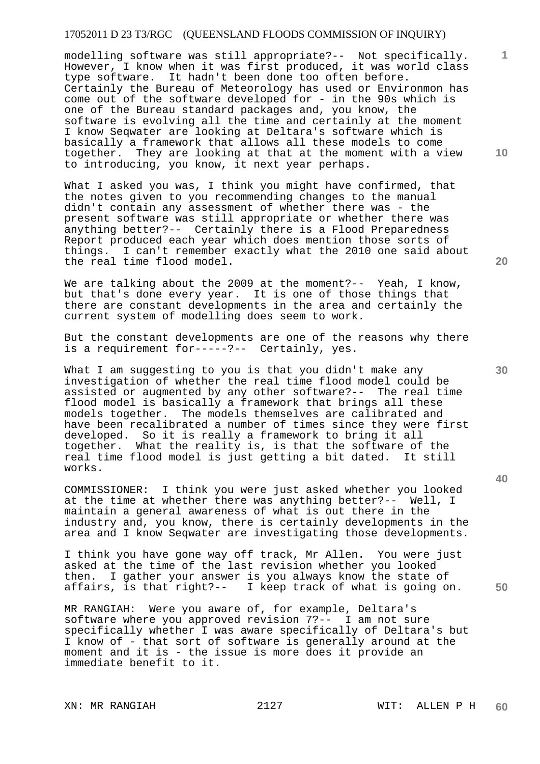modelling software was still appropriate?-- Not specifically. However, I know when it was first produced, it was world class type software. It hadn't been done too often before. Certainly the Bureau of Meteorology has used or Environmon has come out of the software developed for - in the 90s which is one of the Bureau standard packages and, you know, the software is evolving all the time and certainly at the moment I know Seqwater are looking at Deltara's software which is basically a framework that allows all these models to come together. They are looking at that at the moment with a view to introducing, you know, it next year perhaps.

What I asked you was, I think you might have confirmed, that the notes given to you recommending changes to the manual didn't contain any assessment of whether there was - the present software was still appropriate or whether there was anything better?-- Certainly there is a Flood Preparedness Report produced each year which does mention those sorts of things. I can't remember exactly what the 2010 one said about the real time flood model.

We are talking about the 2009 at the moment?-- Yeah, I know, but that's done every year. It is one of those things that there are constant developments in the area and certainly the current system of modelling does seem to work.

But the constant developments are one of the reasons why there is a requirement for-----?-- Certainly, yes.

What I am suggesting to you is that you didn't make any investigation of whether the real time flood model could be assisted or augmented by any other software?-- The real time flood model is basically a framework that brings all these models together. The models themselves are calibrated and have been recalibrated a number of times since they were first developed. So it is really a framework to bring it all together. What the reality is, is that the software of the real time flood model is just getting a bit dated. It still works.

COMMISSIONER: I think you were just asked whether you looked at the time at whether there was anything better?-- Well, I maintain a general awareness of what is out there in the industry and, you know, there is certainly developments in the area and I know Seqwater are investigating those developments.

I think you have gone way off track, Mr Allen. You were just asked at the time of the last revision whether you looked then. I gather your answer is you always know the state of affairs, is that right?-- I keep track of what is going on.

MR RANGIAH: Were you aware of, for example, Deltara's software where you approved revision 7?-- I am not sure specifically whether I was aware specifically of Deltara's but I know of - that sort of software is generally around at the moment and it is - the issue is more does it provide an immediate benefit to it.

**20** 

**10** 

**40** 

**30**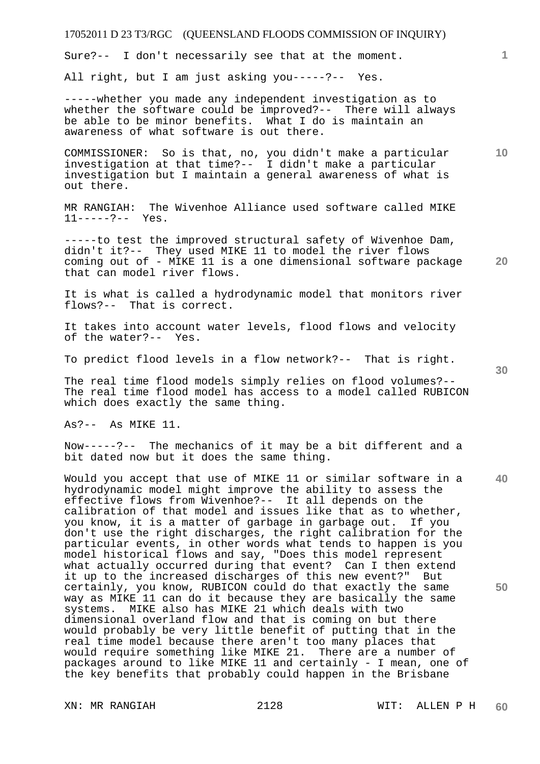Sure?-- I don't necessarily see that at the moment.

All right, but I am just asking you-----?-- Yes.

-----whether you made any independent investigation as to whether the software could be improved?-- There will always be able to be minor benefits. What I do is maintain an awareness of what software is out there.

COMMISSIONER: So is that, no, you didn't make a particular investigation at that time?-- I didn't make a particular investigation but I maintain a general awareness of what is out there.

MR RANGIAH: The Wivenhoe Alliance used software called MIKE  $11---?---$  Yes.

-----to test the improved structural safety of Wivenhoe Dam, didn't it?-- They used MIKE 11 to model the river flows coming out of - MIKE 11 is a one dimensional software package that can model river flows.

It is what is called a hydrodynamic model that monitors river flows?-- That is correct.

It takes into account water levels, flood flows and velocity of the water?-- Yes.

To predict flood levels in a flow network?-- That is right.

The real time flood models simply relies on flood volumes?-- The real time flood model has access to a model called RUBICON which does exactly the same thing.

As?-- As MIKE 11.

Now-----?-- The mechanics of it may be a bit different and a bit dated now but it does the same thing.

Would you accept that use of MIKE 11 or similar software in a hydrodynamic model might improve the ability to assess the effective flows from Wivenhoe?-- It all depends on the calibration of that model and issues like that as to whether, you know, it is a matter of garbage in garbage out. If you don't use the right discharges, the right calibration for the particular events, in other words what tends to happen is you model historical flows and say, "Does this model represent what actually occurred during that event? Can I then extend it up to the increased discharges of this new event?" But certainly, you know, RUBICON could do that exactly the same way as MIKE 11 can do it because they are basically the same systems. MIKE also has MIKE 21 which deals with two dimensional overland flow and that is coming on but there would probably be very little benefit of putting that in the real time model because there aren't too many places that would require something like MIKE 21. There are a number of packages around to like MIKE 11 and certainly - I mean, one of the key benefits that probably could happen in the Brisbane

**30** 

**20** 

**40** 

**50**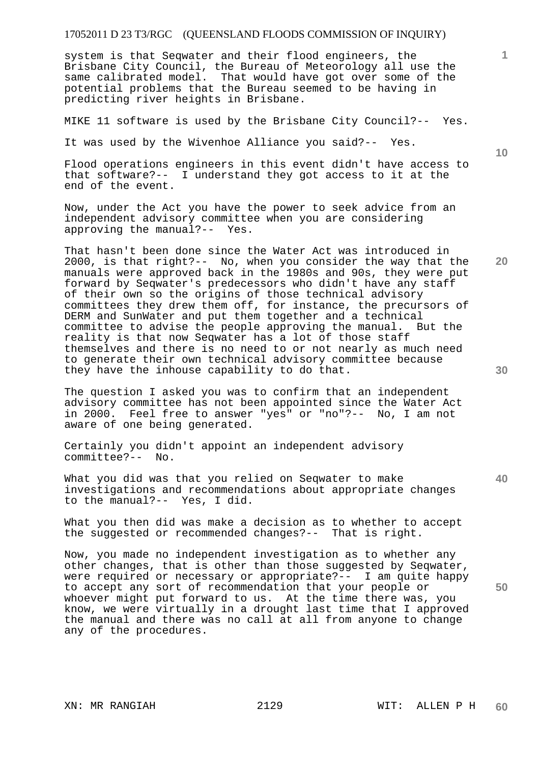system is that Seqwater and their flood engineers, the Brisbane City Council, the Bureau of Meteorology all use the same calibrated model. That would have got over some of the potential problems that the Bureau seemed to be having in predicting river heights in Brisbane.

MIKE 11 software is used by the Brisbane City Council?-- Yes.

It was used by the Wivenhoe Alliance you said?-- Yes.

Flood operations engineers in this event didn't have access to that software?-- I understand they got access to it at the end of the event.

Now, under the Act you have the power to seek advice from an independent advisory committee when you are considering approving the manual?-- Yes.

That hasn't been done since the Water Act was introduced in 2000, is that right?-- No, when you consider the way that the manuals were approved back in the 1980s and 90s, they were put forward by Seqwater's predecessors who didn't have any staff of their own so the origins of those technical advisory committees they drew them off, for instance, the precursors of DERM and SunWater and put them together and a technical committee to advise the people approving the manual. But the reality is that now Seqwater has a lot of those staff themselves and there is no need to or not nearly as much need to generate their own technical advisory committee because they have the inhouse capability to do that.

The question I asked you was to confirm that an independent advisory committee has not been appointed since the Water Act in 2000. Feel free to answer "yes" or "no"?-- No, I am not aware of one being generated.

Certainly you didn't appoint an independent advisory committee?-- No.

What you did was that you relied on Seqwater to make investigations and recommendations about appropriate changes to the manual?-- Yes, I did.

What you then did was make a decision as to whether to accept the suggested or recommended changes?-- That is right.

Now, you made no independent investigation as to whether any other changes, that is other than those suggested by Seqwater, were required or necessary or appropriate?-- I am quite happy to accept any sort of recommendation that your people or whoever might put forward to us. At the time there was, you know, we were virtually in a drought last time that I approved the manual and there was no call at all from anyone to change any of the procedures.

**10** 

**20** 

**30** 

**1**

**40**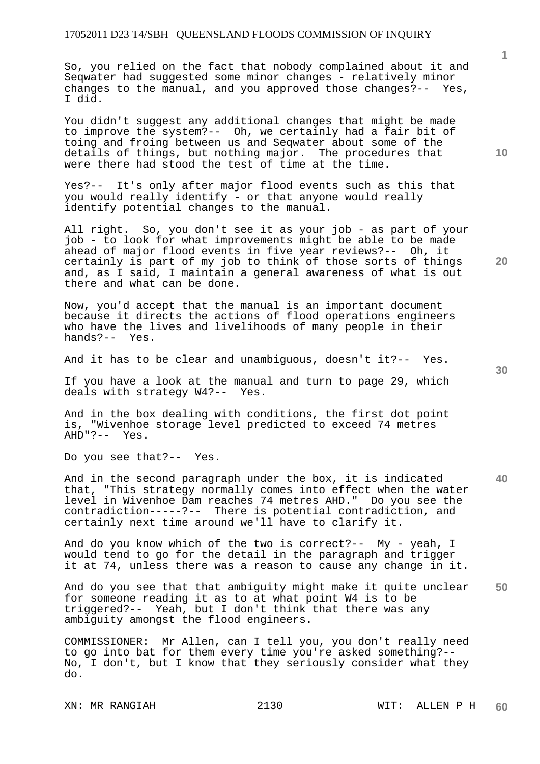So, you relied on the fact that nobody complained about it and Seqwater had suggested some minor changes - relatively minor changes to the manual, and you approved those changes?-- Yes, I did.

You didn't suggest any additional changes that might be made to improve the system?-- Oh, we certainly had a fair bit of toing and froing between us and Seqwater about some of the details of things, but nothing major. The procedures that were there had stood the test of time at the time.

Yes?-- It's only after major flood events such as this that you would really identify - or that anyone would really identify potential changes to the manual.

All right. So, you don't see it as your job - as part of your job - to look for what improvements might be able to be made ahead of major flood events in five year reviews?-- Oh, it certainly is part of my job to think of those sorts of things and, as I said, I maintain a general awareness of what is out there and what can be done.

Now, you'd accept that the manual is an important document because it directs the actions of flood operations engineers who have the lives and livelihoods of many people in their hands?-- Yes.

And it has to be clear and unambiguous, doesn't it?-- Yes.

If you have a look at the manual and turn to page 29, which deals with strategy W4?-- Yes.

And in the box dealing with conditions, the first dot point is, "Wivenhoe storage level predicted to exceed 74 metres AHD"?-- Yes.

Do you see that?-- Yes.

**40**  And in the second paragraph under the box, it is indicated that, "This strategy normally comes into effect when the water level in Wivenhoe Dam reaches 74 metres AHD." Do you see the contradiction-----?-- There is potential contradiction, and certainly next time around we'll have to clarify it.

And do you know which of the two is correct?-- My - yeah, I would tend to go for the detail in the paragraph and trigger it at 74, unless there was a reason to cause any change in it.

**50**  And do you see that that ambiguity might make it quite unclear for someone reading it as to at what point W4 is to be triggered?-- Yeah, but I don't think that there was any ambiguity amongst the flood engineers.

COMMISSIONER: Mr Allen, can I tell you, you don't really need to go into bat for them every time you're asked something?-- No, I don't, but I know that they seriously consider what they do.

**10** 

**1**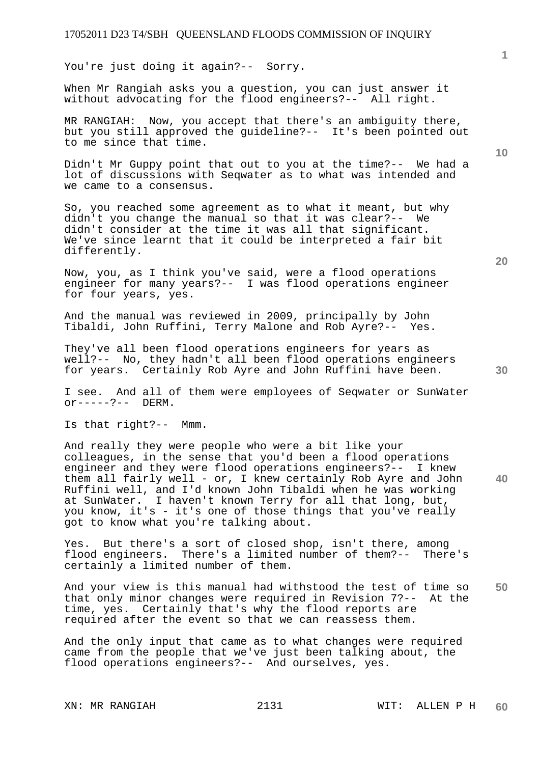You're just doing it again?-- Sorry.

When Mr Rangiah asks you a question, you can just answer it without advocating for the flood engineers?-- All right.

MR RANGIAH: Now, you accept that there's an ambiguity there, but you still approved the guideline?-- It's been pointed out to me since that time.

Didn't Mr Guppy point that out to you at the time?-- We had a lot of discussions with Seqwater as to what was intended and we came to a consensus.

So, you reached some agreement as to what it meant, but why didn't you change the manual so that it was clear?-- We didn't consider at the time it was all that significant. We've since learnt that it could be interpreted a fair bit differently.

Now, you, as I think you've said, were a flood operations engineer for many years?-- I was flood operations engineer for four years, yes.

And the manual was reviewed in 2009, principally by John Tibaldi, John Ruffini, Terry Malone and Rob Ayre?-- Yes.

They've all been flood operations engineers for years as well?-- No, they hadn't all been flood operations engineers for years. Certainly Rob Ayre and John Ruffini have been.

I see. And all of them were employees of Seqwater or SunWater  $or---?---$  DERM.

Is that right?-- Mmm.

And really they were people who were a bit like your colleagues, in the sense that you'd been a flood operations engineer and they were flood operations engineers?-- I knew them all fairly well - or, I knew certainly Rob Ayre and John Ruffini well, and I'd known John Tibaldi when he was working at SunWater. I haven't known Terry for all that long, but, you know, it's - it's one of those things that you've really got to know what you're talking about.

Yes. But there's a sort of closed shop, isn't there, among flood engineers. There's a limited number of them?-- There's certainly a limited number of them.

**50**  And your view is this manual had withstood the test of time so that only minor changes were required in Revision 7?-- At the time, yes. Certainly that's why the flood reports are required after the event so that we can reassess them.

And the only input that came as to what changes were required came from the people that we've just been talking about, the flood operations engineers?-- And ourselves, yes.

**20** 

**40** 

**10**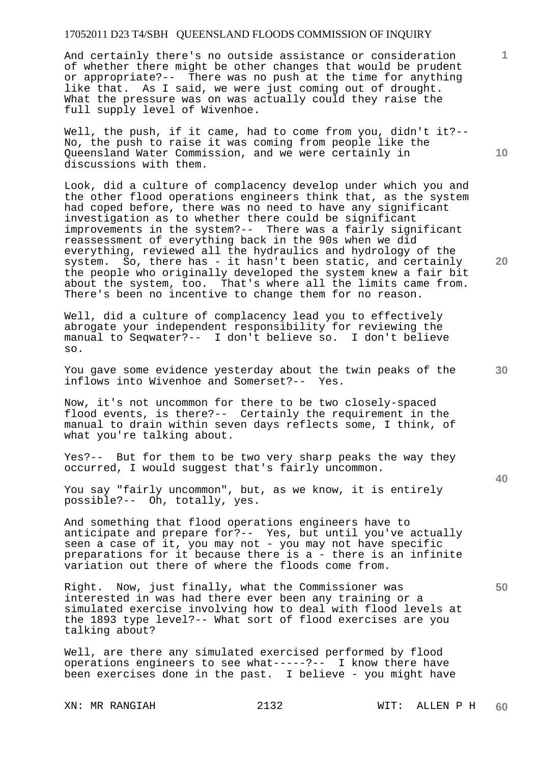And certainly there's no outside assistance or consideration of whether there might be other changes that would be prudent or appropriate?-- There was no push at the time for anything like that. As I said, we were just coming out of drought. What the pressure was on was actually could they raise the full supply level of Wivenhoe.

Well, the push, if it came, had to come from you, didn't it?-- No, the push to raise it was coming from people like the Queensland Water Commission, and we were certainly in discussions with them.

Look, did a culture of complacency develop under which you and the other flood operations engineers think that, as the system had coped before, there was no need to have any significant investigation as to whether there could be significant improvements in the system?-- There was a fairly significant reassessment of everything back in the 90s when we did everything, reviewed all the hydraulics and hydrology of the system. So, there has - it hasn't been static, and certainly the people who originally developed the system knew a fair bit about the system, too. That's where all the limits came from. There's been no incentive to change them for no reason.

Well, did a culture of complacency lead you to effectively abrogate your independent responsibility for reviewing the manual to Seqwater?-- I don't believe so. I don't believe so.

You gave some evidence yesterday about the twin peaks of the inflows into Wivenhoe and Somerset?-- Yes.

Now, it's not uncommon for there to be two closely-spaced flood events, is there?-- Certainly the requirement in the manual to drain within seven days reflects some, I think, of what you're talking about.

Yes?-- But for them to be two very sharp peaks the way they occurred, I would suggest that's fairly uncommon.

You say "fairly uncommon", but, as we know, it is entirely possible?-- Oh, totally, yes.

And something that flood operations engineers have to anticipate and prepare for?-- Yes, but until you've actually seen a case of it, you may not - you may not have specific preparations for it because there is a - there is an infinite variation out there of where the floods come from.

Right. Now, just finally, what the Commissioner was interested in was had there ever been any training or a simulated exercise involving how to deal with flood levels at the 1893 type level?-- What sort of flood exercises are you talking about?

Well, are there any simulated exercised performed by flood operations engineers to see what-----?-- I know there have been exercises done in the past. I believe - you might have

**10** 

**1**

**30** 

**20**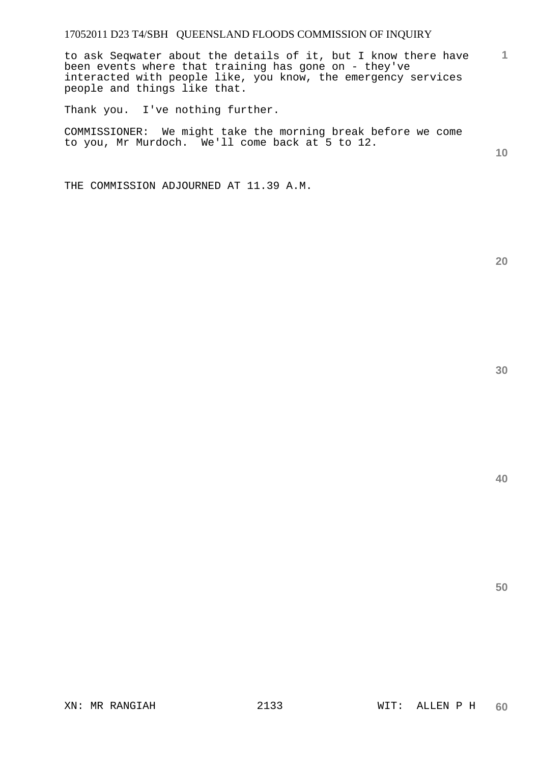**1** to ask Seqwater about the details of it, but I know there have been events where that training has gone on - they've interacted with people like, you know, the emergency services people and things like that.

Thank you. I've nothing further.

COMMISSIONER: We might take the morning break before we come to you, Mr Murdoch. We'll come back at 5 to 12.

**10** 

THE COMMISSION ADJOURNED AT 11.39 A.M.

**30** 

**20**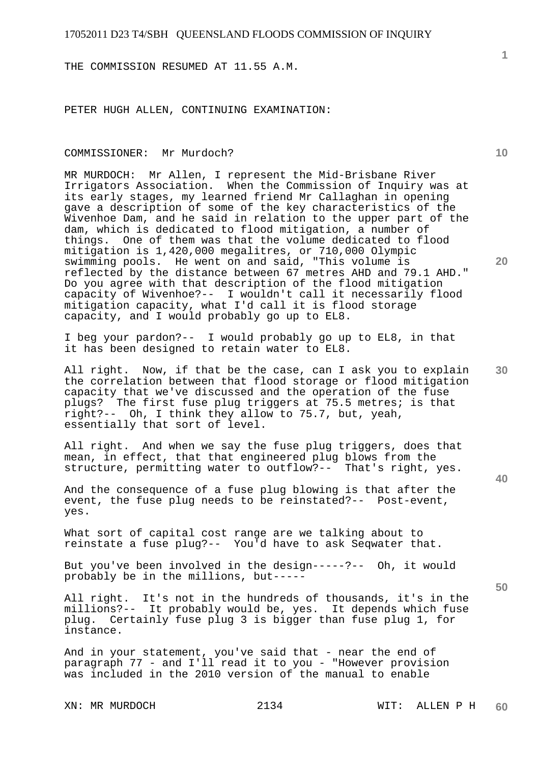THE COMMISSION RESUMED AT 11.55 A.M.

PETER HUGH ALLEN, CONTINUING EXAMINATION:

#### COMMISSIONER: Mr Murdoch?

MR MURDOCH: Mr Allen, I represent the Mid-Brisbane River Irrigators Association. When the Commission of Inquiry was at its early stages, my learned friend Mr Callaghan in opening gave a description of some of the key characteristics of the Wivenhoe Dam, and he said in relation to the upper part of the dam, which is dedicated to flood mitigation, a number of things. One of them was that the volume dedicated to flood mitigation is 1,420,000 megalitres, or 710,000 Olympic swimming pools. He went on and said, "This volume is reflected by the distance between 67 metres AHD and 79.1 AHD." Do you agree with that description of the flood mitigation capacity of Wivenhoe?-- I wouldn't call it necessarily flood mitigation capacity, what I'd call it is flood storage capacity, and I would probably go up to EL8.

I beg your pardon?-- I would probably go up to EL8, in that it has been designed to retain water to EL8.

**30**  All right. Now, if that be the case, can I ask you to explain the correlation between that flood storage or flood mitigation capacity that we've discussed and the operation of the fuse plugs? The first fuse plug triggers at 75.5 metres; is that right?-- Oh, I think they allow to 75.7, but, yeah, essentially that sort of level.

All right. And when we say the fuse plug triggers, does that mean, in effect, that that engineered plug blows from the structure, permitting water to outflow?-- That's right, yes.

And the consequence of a fuse plug blowing is that after the event, the fuse plug needs to be reinstated?-- Post-event, yes.

What sort of capital cost range are we talking about to reinstate a fuse plug?-- You'd have to ask Seqwater that.

But you've been involved in the design-----?-- Oh, it would probably be in the millions, but-----

All right. It's not in the hundreds of thousands, it's in the millions?-- It probably would be, yes. It depends which fuse plug. Certainly fuse plug 3 is bigger than fuse plug 1, for instance.

And in your statement, you've said that - near the end of paragraph 77 - and I'll read it to you - "However provision was included in the 2010 version of the manual to enable

**1**

**20** 

**10** 

**50**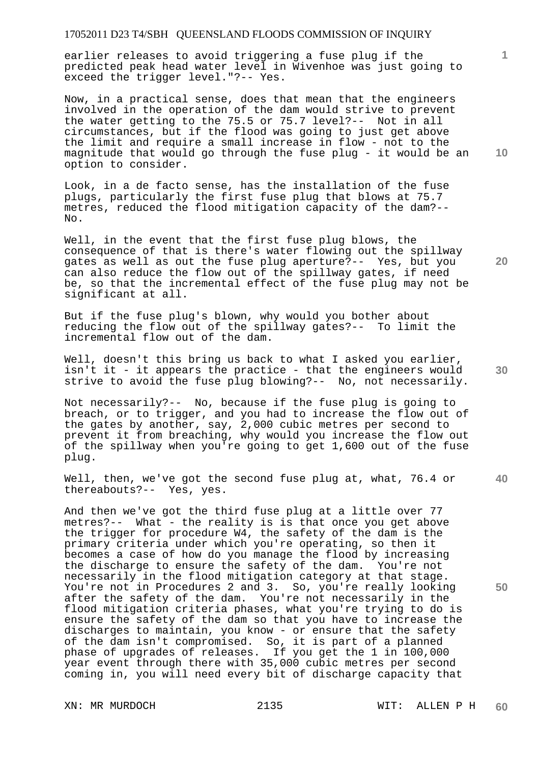earlier releases to avoid triggering a fuse plug if the predicted peak head water level in Wivenhoe was just going to exceed the trigger level."?-- Yes.

Now, in a practical sense, does that mean that the engineers involved in the operation of the dam would strive to prevent the water getting to the 75.5 or 75.7 level?-- Not in all circumstances, but if the flood was going to just get above the limit and require a small increase in flow - not to the magnitude that would go through the fuse plug - it would be an option to consider.

Look, in a de facto sense, has the installation of the fuse plugs, particularly the first fuse plug that blows at 75.7 metres, reduced the flood mitigation capacity of the dam?-- No.

Well, in the event that the first fuse plug blows, the consequence of that is there's water flowing out the spillway gates as well as out the fuse plug aperture?-- Yes, but you can also reduce the flow out of the spillway gates, if need be, so that the incremental effect of the fuse plug may not be significant at all.

But if the fuse plug's blown, why would you bother about reducing the flow out of the spillway gates?-- To limit the incremental flow out of the dam.

Well, doesn't this bring us back to what I asked you earlier, isn't it - it appears the practice - that the engineers would strive to avoid the fuse plug blowing?-- No, not necessarily.

Not necessarily?-- No, because if the fuse plug is going to breach, or to trigger, and you had to increase the flow out of the gates by another, say, 2,000 cubic metres per second to prevent it from breaching, why would you increase the flow out of the spillway when you're going to get 1,600 out of the fuse plug.

Well, then, we've got the second fuse plug at, what, 76.4 or thereabouts?-- Yes, yes.

And then we've got the third fuse plug at a little over 77 metres?-- What - the reality is is that once you get above the trigger for procedure W4, the safety of the dam is the primary criteria under which you're operating, so then it becomes a case of how do you manage the flood by increasing the discharge to ensure the safety of the dam. You're not necessarily in the flood mitigation category at that stage. You're not in Procedures 2 and 3. So, you're really looking after the safety of the dam. You're not necessarily in the flood mitigation criteria phases, what you're trying to do is ensure the safety of the dam so that you have to increase the discharges to maintain, you know - or ensure that the safety of the dam isn't compromised. So, it is part of a planned phase of upgrades of releases. If you get the 1 in 100,000 year event through there with 35,000 cubic metres per second coming in, you will need every bit of discharge capacity that

**10** 

**1**

**40** 

**50**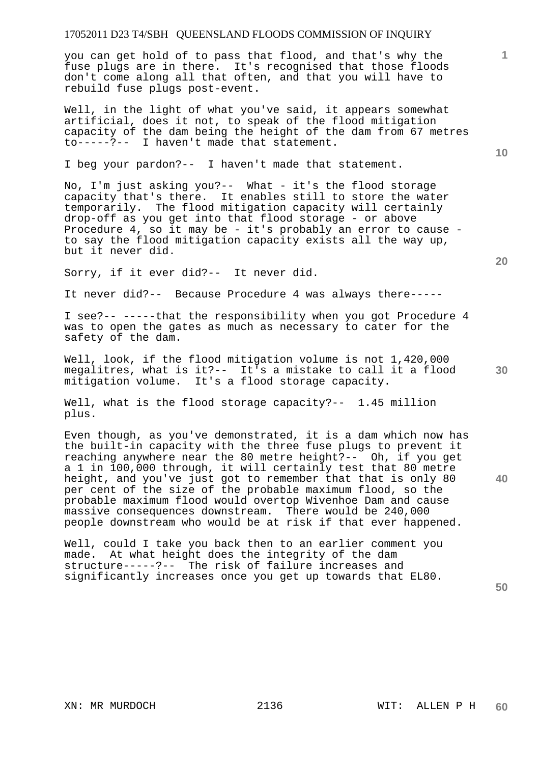you can get hold of to pass that flood, and that's why the fuse plugs are in there. It's recognised that those floods don't come along all that often, and that you will have to rebuild fuse plugs post-event.

Well, in the light of what you've said, it appears somewhat artificial, does it not, to speak of the flood mitigation capacity of the dam being the height of the dam from 67 metres to-----?-- I haven't made that statement.

I beg your pardon?-- I haven't made that statement.

No, I'm just asking you?-- What - it's the flood storage capacity that's there. It enables still to store the water temporarily. The flood mitigation capacity will certainly drop-off as you get into that flood storage - or above Procedure 4, so it may be - it's probably an error to cause to say the flood mitigation capacity exists all the way up, but it never did.

Sorry, if it ever did?-- It never did.

It never did?-- Because Procedure 4 was always there-----

I see?-- -----that the responsibility when you got Procedure 4 was to open the gates as much as necessary to cater for the safety of the dam.

Well, look, if the flood mitigation volume is not 1,420,000 megalitres, what is it?-- It's a mistake to call it a flood mitigation volume. It's a flood storage capacity.

Well, what is the flood storage capacity?-- 1.45 million plus.

Even though, as you've demonstrated, it is a dam which now has the built-in capacity with the three fuse plugs to prevent it reaching anywhere near the 80 metre height?-- Oh, if you get a 1 in 100,000 through, it will certainly test that 80 metre height, and you've just got to remember that that is only 80 per cent of the size of the probable maximum flood, so the probable maximum flood would overtop Wivenhoe Dam and cause massive consequences downstream. There would be 240,000 people downstream who would be at risk if that ever happened.

Well, could I take you back then to an earlier comment you made. At what height does the integrity of the dam structure-----?-- The risk of failure increases and significantly increases once you get up towards that EL80.

**20** 

**30** 

**40** 

**10**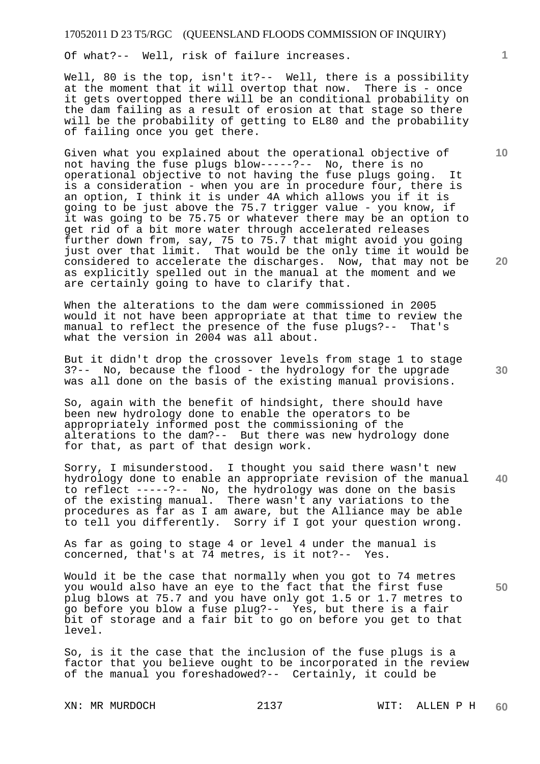Of what?-- Well, risk of failure increases.

Well, 80 is the top, isn't it ?-- Well, there is a possibility at the moment that it will overtop that now. There is - once it gets overtopped there will be an conditional probability on the dam failing as a result of erosion at that stage so there will be the probability of getting to EL80 and the probability of failing once you get there.

Given what you explained about the operational objective of not having the fuse plugs blow-----?-- No, there is no operational objective to not having the fuse plugs going. It is a consideration - when you are in procedure four, there is an option, I think it is under 4A which allows you if it is going to be just above the 75.7 trigger value - you know, if it was going to be 75.75 or whatever there may be an option to get rid of a bit more water through accelerated releases further down from, say, 75 to 75.7 that might avoid you going just over that limit. That would be the only time it would be considered to accelerate the discharges. Now, that may not be as explicitly spelled out in the manual at the moment and we are certainly going to have to clarify that.

When the alterations to the dam were commissioned in 2005 would it not have been appropriate at that time to review the manual to reflect the presence of the fuse plugs?-- That's what the version in 2004 was all about.

But it didn't drop the crossover levels from stage 1 to stage 3?-- No, because the flood - the hydrology for the upgrade was all done on the basis of the existing manual provisions.

So, again with the benefit of hindsight, there should have been new hydrology done to enable the operators to be appropriately informed post the commissioning of the alterations to the dam?-- But there was new hydrology done for that, as part of that design work.

Sorry, I misunderstood. I thought you said there wasn't new hydrology done to enable an appropriate revision of the manual to reflect -----?-- No, the hydrology was done on the basis of the existing manual. There wasn't any variations to the procedures as far as I am aware, but the Alliance may be able to tell you differently. Sorry if I got your question wrong.

As far as going to stage 4 or level 4 under the manual is concerned, that's at 74 metres, is it not?-- Yes.

Would it be the case that normally when you got to 74 metres you would also have an eye to the fact that the first fuse plug blows at 75.7 and you have only got 1.5 or 1.7 metres to go before you blow a fuse plug?-- Yes, but there is a fair bit of storage and a fair bit to go on before you get to that level.

So, is it the case that the inclusion of the fuse plugs is a factor that you believe ought to be incorporated in the review of the manual you foreshadowed?-- Certainly, it could be

**10** 

**1**

**30** 

**50**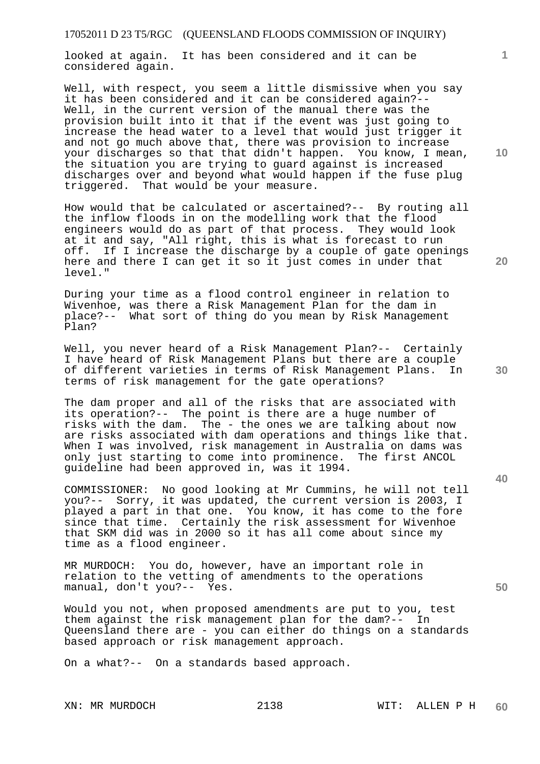looked at again. It has been considered and it can be considered again.

Well, with respect, you seem a little dismissive when you say it has been considered and it can be considered again?-- Well, in the current version of the manual there was the provision built into it that if the event was just going to increase the head water to a level that would just trigger it and not go much above that, there was provision to increase your discharges so that that didn't happen. You know, I mean, the situation you are trying to guard against is increased discharges over and beyond what would happen if the fuse plug triggered. That would be your measure.

How would that be calculated or ascertained?-- By routing all the inflow floods in on the modelling work that the flood engineers would do as part of that process. They would look at it and say, "All right, this is what is forecast to run off. If I increase the discharge by a couple of gate openings here and there I can get it so it just comes in under that level."

During your time as a flood control engineer in relation to Wivenhoe, was there a Risk Management Plan for the dam in place?-- What sort of thing do you mean by Risk Management Plan?

Well, you never heard of a Risk Management Plan?-- Certainly I have heard of Risk Management Plans but there are a couple of different varieties in terms of Risk Management Plans. In terms of risk management for the gate operations?

The dam proper and all of the risks that are associated with its operation?-- The point is there are a huge number of risks with the dam. The - the ones we are talking about now are risks associated with dam operations and things like that. When I was involved, risk management in Australia on dams was only just starting to come into prominence. The first ANCOL guideline had been approved in, was it 1994.

COMMISSIONER: No good looking at Mr Cummins, he will not tell you?-- Sorry, it was updated, the current version is 2003, I played a part in that one. You know, it has come to the fore since that time. Certainly the risk assessment for Wivenhoe that SKM did was in 2000 so it has all come about since my time as a flood engineer.

MR MURDOCH: You do, however, have an important role in relation to the vetting of amendments to the operations manual, don't you?-- Yes.

Would you not, when proposed amendments are put to you, test them against the risk management plan for the dam?-- In Queensland there are - you can either do things on a standards based approach or risk management approach.

On a what?-- On a standards based approach.

**10** 

**1**

**20** 

**40**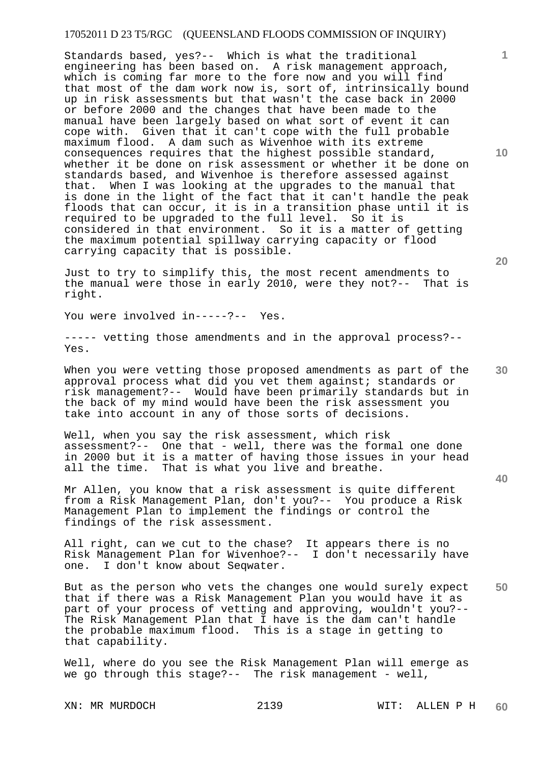Standards based, yes?-- Which is what the traditional engineering has been based on. A risk management approach, which is coming far more to the fore now and you will find that most of the dam work now is, sort of, intrinsically bound up in risk assessments but that wasn't the case back in 2000 or before 2000 and the changes that have been made to the manual have been largely based on what sort of event it can cope with. Given that it can't cope with the full probable maximum flood. A dam such as Wivenhoe with its extreme consequences requires that the highest possible standard, whether it be done on risk assessment or whether it be done on standards based, and Wivenhoe is therefore assessed against that. When I was looking at the upgrades to the manual that is done in the light of the fact that it can't handle the peak floods that can occur, it is in a transition phase until it is required to be upgraded to the full level. So it is considered in that environment. So it is a matter of getting the maximum potential spillway carrying capacity or flood carrying capacity that is possible.

Just to try to simplify this, the most recent amendments to the manual were those in early 2010, were they not?-- That is right.

You were involved in-----?-- Yes.

----- vetting those amendments and in the approval process?-- Yes.

When you were vetting those proposed amendments as part of the approval process what did you vet them against; standards or risk management?-- Would have been primarily standards but in the back of my mind would have been the risk assessment you take into account in any of those sorts of decisions.

Well, when you say the risk assessment, which risk assessment?-- One that - well, there was the formal one done in 2000 but it is a matter of having those issues in your head all the time. That is what you live and breathe.

Mr Allen, you know that a risk assessment is quite different from a Risk Management Plan, don't you?-- You produce a Risk Management Plan to implement the findings or control the findings of the risk assessment.

All right, can we cut to the chase? It appears there is no Risk Management Plan for Wivenhoe?-- I don't necessarily have one. I don't know about Seqwater.

**50**  But as the person who vets the changes one would surely expect that if there was a Risk Management Plan you would have it as part of your process of vetting and approving, wouldn't you?-- The Risk Management Plan that I have is the dam can't handle the probable maximum flood. This is a stage in getting to that capability.

Well, where do you see the Risk Management Plan will emerge as we go through this stage?-- The risk management - well,

XN: MR MURDOCH 2139 WIT: ALLEN P H **60** 

**20** 

**10** 

**1**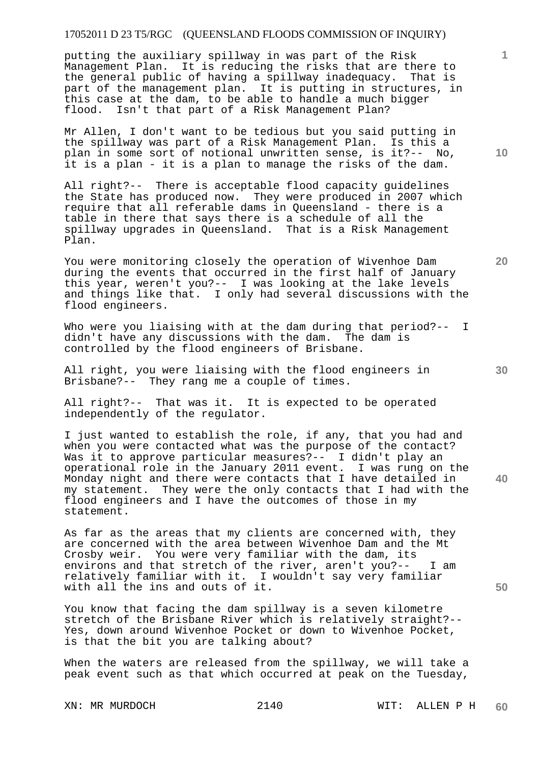putting the auxiliary spillway in was part of the Risk Management Plan. It is reducing the risks that are there to the general public of having a spillway inadequacy. That is part of the management plan. It is putting in structures, in this case at the dam, to be able to handle a much bigger flood. Isn't that part of a Risk Management Plan?

Mr Allen, I don't want to be tedious but you said putting in the spillway was part of a Risk Management Plan. Is this a plan in some sort of notional unwritten sense, is it?-- No, it is a plan - it is a plan to manage the risks of the dam.

All right?-- There is acceptable flood capacity guidelines the State has produced now. They were produced in 2007 which require that all referable dams in Queensland - there is a table in there that says there is a schedule of all the spillway upgrades in Queensland. That is a Risk Management Plan.

You were monitoring closely the operation of Wivenhoe Dam during the events that occurred in the first half of January this year, weren't you?-- I was looking at the lake levels and things like that. I only had several discussions with the flood engineers.

Who were you liaising with at the dam during that period?-- I didn't have any discussions with the dam. The dam is controlled by the flood engineers of Brisbane.

All right, you were liaising with the flood engineers in Brisbane?-- They rang me a couple of times.

All right?-- That was it. It is expected to be operated independently of the regulator.

I just wanted to establish the role, if any, that you had and when you were contacted what was the purpose of the contact? Was it to approve particular measures?-- I didn't play an operational role in the January 2011 event. I was rung on the Monday night and there were contacts that I have detailed in my statement. They were the only contacts that I had with the flood engineers and I have the outcomes of those in my statement.

As far as the areas that my clients are concerned with, they are concerned with the area between Wivenhoe Dam and the Mt Crosby weir. You were very familiar with the dam, its environs and that stretch of the river, aren't you?-- I am relatively familiar with it. I wouldn't say very familiar with all the ins and outs of it.

You know that facing the dam spillway is a seven kilometre stretch of the Brisbane River which is relatively straight?-- Yes, down around Wivenhoe Pocket or down to Wivenhoe Pocket, is that the bit you are talking about?

When the waters are released from the spillway, we will take a peak event such as that which occurred at peak on the Tuesday,

**10** 

**1**

**30** 

**20** 

**50**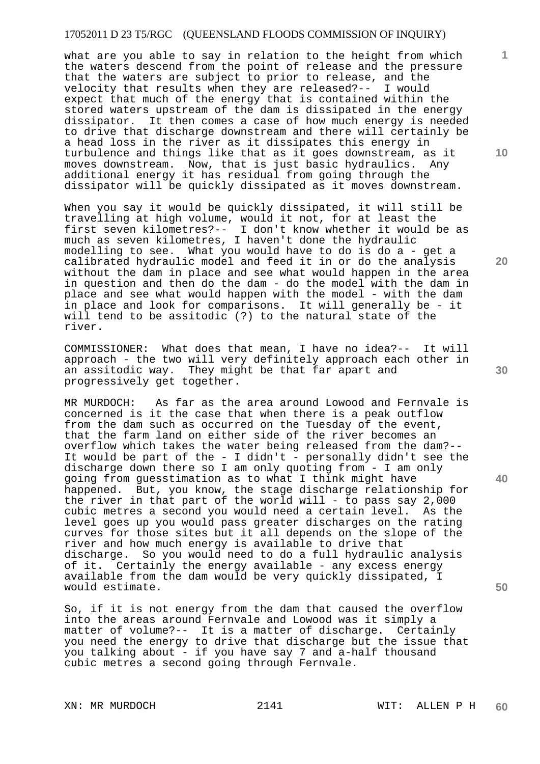what are you able to say in relation to the height from which the waters descend from the point of release and the pressure that the waters are subject to prior to release, and the velocity that results when they are released?-- I would expect that much of the energy that is contained within the stored waters upstream of the dam is dissipated in the energy dissipator. It then comes a case of how much energy is needed to drive that discharge downstream and there will certainly be a head loss in the river as it dissipates this energy in turbulence and things like that as it goes downstream, as it moves downstream. Now, that is just basic hydraulics. Any additional energy it has residual from going through the dissipator will be quickly dissipated as it moves downstream.

When you say it would be quickly dissipated, it will still be travelling at high volume, would it not, for at least the first seven kilometres?-- I don't know whether it would be as much as seven kilometres, I haven't done the hydraulic modelling to see. What you would have to do is do a - get a calibrated hydraulic model and feed it in or do the analysis without the dam in place and see what would happen in the area in question and then do the dam - do the model with the dam in place and see what would happen with the model - with the dam in place and look for comparisons. It will generally be - it will tend to be assitodic (?) to the natural state of the river.

COMMISSIONER: What does that mean, I have no idea?-- It will approach - the two will very definitely approach each other in an assitodic way. They might be that far apart and progressively get together.

MR MURDOCH: As far as the area around Lowood and Fernvale is concerned is it the case that when there is a peak outflow from the dam such as occurred on the Tuesday of the event, that the farm land on either side of the river becomes an overflow which takes the water being released from the dam?-- It would be part of the - I didn't - personally didn't see the discharge down there so I am only quoting from - I am only going from guesstimation as to what I think might have happened. But, you know, the stage discharge relationship for the river in that part of the world will - to pass say  $2,000$ cubic metres a second you would need a certain level. As the level goes up you would pass greater discharges on the rating curves for those sites but it all depends on the slope of the river and how much energy is available to drive that discharge. So you would need to do a full hydraulic analysis of it. Certainly the energy available - any excess energy available from the dam would be very quickly dissipated, I would estimate.

So, if it is not energy from the dam that caused the overflow into the areas around Fernvale and Lowood was it simply a matter of volume?-- It is a matter of discharge. Certainly you need the energy to drive that discharge but the issue that you talking about - if you have say 7 and a-half thousand cubic metres a second going through Fernvale.

XN: MR MURDOCH 2141 WIT: ALLEN P H

**10** 

**1**

**20** 

**50**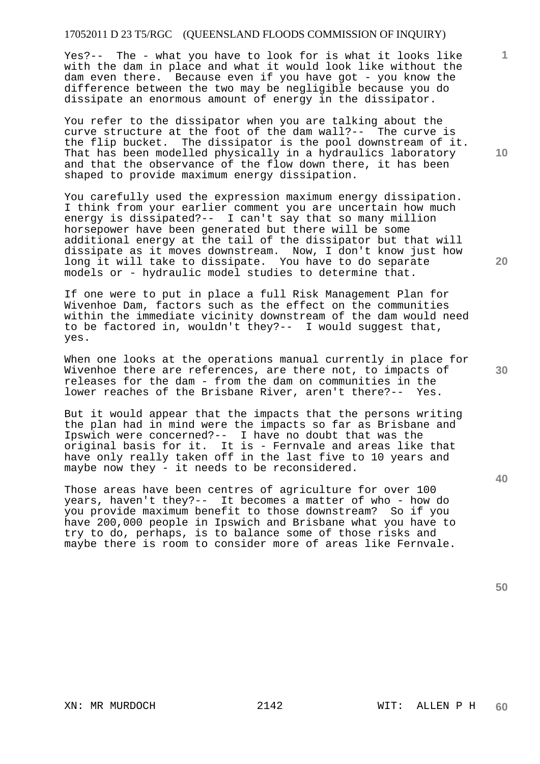Yes?-- The - what you have to look for is what it looks like with the dam in place and what it would look like without the dam even there. Because even if you have got - you know the difference between the two may be negligible because you do dissipate an enormous amount of energy in the dissipator.

You refer to the dissipator when you are talking about the curve structure at the foot of the dam wall?-- The curve is the flip bucket. The dissipator is the pool downstream of it. That has been modelled physically in a hydraulics laboratory and that the observance of the flow down there, it has been shaped to provide maximum energy dissipation.

You carefully used the expression maximum energy dissipation. I think from your earlier comment you are uncertain how much energy is dissipated?-- I can't say that so many million horsepower have been generated but there will be some additional energy at the tail of the dissipator but that will dissipate as it moves downstream. Now, I don't know just how long it will take to dissipate. You have to do separate models or - hydraulic model studies to determine that.

If one were to put in place a full Risk Management Plan for Wivenhoe Dam, factors such as the effect on the communities within the immediate vicinity downstream of the dam would need to be factored in, wouldn't they?-- I would suggest that, yes.

When one looks at the operations manual currently in place for Wivenhoe there are references, are there not, to impacts of releases for the dam - from the dam on communities in the lower reaches of the Brisbane River, aren't there?-- Yes.

But it would appear that the impacts that the persons writing the plan had in mind were the impacts so far as Brisbane and Ipswich were concerned?-- I have no doubt that was the original basis for it. It is - Fernvale and areas like that have only really taken off in the last five to 10 years and maybe now they - it needs to be reconsidered.

Those areas have been centres of agriculture for over 100 years, haven't they?-- It becomes a matter of who - how do you provide maximum benefit to those downstream? So if you have 200,000 people in Ipswich and Brisbane what you have to try to do, perhaps, is to balance some of those risks and maybe there is room to consider more of areas like Fernvale.

**50** 

**40** 

**10** 

**1**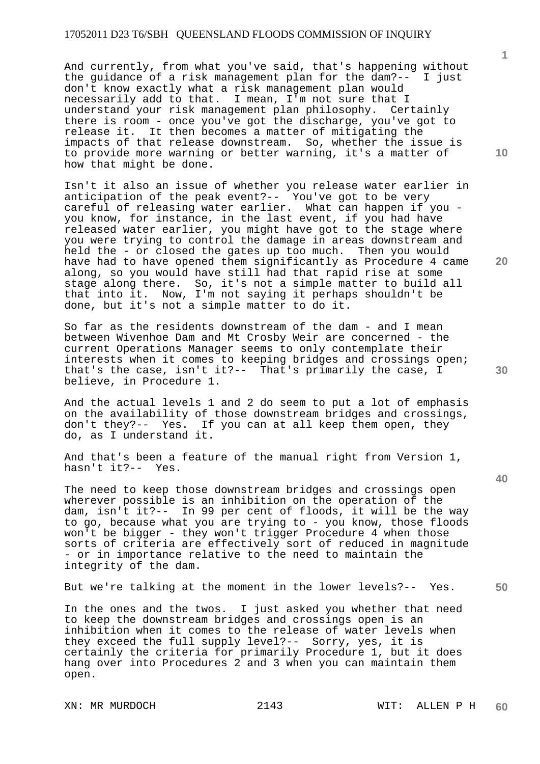And currently, from what you've said, that's happening without the guidance of a risk management plan for the dam?-- I just don't know exactly what a risk management plan would necessarily add to that. I mean, I'm not sure that I understand your risk management plan philosophy. Certainly there is room - once you've got the discharge, you've got to release it. It then becomes a matter of mitigating the impacts of that release downstream. So, whether the issue is to provide more warning or better warning, it's a matter of how that might be done.

Isn't it also an issue of whether you release water earlier in anticipation of the peak event?-- You've got to be very careful of releasing water earlier. What can happen if you you know, for instance, in the last event, if you had have released water earlier, you might have got to the stage where you were trying to control the damage in areas downstream and held the - or closed the gates up too much. Then you would have had to have opened them significantly as Procedure 4 came along, so you would have still had that rapid rise at some stage along there. So, it's not a simple matter to build all that into it. Now, I'm not saying it perhaps shouldn't be done, but it's not a simple matter to do it.

So far as the residents downstream of the dam - and I mean between Wivenhoe Dam and Mt Crosby Weir are concerned - the current Operations Manager seems to only contemplate their interests when it comes to keeping bridges and crossings open; that's the case, isn't it?-- That's primarily the case, I believe, in Procedure 1.

And the actual levels 1 and 2 do seem to put a lot of emphasis on the availability of those downstream bridges and crossings, don't they?-- Yes. If you can at all keep them open, they do, as I understand it.

And that's been a feature of the manual right from Version 1, hasn't it?-- Yes.

The need to keep those downstream bridges and crossings open wherever possible is an inhibition on the operation of the dam, isn't it?-- In 99 per cent of floods, it will be the way to go, because what you are trying to - you know, those floods won't be bigger - they won't trigger Procedure 4 when those sorts of criteria are effectively sort of reduced in magnitude - or in importance relative to the need to maintain the integrity of the dam.

But we're talking at the moment in the lower levels?-- Yes.

In the ones and the twos. I just asked you whether that need to keep the downstream bridges and crossings open is an inhibition when it comes to the release of water levels when they exceed the full supply level?-- Sorry, yes, it is certainly the criteria for primarily Procedure 1, but it does hang over into Procedures 2 and 3 when you can maintain them open.

**10** 

**1**

**20** 

**30**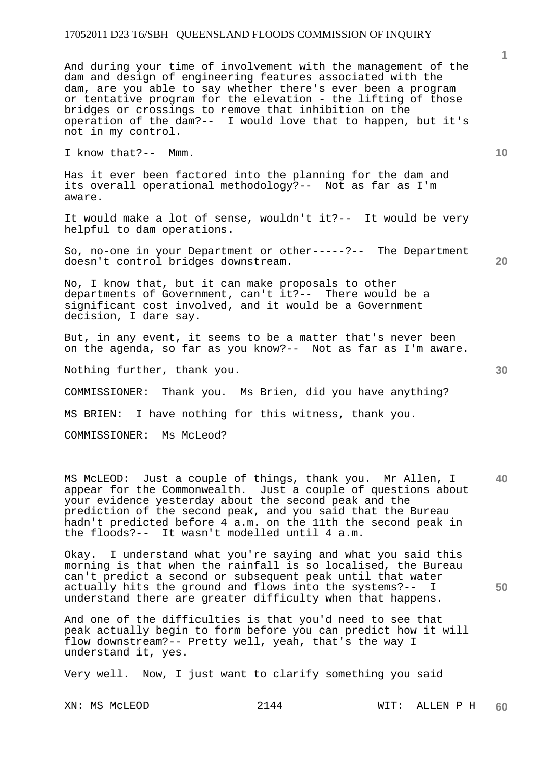And during your time of involvement with the management of the dam and design of engineering features associated with the dam, are you able to say whether there's ever been a program or tentative program for the elevation - the lifting of those bridges or crossings to remove that inhibition on the operation of the dam?-- I would love that to happen, but it's not in my control.

I know that?-- Mmm.

Has it ever been factored into the planning for the dam and its overall operational methodology?-- Not as far as I'm aware.

It would make a lot of sense, wouldn't it?-- It would be very helpful to dam operations.

So, no-one in your Department or other-----?-- The Department doesn't control bridges downstream.

No, I know that, but it can make proposals to other departments of Government, can't it?-- There would be a significant cost involved, and it would be a Government decision, I dare say.

But, in any event, it seems to be a matter that's never been on the agenda, so far as you know?-- Not as far as I'm aware.

Nothing further, thank you.

COMMISSIONER: Thank you. Ms Brien, did you have anything?

MS BRIEN: I have nothing for this witness, thank you.

COMMISSIONER: Ms McLeod?

**40**  MS McLEOD: Just a couple of things, thank you. Mr Allen, I appear for the Commonwealth. Just a couple of questions about your evidence yesterday about the second peak and the prediction of the second peak, and you said that the Bureau hadn't predicted before 4 a.m. on the 11th the second peak in the floods?-- It wasn't modelled until 4 a.m.

Okay. I understand what you're saying and what you said this morning is that when the rainfall is so localised, the Bureau can't predict a second or subsequent peak until that water actually hits the ground and flows into the systems?-- I understand there are greater difficulty when that happens.

And one of the difficulties is that you'd need to see that peak actually begin to form before you can predict how it will flow downstream?-- Pretty well, yeah, that's the way I understand it, yes.

Very well. Now, I just want to clarify something you said

**1**

**10** 

**30** 

**50**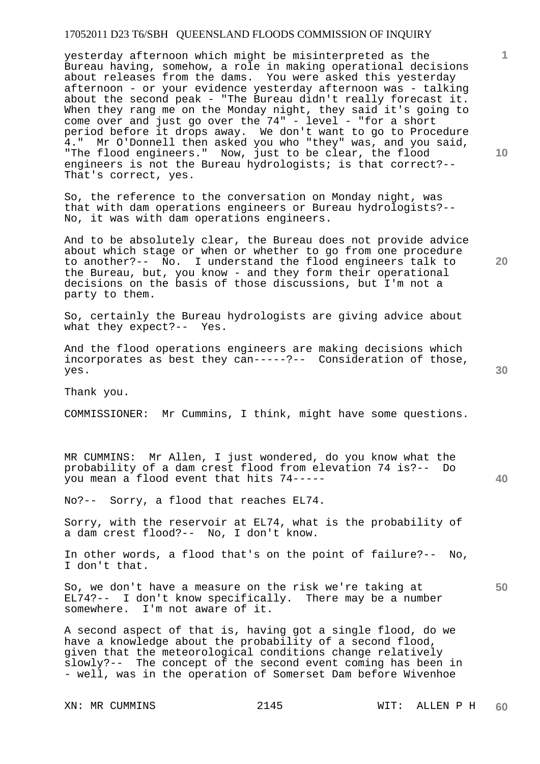yesterday afternoon which might be misinterpreted as the Bureau having, somehow, a role in making operational decisions about releases from the dams. You were asked this yesterday afternoon - or your evidence yesterday afternoon was - talking about the second peak - "The Bureau didn't really forecast it. When they rang me on the Monday night, they said it's going to come over and just go over the 74" - level - "for a short period before it drops away. We don't want to go to Procedure 4." Mr O'Donnell then asked you who "they" was, and you said, "The flood engineers." Now, just to be clear, the flood engineers is not the Bureau hydrologists; is that correct?-- That's correct, yes.

So, the reference to the conversation on Monday night, was that with dam operations engineers or Bureau hydrologists?-- No, it was with dam operations engineers.

And to be absolutely clear, the Bureau does not provide advice about which stage or when or whether to go from one procedure to another?-- No. I understand the flood engineers talk to the Bureau, but, you know - and they form their operational decisions on the basis of those discussions, but I'm not a party to them.

So, certainly the Bureau hydrologists are giving advice about what they expect?-- Yes.

And the flood operations engineers are making decisions which incorporates as best they can-----?-- Consideration of those, yes.

Thank you.

COMMISSIONER: Mr Cummins, I think, might have some questions.

MR CUMMINS: Mr Allen, I just wondered, do you know what the probability of a dam crest flood from elevation 74 is?-- Do you mean a flood event that hits 74-----

No?-- Sorry, a flood that reaches EL74.

Sorry, with the reservoir at EL74, what is the probability of a dam crest flood?-- No, I don't know.

In other words, a flood that's on the point of failure?-- No, I don't that.

So, we don't have a measure on the risk we're taking at EL74?-- I don't know specifically. There may be a number somewhere. I'm not aware of it.

A second aspect of that is, having got a single flood, do we have a knowledge about the probability of a second flood, given that the meteorological conditions change relatively slowly?-- The concept of the second event coming has been in - well, was in the operation of Somerset Dam before Wivenhoe

**10** 

**1**

**30** 

**20** 

**40**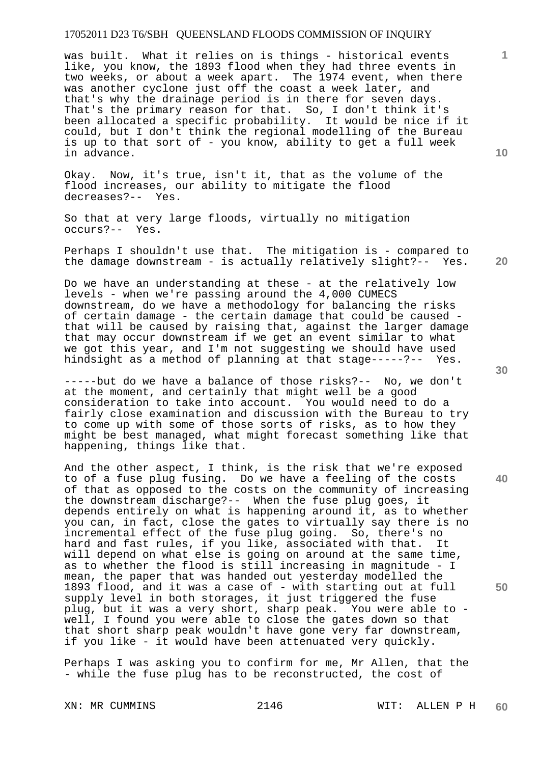was built. What it relies on is things - historical events like, you know, the 1893 flood when they had three events in two weeks, or about a week apart. The 1974 event, when there was another cyclone just off the coast a week later, and that's why the drainage period is in there for seven days. That's the primary reason for that. So, I don't think it's been allocated a specific probability. It would be nice if it could, but I don't think the regional modelling of the Bureau is up to that sort of - you know, ability to get a full week in advance.

Okay. Now, it's true, isn't it, that as the volume of the flood increases, our ability to mitigate the flood decreases?-- Yes.

So that at very large floods, virtually no mitigation occurs?-- Yes.

Perhaps I shouldn't use that. The mitigation is - compared to the damage downstream - is actually relatively slight?-- Yes.

Do we have an understanding at these - at the relatively low levels - when we're passing around the 4,000 CUMECS downstream, do we have a methodology for balancing the risks of certain damage - the certain damage that could be caused that will be caused by raising that, against the larger damage that may occur downstream if we get an event similar to what we got this year, and I'm not suggesting we should have used hindsight as a method of planning at that stage-----?-- Yes.

-----but do we have a balance of those risks?-- No, we don't at the moment, and certainly that might well be a good consideration to take into account. You would need to do a fairly close examination and discussion with the Bureau to try to come up with some of those sorts of risks, as to how they might be best managed, what might forecast something like that happening, things like that.

And the other aspect, I think, is the risk that we're exposed to of a fuse plug fusing. Do we have a feeling of the costs of that as opposed to the costs on the community of increasing the downstream discharge?-- When the fuse plug goes, it depends entirely on what is happening around it, as to whether you can, in fact, close the gates to virtually say there is no incremental effect of the fuse plug going. So, there's no hard and fast rules, if you like, associated with that. It will depend on what else is going on around at the same time, as to whether the flood is still increasing in magnitude - I mean, the paper that was handed out yesterday modelled the 1893 flood, and it was a case of - with starting out at full supply level in both storages, it just triggered the fuse plug, but it was a very short, sharp peak. You were able to well, I found you were able to close the gates down so that that short sharp peak wouldn't have gone very far downstream, if you like - it would have been attenuated very quickly.

Perhaps I was asking you to confirm for me, Mr Allen, that the - while the fuse plug has to be reconstructed, the cost of

**20** 

**40** 

**50** 

**1**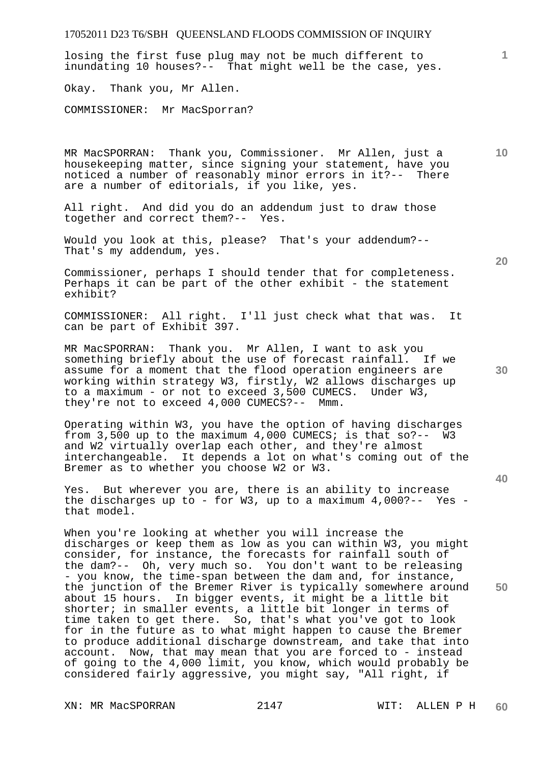# 17052011 D23 T6/SBH QUEENSLAND FLOODS COMMISSION OF INQUIRY **1 10 20 30 40 50**  losing the first fuse plug may not be much different to inundating 10 houses?-- That might well be the case, yes. Okay. Thank you, Mr Allen. COMMISSIONER: Mr MacSporran? MR MacSPORRAN: Thank you, Commissioner. Mr Allen, just a housekeeping matter, since signing your statement, have you noticed a number of reasonably minor errors in it?-- There are a number of editorials, if you like, yes. All right. And did you do an addendum just to draw those together and correct them?-- Yes. Would you look at this, please? That's your addendum?-- That's my addendum, yes. Commissioner, perhaps I should tender that for completeness. Perhaps it can be part of the other exhibit - the statement exhibit? COMMISSIONER: All right. I'll just check what that was. It can be part of Exhibit 397. MR MacSPORRAN: Thank you. Mr Allen, I want to ask you something briefly about the use of forecast rainfall. If we assume for a moment that the flood operation engineers are working within strategy W3, firstly, W2 allows discharges up to a maximum - or not to exceed 3,500 CUMECS. Under W3, they're not to exceed 4,000 CUMECS?-- Mmm. Operating within W3, you have the option of having discharges from 3,500 up to the maximum 4,000 CUMECS; is that so?-- W3 and W2 virtually overlap each other, and they're almost interchangeable. It depends a lot on what's coming out of the Bremer as to whether you choose W2 or W3. Yes. But wherever you are, there is an ability to increase the discharges up to - for W3, up to a maximum  $4,000?$ -- Yes that model. When you're looking at whether you will increase the discharges or keep them as low as you can within W3, you might consider, for instance, the forecasts for rainfall south of the dam?-- Oh, very much so. You don't want to be releasing - you know, the time-span between the dam and, for instance, the junction of the Bremer River is typically somewhere around about 15 hours. In bigger events, it might be a little bit shorter; in smaller events, a little bit longer in terms of time taken to get there. So, that's what you've got to look for in the future as to what might happen to cause the Bremer to produce additional discharge downstream, and take that into account. Now, that may mean that you are forced to - instead

XN: MR MacSPORRAN 2147 WIT: ALLEN P H

of going to the 4,000 limit, you know, which would probably be considered fairly aggressive, you might say, "All right, if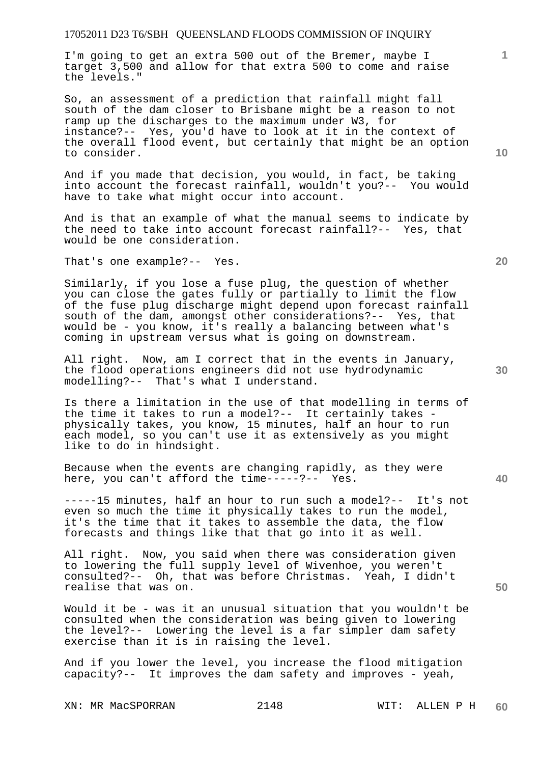I'm going to get an extra 500 out of the Bremer, maybe I target 3,500 and allow for that extra 500 to come and raise the levels."

So, an assessment of a prediction that rainfall might fall south of the dam closer to Brisbane might be a reason to not ramp up the discharges to the maximum under W3, for instance?-- Yes, you'd have to look at it in the context of the overall flood event, but certainly that might be an option to consider.

And if you made that decision, you would, in fact, be taking into account the forecast rainfall, wouldn't you?-- You would have to take what might occur into account.

And is that an example of what the manual seems to indicate by the need to take into account forecast rainfall?-- Yes, that would be one consideration.

That's one example?-- Yes.

Similarly, if you lose a fuse plug, the question of whether you can close the gates fully or partially to limit the flow of the fuse plug discharge might depend upon forecast rainfall south of the dam, amongst other considerations?-- Yes, that would be - you know, it's really a balancing between what's coming in upstream versus what is going on downstream.

All right. Now, am I correct that in the events in January, the flood operations engineers did not use hydrodynamic modelling?-- That's what I understand.

Is there a limitation in the use of that modelling in terms of the time it takes to run a model?-- It certainly takes physically takes, you know, 15 minutes, half an hour to run each model, so you can't use it as extensively as you might like to do in hindsight.

Because when the events are changing rapidly, as they were here, you can't afford the time-----?-- Yes.

-----15 minutes, half an hour to run such a model?-- It's not even so much the time it physically takes to run the model, it's the time that it takes to assemble the data, the flow forecasts and things like that that go into it as well.

All right. Now, you said when there was consideration given to lowering the full supply level of Wivenhoe, you weren't consulted?-- Oh, that was before Christmas. Yeah, I didn't realise that was on.

Would it be - was it an unusual situation that you wouldn't be consulted when the consideration was being given to lowering the level?-- Lowering the level is a far simpler dam safety exercise than it is in raising the level.

And if you lower the level, you increase the flood mitigation capacity?-- It improves the dam safety and improves - yeah,

**10** 

**1**

**30** 

**20**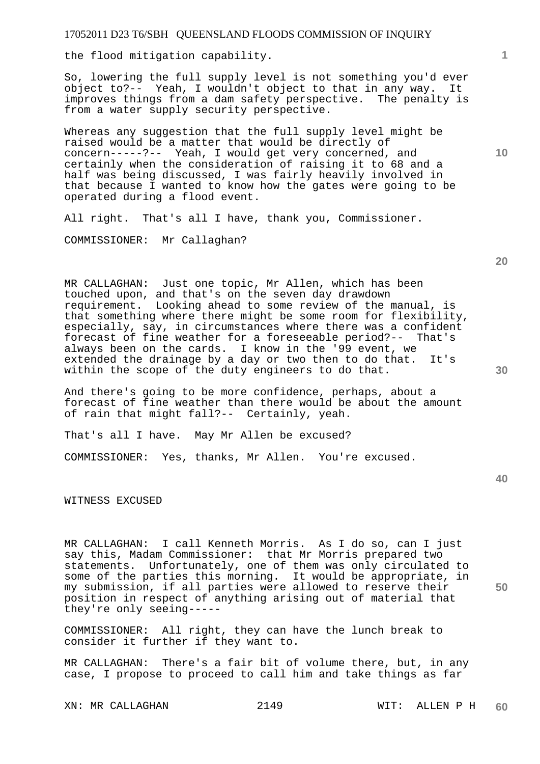17052011 D23 T6/SBH QUEENSLAND FLOODS COMMISSION OF INQUIRY the flood mitigation capability.

So, lowering the full supply level is not something you'd ever object to?-- Yeah, I wouldn't object to that in any way. It improves things from a dam safety perspective. The penalty is from a water supply security perspective.

Whereas any suggestion that the full supply level might be raised would be a matter that would be directly of concern-----?-- Yeah, I would get very concerned, and certainly when the consideration of raising it to 68 and a half was being discussed, I was fairly heavily involved in that because I wanted to know how the gates were going to be operated during a flood event.

All right. That's all I have, thank you, Commissioner.

COMMISSIONER: Mr Callaghan?

MR CALLAGHAN: Just one topic, Mr Allen, which has been touched upon, and that's on the seven day drawdown requirement. Looking ahead to some review of the manual, is that something where there might be some room for flexibility, especially, say, in circumstances where there was a confident forecast of fine weather for a foreseeable period?-- That's always been on the cards. I know in the '99 event, we extended the drainage by a day or two then to do that. It's within the scope of the duty engineers to do that.

And there's going to be more confidence, perhaps, about a forecast of fine weather than there would be about the amount of rain that might fall?-- Certainly, yeah.

That's all I have. May Mr Allen be excused?

COMMISSIONER: Yes, thanks, Mr Allen. You're excused.

WITNESS EXCUSED

MR CALLAGHAN: I call Kenneth Morris. As I do so, can I just say this, Madam Commissioner: that Mr Morris prepared two statements. Unfortunately, one of them was only circulated to some of the parties this morning. It would be appropriate, in my submission, if all parties were allowed to reserve their position in respect of anything arising out of material that they're only seeing-----

COMMISSIONER: All right, they can have the lunch break to consider it further if they want to.

MR CALLAGHAN: There's a fair bit of volume there, but, in any case, I propose to proceed to call him and take things as far

**40** 

**50** 

**20** 

**10**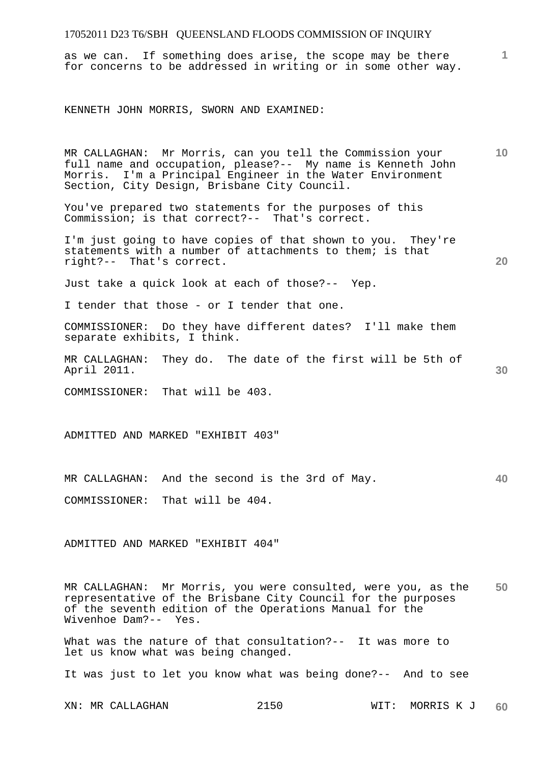as we can. If something does arise, the scope may be there for concerns to be addressed in writing or in some other way.

KENNETH JOHN MORRIS, SWORN AND EXAMINED:

MR CALLAGHAN: Mr Morris, can you tell the Commission your full name and occupation, please?-- My name is Kenneth John Morris. I'm a Principal Engineer in the Water Environment Section, City Design, Brisbane City Council.

You've prepared two statements for the purposes of this Commission; is that correct?-- That's correct.

I'm just going to have copies of that shown to you. They're statements with a number of attachments to them; is that right?-- That's correct.

Just take a quick look at each of those?-- Yep.

I tender that those - or I tender that one.

COMMISSIONER: Do they have different dates? I'll make them separate exhibits, I think.

MR CALLAGHAN: They do. The date of the first will be 5th of April 2011.

COMMISSIONER: That will be 403.

ADMITTED AND MARKED "EXHIBIT 403"

**40**  MR CALLAGHAN: And the second is the 3rd of May.

COMMISSIONER: That will be 404.

ADMITTED AND MARKED "EXHIBIT 404"

**50**  MR CALLAGHAN: Mr Morris, you were consulted, were you, as the representative of the Brisbane City Council for the purposes of the seventh edition of the Operations Manual for the Wivenhoe Dam?-- Yes.

What was the nature of that consultation?-- It was more to let us know what was being changed.

It was just to let you know what was being done?-- And to see

XN: MR CALLAGHAN 2150 WIT: MORRIS K J **60** 

**30** 

**20** 

**1**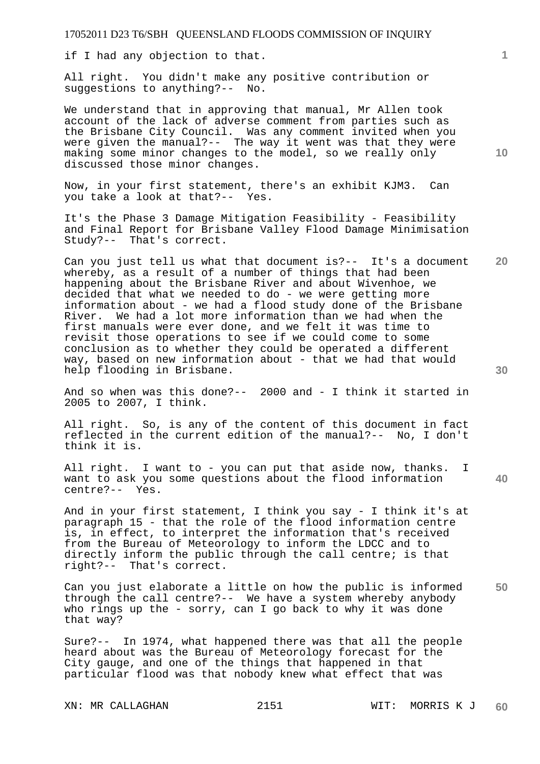if I had any objection to that.

All right. You didn't make any positive contribution or suggestions to anything?-- No.

We understand that in approving that manual, Mr Allen took account of the lack of adverse comment from parties such as the Brisbane City Council. Was any comment invited when you were given the manual?-- The way it went was that they were making some minor changes to the model, so we really only discussed those minor changes.

Now, in your first statement, there's an exhibit KJM3. Can you take a look at that?-- Yes.

It's the Phase 3 Damage Mitigation Feasibility - Feasibility and Final Report for Brisbane Valley Flood Damage Minimisation Study?-- That's correct.

**20**  Can you just tell us what that document is?-- It's a document whereby, as a result of a number of things that had been happening about the Brisbane River and about Wivenhoe, we decided that what we needed to do - we were getting more information about - we had a flood study done of the Brisbane River. We had a lot more information than we had when the first manuals were ever done, and we felt it was time to revisit those operations to see if we could come to some conclusion as to whether they could be operated a different way, based on new information about - that we had that would help flooding in Brisbane.

And so when was this done?-- 2000 and - I think it started in 2005 to 2007, I think.

All right. So, is any of the content of this document in fact reflected in the current edition of the manual?-- No, I don't think it is.

All right. I want to - you can put that aside now, thanks. I want to ask you some questions about the flood information centre?-- Yes.

And in your first statement, I think you say - I think it's at paragraph 15 - that the role of the flood information centre is, in effect, to interpret the information that's received from the Bureau of Meteorology to inform the LDCC and to directly inform the public through the call centre; is that right?-- That's correct.

**50**  Can you just elaborate a little on how the public is informed through the call centre?-- We have a system whereby anybody who rings up the - sorry, can I go back to why it was done that way?

Sure?-- In 1974, what happened there was that all the people heard about was the Bureau of Meteorology forecast for the City gauge, and one of the things that happened in that particular flood was that nobody knew what effect that was

**1**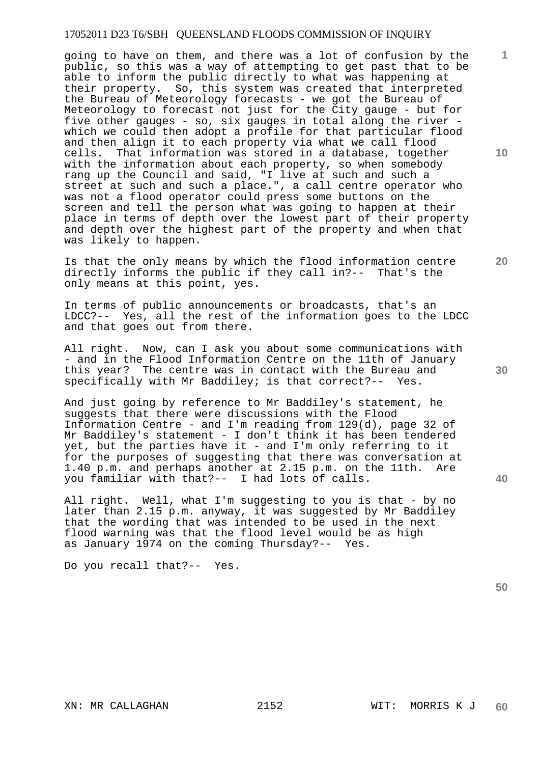going to have on them, and there was a lot of confusion by the public, so this was a way of attempting to get past that to be able to inform the public directly to what was happening at their property. So, this system was created that interpreted the Bureau of Meteorology forecasts - we got the Bureau of Meteorology to forecast not just for the City gauge - but for five other gauges - so, six gauges in total along the river which we could then adopt a profile for that particular flood and then align it to each property via what we call flood cells. That information was stored in a database, together with the information about each property, so when somebody rang up the Council and said, "I live at such and such a street at such and such a place.", a call centre operator who was not a flood operator could press some buttons on the screen and tell the person what was going to happen at their place in terms of depth over the lowest part of their property and depth over the highest part of the property and when that was likely to happen.

Is that the only means by which the flood information centre directly informs the public if they call in?-- That's the only means at this point, yes.

In terms of public announcements or broadcasts, that's an LDCC?-- Yes, all the rest of the information goes to the LDCC and that goes out from there.

All right. Now, can I ask you about some communications with - and in the Flood Information Centre on the 11th of January this year? The centre was in contact with the Bureau and specifically with Mr Baddiley; is that correct?-- Yes.

And just going by reference to Mr Baddiley's statement, he suggests that there were discussions with the Flood Information Centre - and I'm reading from 129(d), page 32 of Mr Baddiley's statement - I don't think it has been tendered yet, but the parties have it - and I'm only referring to it for the purposes of suggesting that there was conversation at 1.40 p.m. and perhaps another at 2.15 p.m. on the 11th. Are you familiar with that?-- I had lots of calls.

All right. Well, what I'm suggesting to you is that - by no later than 2.15 p.m. anyway, it was suggested by Mr Baddiley that the wording that was intended to be used in the next flood warning was that the flood level would be as high as January 1974 on the coming Thursday?-- Yes.

Do you recall that?-- Yes.

**10** 

**1**

**20** 

**30** 

**40**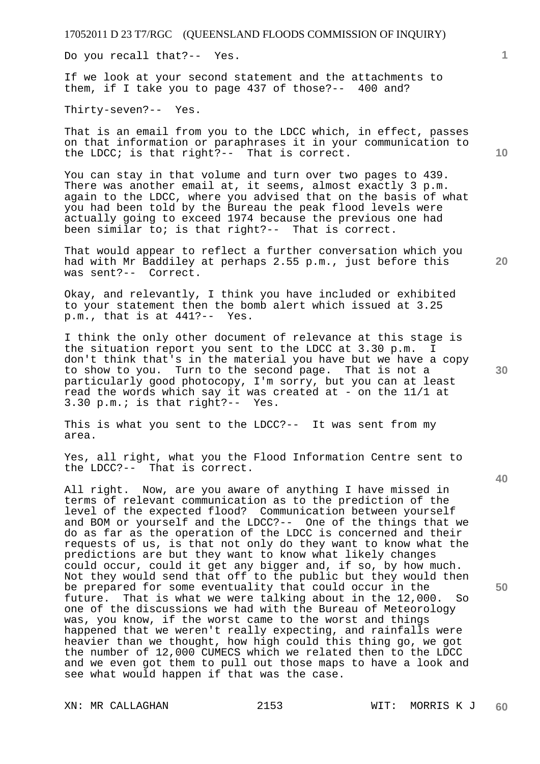Do you recall that?-- Yes.

If we look at your second statement and the attachments to them, if I take you to page 437 of those?-- 400 and?

Thirty-seven?-- Yes.

That is an email from you to the LDCC which, in effect, passes on that information or paraphrases it in your communication to the LDCC; is that right?-- That is correct.

You can stay in that volume and turn over two pages to 439. There was another email at, it seems, almost exactly 3 p.m. again to the LDCC, where you advised that on the basis of what you had been told by the Bureau the peak flood levels were actually going to exceed 1974 because the previous one had been similar to; is that right?-- That is correct.

That would appear to reflect a further conversation which you had with Mr Baddiley at perhaps 2.55 p.m., just before this was sent?-- Correct.

Okay, and relevantly, I think you have included or exhibited to your statement then the bomb alert which issued at 3.25 p.m., that is at 441?-- Yes.

I think the only other document of relevance at this stage is the situation report you sent to the LDCC at 3.30 p.m. I don't think that's in the material you have but we have a copy to show to you. Turn to the second page. That is not a particularly good photocopy, I'm sorry, but you can at least read the words which say it was created at - on the 11/1 at 3.30 p.m.; is that right?-- Yes.

This is what you sent to the LDCC?-- It was sent from my area.

Yes, all right, what you the Flood Information Centre sent to the LDCC?-- That is correct.

All right. Now, are you aware of anything I have missed in terms of relevant communication as to the prediction of the level of the expected flood? Communication between yourself and BOM or yourself and the LDCC?-- One of the things that we do as far as the operation of the LDCC is concerned and their requests of us, is that not only do they want to know what the predictions are but they want to know what likely changes could occur, could it get any bigger and, if so, by how much. Not they would send that off to the public but they would then be prepared for some eventuality that could occur in the future. That is what we were talking about in the 12,000. So one of the discussions we had with the Bureau of Meteorology was, you know, if the worst came to the worst and things happened that we weren't really expecting, and rainfalls were heavier than we thought, how high could this thing go, we got the number of 12,000 CUMECS which we related then to the LDCC and we even got them to pull out those maps to have a look and see what would happen if that was the case.

**10** 

**1**

**20** 

**30** 

**40**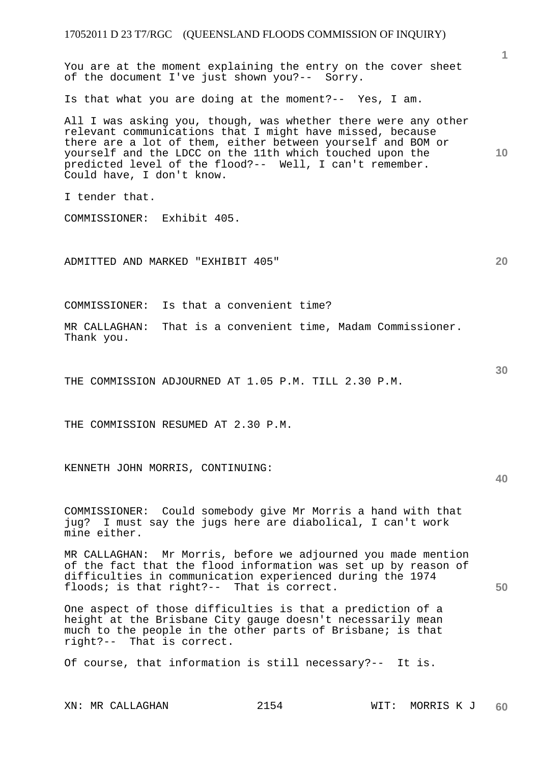| 17052011 D 23 T7/RGC (QUEENSLAND FLOODS COMMISSION OF INQUIRY)                                                                                                                                                                                                                                                                                 |                 |
|------------------------------------------------------------------------------------------------------------------------------------------------------------------------------------------------------------------------------------------------------------------------------------------------------------------------------------------------|-----------------|
| You are at the moment explaining the entry on the cover sheet<br>of the document I've just shown you?-- Sorry.                                                                                                                                                                                                                                 | 1               |
| Is that what you are doing at the moment?-- Yes, I am.                                                                                                                                                                                                                                                                                         |                 |
| All I was asking you, though, was whether there were any other<br>relevant communications that I might have missed, because<br>there are a lot of them, either between yourself and BOM or<br>yourself and the LDCC on the 11th which touched upon the<br>predicted level of the flood?-- Well, I can't remember.<br>Could have, I don't know. | 10 <sup>°</sup> |
| I tender that.                                                                                                                                                                                                                                                                                                                                 |                 |
| COMMISSIONER: Exhibit 405.                                                                                                                                                                                                                                                                                                                     |                 |
| ADMITTED AND MARKED "EXHIBIT 405"                                                                                                                                                                                                                                                                                                              | 20              |
| Is that a convenient time?<br>COMMISSIONER:                                                                                                                                                                                                                                                                                                    |                 |
| That is a convenient time, Madam Commissioner.<br>MR CALLAGHAN:<br>Thank you.                                                                                                                                                                                                                                                                  |                 |
| THE COMMISSION ADJOURNED AT 1.05 P.M. TILL 2.30 P.M.                                                                                                                                                                                                                                                                                           | 30              |
| THE COMMISSION RESUMED AT 2.30 P.M.                                                                                                                                                                                                                                                                                                            |                 |
| KENNETH JOHN MORRIS, CONTINUING:                                                                                                                                                                                                                                                                                                               | 40              |
| COMMISSIONER: Could somebody give Mr Morris a hand with that<br>jug? I must say the jugs here are diabolical, I can't work<br>mine either.                                                                                                                                                                                                     |                 |
| MR CALLAGHAN: Mr Morris, before we adjourned you made mention<br>of the fact that the flood information was set up by reason of<br>difficulties in communication experienced during the 1974<br>floods; is that right?-- That is correct.                                                                                                      | 50              |
| One aspect of those difficulties is that a prediction of a<br>height at the Brisbane City gauge doesn't necessarily mean<br>much to the people in the other parts of Brisbane; is that<br>right?-- That is correct.                                                                                                                            |                 |
| Of course, that information is still necessary?-- It is.                                                                                                                                                                                                                                                                                       |                 |
|                                                                                                                                                                                                                                                                                                                                                |                 |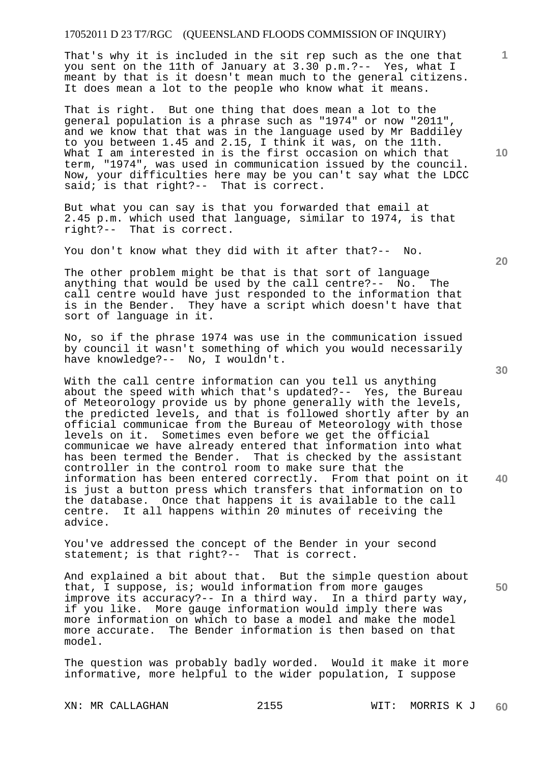That's why it is included in the sit rep such as the one that you sent on the 11th of January at 3.30 p.m.?-- Yes, what I meant by that is it doesn't mean much to the general citizens. It does mean a lot to the people who know what it means.

That is right. But one thing that does mean a lot to the general population is a phrase such as "1974" or now "2011", and we know that that was in the language used by Mr Baddiley to you between 1.45 and 2.15, I think it was, on the 11th. What I am interested in is the first occasion on which that term, "1974", was used in communication issued by the council. Now, your difficulties here may be you can't say what the LDCC said; is that right?-- That is correct.

But what you can say is that you forwarded that email at 2.45 p.m. which used that language, similar to 1974, is that right?-- That is correct.

You don't know what they did with it after that?-- No.

The other problem might be that is that sort of language anything that would be used by the call centre?-- No. The call centre would have just responded to the information that is in the Bender. They have a script which doesn't have that sort of language in it.

No, so if the phrase 1974 was use in the communication issued by council it wasn't something of which you would necessarily have knowledge?-- No, I wouldn't.

With the call centre information can you tell us anything about the speed with which that's updated?-- Yes, the Bureau of Meteorology provide us by phone generally with the levels, the predicted levels, and that is followed shortly after by an official communicae from the Bureau of Meteorology with those levels on it. Sometimes even before we get the official communicae we have already entered that information into what has been termed the Bender. That is checked by the assistant controller in the control room to make sure that the information has been entered correctly. From that point on it is just a button press which transfers that information on to the database. Once that happens it is available to the call centre. It all happens within 20 minutes of receiving the advice.

You've addressed the concept of the Bender in your second statement; is that right?-- That is correct.

And explained a bit about that. But the simple question about that, I suppose, is; would information from more gauges improve its accuracy?-- In a third way. In a third party way, if you like. More gauge information would imply there was more information on which to base a model and make the model more accurate. The Bender information is then based on that model.

The question was probably badly worded. Would it make it more informative, more helpful to the wider population, I suppose

**10** 

**1**

**30** 

**20** 

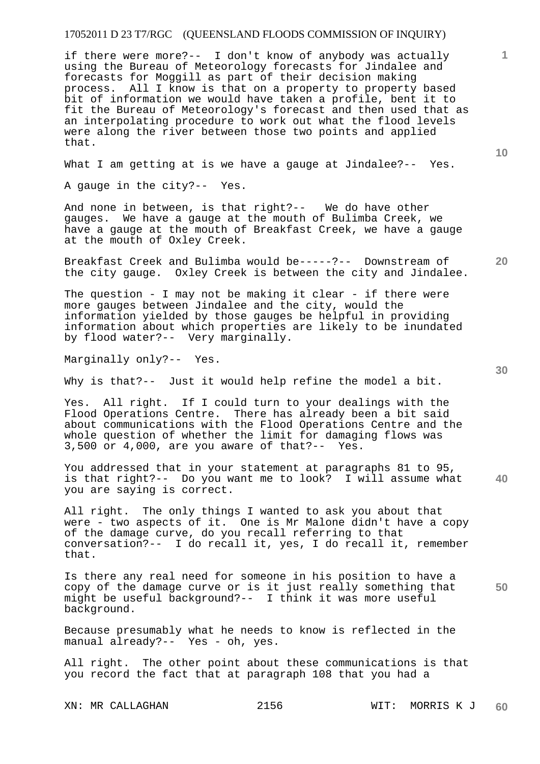if there were more?-- I don't know of anybody was actually using the Bureau of Meteorology forecasts for Jindalee and forecasts for Moggill as part of their decision making process. All I know is that on a property to property based bit of information we would have taken a profile, bent it to fit the Bureau of Meteorology's forecast and then used that as an interpolating procedure to work out what the flood levels were along the river between those two points and applied that.

What I am getting at is we have a gauge at Jindalee?-- Yes.

A gauge in the city?-- Yes.

And none in between, is that right?-- We do have other gauges. We have a gauge at the mouth of Bulimba Creek, we have a gauge at the mouth of Breakfast Creek, we have a gauge at the mouth of Oxley Creek.

Breakfast Creek and Bulimba would be-----?-- Downstream of the city gauge. Oxley Creek is between the city and Jindalee.

The question - I may not be making it clear - if there were more gauges between Jindalee and the city, would the information yielded by those gauges be helpful in providing information about which properties are likely to be inundated by flood water?-- Very marginally.

Marginally only?-- Yes.

Why is that?-- Just it would help refine the model a bit.

Yes. All right. If I could turn to your dealings with the Flood Operations Centre. There has already been a bit said about communications with the Flood Operations Centre and the whole question of whether the limit for damaging flows was 3,500 or 4,000, are you aware of that?-- Yes.

**40**  You addressed that in your statement at paragraphs 81 to 95, is that right?-- Do you want me to look? I will assume what you are saying is correct.

All right. The only things I wanted to ask you about that were - two aspects of it. One is Mr Malone didn't have a copy of the damage curve, do you recall referring to that conversation?-- I do recall it, yes, I do recall it, remember that.

**50**  Is there any real need for someone in his position to have a copy of the damage curve or is it just really something that might be useful background?-- I think it was more useful background.

Because presumably what he needs to know is reflected in the manual already?-- Yes - oh, yes.

All right. The other point about these communications is that you record the fact that at paragraph 108 that you had a

**1**

**10** 

**20**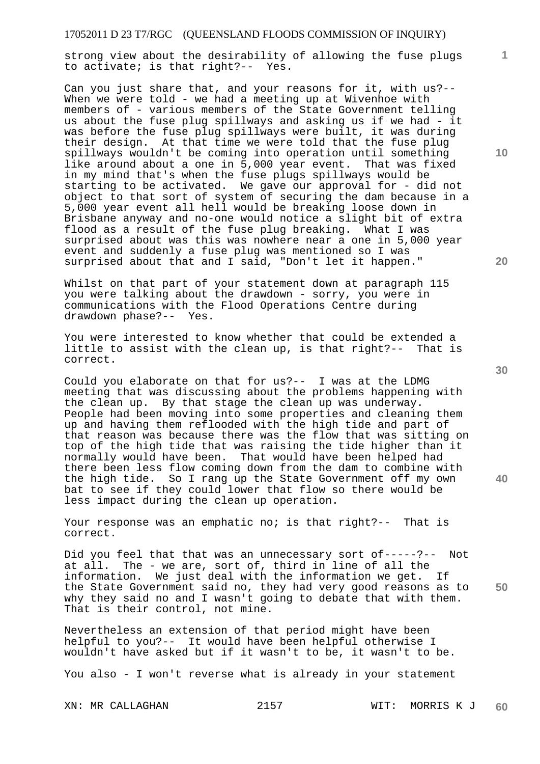strong view about the desirability of allowing the fuse plugs to activate; is that right?-- Yes.

Can you just share that, and your reasons for it, with us?-- When we were told - we had a meeting up at Wivenhoe with members of - various members of the State Government telling us about the fuse plug spillways and asking us if we had - it was before the fuse plug spillways were built, it was during their design. At that time we were told that the fuse plug spillways wouldn't be coming into operation until something like around about a one in 5,000 year event. That was fixed in my mind that's when the fuse plugs spillways would be starting to be activated. We gave our approval for - did not object to that sort of system of securing the dam because in a 5,000 year event all hell would be breaking loose down in Brisbane anyway and no-one would notice a slight bit of extra flood as a result of the fuse plug breaking. What I was surprised about was this was nowhere near a one in 5,000 year event and suddenly a fuse plug was mentioned so I was surprised about that and I said, "Don't let it happen."

Whilst on that part of your statement down at paragraph 115 you were talking about the drawdown - sorry, you were in communications with the Flood Operations Centre during drawdown phase?-- Yes.

You were interested to know whether that could be extended a little to assist with the clean up, is that right?-- That is correct.

Could you elaborate on that for us?-- I was at the LDMG meeting that was discussing about the problems happening with the clean up. By that stage the clean up was underway. People had been moving into some properties and cleaning them up and having them reflooded with the high tide and part of that reason was because there was the flow that was sitting on top of the high tide that was raising the tide higher than it normally would have been. That would have been helped had there been less flow coming down from the dam to combine with the high tide. So I rang up the State Government off my own bat to see if they could lower that flow so there would be less impact during the clean up operation.

Your response was an emphatic no; is that right?-- That is correct.

Did you feel that that was an unnecessary sort of-----?-- Not at all. The - we are, sort of, third in line of all the information. We just deal with the information we get. If the State Government said no, they had very good reasons as to why they said no and I wasn't going to debate that with them. That is their control, not mine.

Nevertheless an extension of that period might have been helpful to you?-- It would have been helpful otherwise I wouldn't have asked but if it wasn't to be, it wasn't to be.

You also - I won't reverse what is already in your statement

XN: MR CALLAGHAN 2157 WIT: MORRIS K J **60** 

**10** 

**1**

**20** 

**40**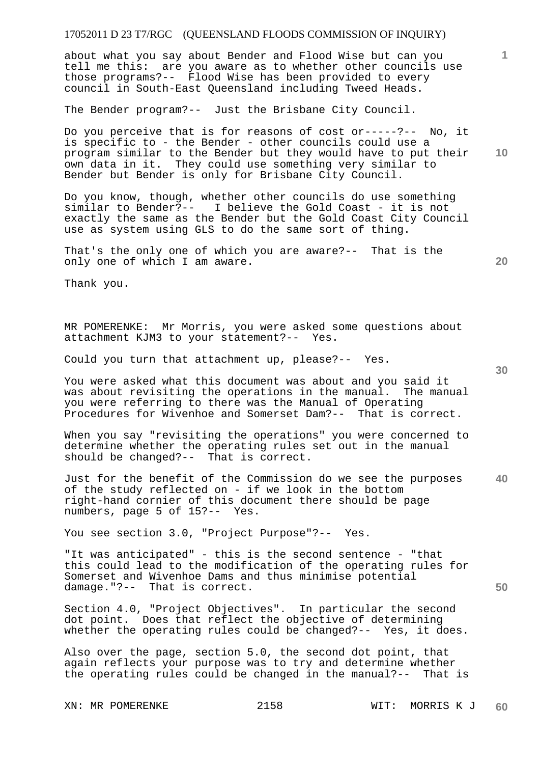about what you say about Bender and Flood Wise but can you tell me this: are you aware as to whether other councils use those programs?-- Flood Wise has been provided to every council in South-East Queensland including Tweed Heads.

The Bender program?-- Just the Brisbane City Council.

**10**  Do you perceive that is for reasons of cost or-----?-- No, it is specific to - the Bender - other councils could use a program similar to the Bender but they would have to put their own data in it. They could use something very similar to Bender but Bender is only for Brisbane City Council.

Do you know, though, whether other councils do use something similar to Bender?-- I believe the Gold Coast - it is not exactly the same as the Bender but the Gold Coast City Council use as system using GLS to do the same sort of thing.

That's the only one of which you are aware?-- That is the only one of which I am aware.

**20** 

Thank you.

MR POMERENKE: Mr Morris, you were asked some questions about attachment KJM3 to your statement?-- Yes.

Could you turn that attachment up, please?-- Yes.

You were asked what this document was about and you said it was about revisiting the operations in the manual. The manual you were referring to there was the Manual of Operating Procedures for Wivenhoe and Somerset Dam?-- That is correct.

When you say "revisiting the operations" you were concerned to determine whether the operating rules set out in the manual should be changed?-- That is correct.

**40**  Just for the benefit of the Commission do we see the purposes of the study reflected on - if we look in the bottom right-hand cornier of this document there should be page numbers, page 5 of 15?-- Yes.

You see section 3.0, "Project Purpose"?-- Yes.

"It was anticipated" - this is the second sentence - "that this could lead to the modification of the operating rules for Somerset and Wivenhoe Dams and thus minimise potential damage."?-- That is correct.

Section 4.0, "Project Objectives". In particular the second dot point. Does that reflect the objective of determining whether the operating rules could be changed?-- Yes, it does.

Also over the page, section 5.0, the second dot point, that again reflects your purpose was to try and determine whether the operating rules could be changed in the manual?-- That is

**1**

**30**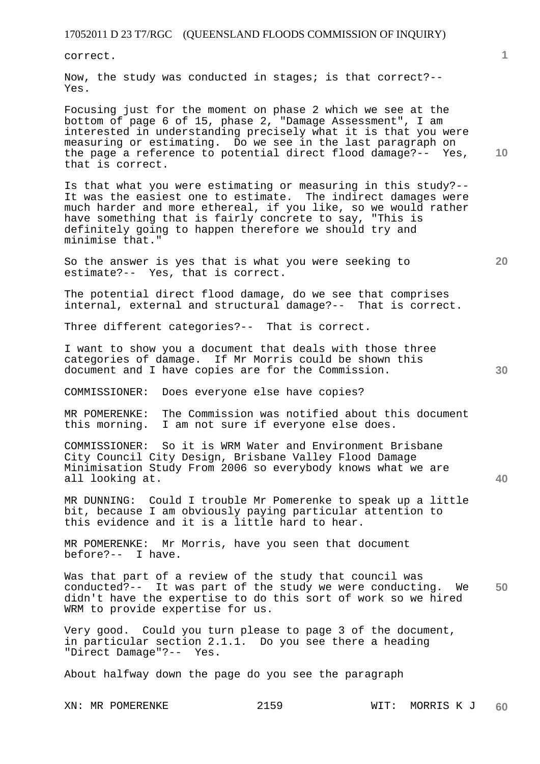correct.

Now, the study was conducted in stages; is that correct?-- Yes.

Focusing just for the moment on phase 2 which we see at the bottom of page 6 of 15, phase 2, "Damage Assessment", I am interested in understanding precisely what it is that you were measuring or estimating. Do we see in the last paragraph on the page a reference to potential direct flood damage?-- Yes, that is correct.

Is that what you were estimating or measuring in this study?-- It was the easiest one to estimate. The indirect damages were much harder and more ethereal, if you like, so we would rather have something that is fairly concrete to say, "This is definitely going to happen therefore we should try and minimise that."

So the answer is yes that is what you were seeking to estimate?-- Yes, that is correct.

The potential direct flood damage, do we see that comprises internal, external and structural damage?-- That is correct.

Three different categories?-- That is correct.

I want to show you a document that deals with those three categories of damage. If Mr Morris could be shown this document and I have copies are for the Commission.

COMMISSIONER: Does everyone else have copies?

MR POMERENKE: The Commission was notified about this document this morning. I am not sure if everyone else does.

COMMISSIONER: So it is WRM Water and Environment Brisbane City Council City Design, Brisbane Valley Flood Damage Minimisation Study From 2006 so everybody knows what we are all looking at.

MR DUNNING: Could I trouble Mr Pomerenke to speak up a little bit, because I am obviously paying particular attention to this evidence and it is a little hard to hear.

MR POMERENKE: Mr Morris, have you seen that document before?-- I have.

**50**  Was that part of a review of the study that council was conducted?-- It was part of the study we were conducting. We didn't have the expertise to do this sort of work so we hired WRM to provide expertise for us.

Very good. Could you turn please to page 3 of the document, in particular section 2.1.1. Do you see there a heading "Direct Damage"?-- Yes.

About halfway down the page do you see the paragraph

**20** 

**10** 

**1**

**30**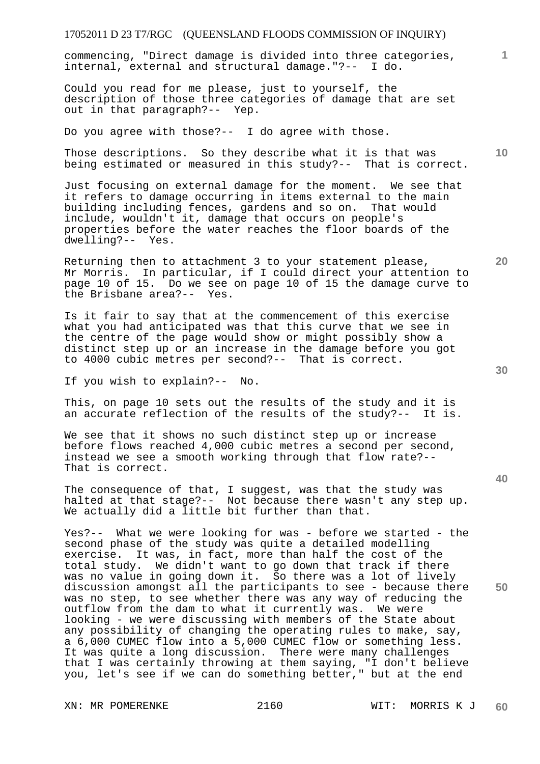commencing, "Direct damage is divided into three categories, internal, external and structural damage."?-- I do.

Could you read for me please, just to yourself, the description of those three categories of damage that are set out in that paragraph?-- Yep.

Do you agree with those?-- I do agree with those.

Those descriptions. So they describe what it is that was being estimated or measured in this study?-- That is correct.

Just focusing on external damage for the moment. We see that it refers to damage occurring in items external to the main building including fences, gardens and so on. That would include, wouldn't it, damage that occurs on people's properties before the water reaches the floor boards of the dwelling?-- Yes.

Returning then to attachment 3 to your statement please, Mr Morris. In particular, if I could direct your attention to page 10 of 15. Do we see on page 10 of 15 the damage curve to the Brisbane area?-- Yes.

Is it fair to say that at the commencement of this exercise what you had anticipated was that this curve that we see in the centre of the page would show or might possibly show a distinct step up or an increase in the damage before you got to 4000 cubic metres per second?-- That is correct.

If you wish to explain?-- No.

This, on page 10 sets out the results of the study and it is an accurate reflection of the results of the study?-- It is.

We see that it shows no such distinct step up or increase before flows reached 4,000 cubic metres a second per second, instead we see a smooth working through that flow rate?-- That is correct.

The consequence of that, I suggest, was that the study was halted at that stage?-- Not because there wasn't any step up. We actually did a little bit further than that.

Yes?-- What we were looking for was - before we started - the second phase of the study was quite a detailed modelling exercise. It was, in fact, more than half the cost of the total study. We didn't want to go down that track if there was no value in going down it. So there was a lot of lively discussion amongst all the participants to see - because there was no step, to see whether there was any way of reducing the outflow from the dam to what it currently was. We were looking - we were discussing with members of the State about any possibility of changing the operating rules to make, say, a 6,000 CUMEC flow into a 5,000 CUMEC flow or something less. It was quite a long discussion. There were many challenges that I was certainly throwing at them saying, "I don't believe you, let's see if we can do something better," but at the end

**20** 

**1**

**10** 

**40**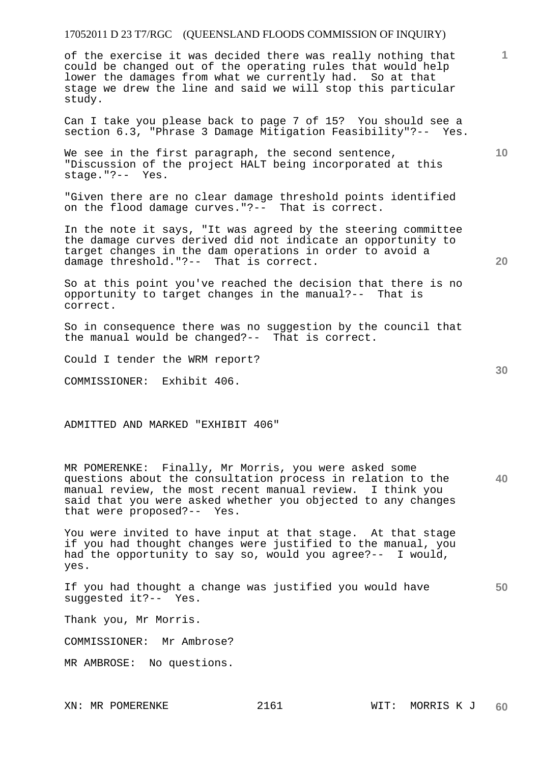of the exercise it was decided there was really nothing that could be changed out of the operating rules that would help lower the damages from what we currently had. So at that stage we drew the line and said we will stop this particular study.

Can I take you please back to page 7 of 15? You should see a section 6.3, "Phrase 3 Damage Mitigation Feasibility"?-- Yes.

We see in the first paragraph, the second sentence, "Discussion of the project HALT being incorporated at this stage."?-- Yes.

"Given there are no clear damage threshold points identified on the flood damage curves."?-- That is correct.

In the note it says, "It was agreed by the steering committee the damage curves derived did not indicate an opportunity to target changes in the dam operations in order to avoid a damage threshold."?-- That is correct.

So at this point you've reached the decision that there is no opportunity to target changes in the manual?-- That is correct.

So in consequence there was no suggestion by the council that the manual would be changed?-- That is correct.

Could I tender the WRM report?

COMMISSIONER: Exhibit 406.

ADMITTED AND MARKED "EXHIBIT 406"

**40**  MR POMERENKE: Finally, Mr Morris, you were asked some questions about the consultation process in relation to the manual review, the most recent manual review. I think you said that you were asked whether you objected to any changes that were proposed?-- Yes.

You were invited to have input at that stage. At that stage if you had thought changes were justified to the manual, you had the opportunity to say so, would you agree?-- I would, yes.

If you had thought a change was justified you would have suggested it?-- Yes.

Thank you, Mr Morris.

COMMISSIONER: Mr Ambrose?

MR AMBROSE: No questions.

**30** 

**50** 

**20** 

**10**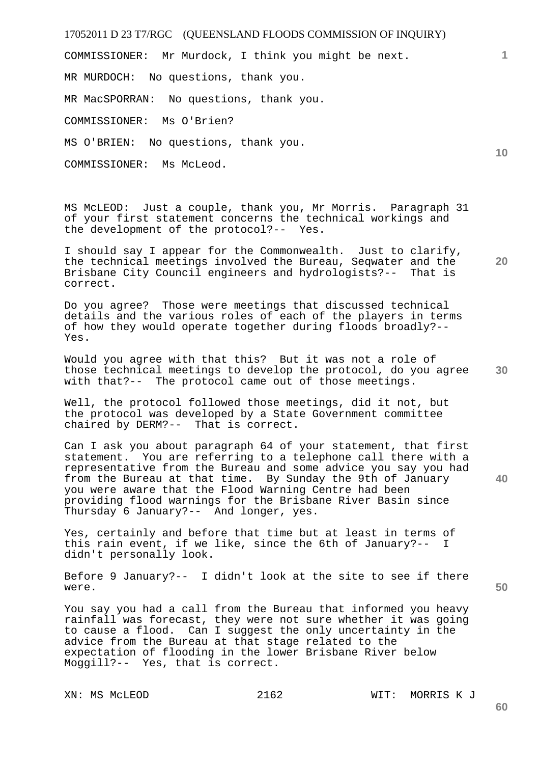COMMISSIONER: Mr Murdock, I think you might be next.

MR MURDOCH: No questions, thank you.

MR MacSPORRAN: No questions, thank you.

COMMISSIONER: Ms O'Brien?

MS O'BRIEN: No questions, thank you.

COMMISSIONER: Ms McLeod.

MS McLEOD: Just a couple, thank you, Mr Morris. Paragraph 31 of your first statement concerns the technical workings and the development of the protocol?-- Yes.

**20**  I should say I appear for the Commonwealth. Just to clarify, the technical meetings involved the Bureau, Seqwater and the Brisbane City Council engineers and hydrologists?-- That is correct.

Do you agree? Those were meetings that discussed technical details and the various roles of each of the players in terms of how they would operate together during floods broadly?-- Yes.

**30**  Would you agree with that this? But it was not a role of those technical meetings to develop the protocol, do you agree with that?-- The protocol came out of those meetings.

Well, the protocol followed those meetings, did it not, but the protocol was developed by a State Government committee chaired by DERM?-- That is correct.

Can I ask you about paragraph 64 of your statement, that first statement. You are referring to a telephone call there with a representative from the Bureau and some advice you say you had from the Bureau at that time. By Sunday the 9th of January you were aware that the Flood Warning Centre had been providing flood warnings for the Brisbane River Basin since Thursday 6 January?-- And longer, yes.

Yes, certainly and before that time but at least in terms of this rain event, if we like, since the 6th of January?-- I didn't personally look.

Before 9 January?-- I didn't look at the site to see if there were.

You say you had a call from the Bureau that informed you heavy rainfall was forecast, they were not sure whether it was going to cause a flood. Can I suggest the only uncertainty in the advice from the Bureau at that stage related to the expectation of flooding in the lower Brisbane River below Moggill?-- Yes, that is correct.

XN: MS McLEOD 2162 WIT: MORRIS K J

**60** 

**10** 

**1**

**40**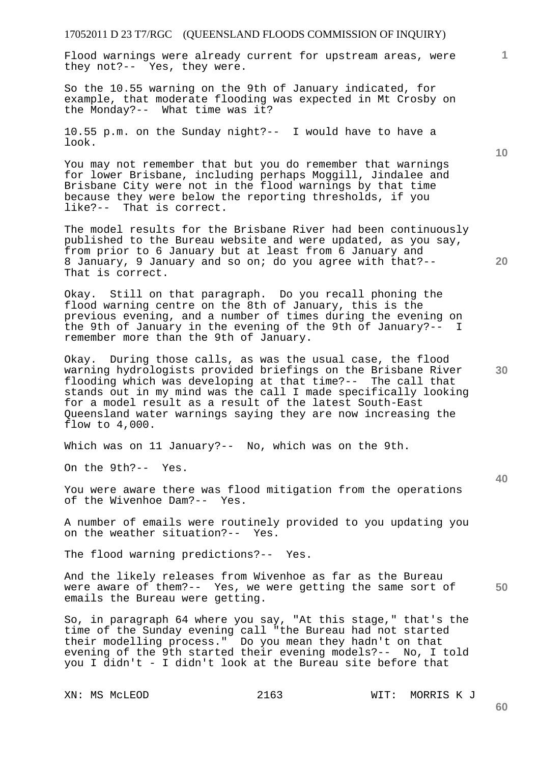Flood warnings were already current for upstream areas, were they not?-- Yes, they were.

So the 10.55 warning on the 9th of January indicated, for example, that moderate flooding was expected in Mt Crosby on the Monday?-- What time was it?

10.55 p.m. on the Sunday night?-- I would have to have a look.

You may not remember that but you do remember that warnings for lower Brisbane, including perhaps Moggill, Jindalee and Brisbane City were not in the flood warnings by that time because they were below the reporting thresholds, if you like?-- That is correct.

The model results for the Brisbane River had been continuously published to the Bureau website and were updated, as you say, from prior to 6 January but at least from 6 January and 8 January, 9 January and so on; do you agree with that?-- That is correct.

Okay. Still on that paragraph. Do you recall phoning the flood warning centre on the 8th of January, this is the previous evening, and a number of times during the evening on the 9th of January in the evening of the 9th of January?-- I remember more than the 9th of January.

Okay. During those calls, as was the usual case, the flood warning hydrologists provided briefings on the Brisbane River flooding which was developing at that time?-- The call that stands out in my mind was the call I made specifically looking for a model result as a result of the latest South-East Queensland water warnings saying they are now increasing the flow to 4,000.

Which was on 11 January?-- No, which was on the 9th.

On the 9th?-- Yes.

You were aware there was flood mitigation from the operations of the Wivenhoe Dam?-- Yes.

A number of emails were routinely provided to you updating you on the weather situation?-- Yes.

The flood warning predictions?-- Yes.

**50**  And the likely releases from Wivenhoe as far as the Bureau were aware of them?-- Yes, we were getting the same sort of emails the Bureau were getting.

So, in paragraph 64 where you say, "At this stage," that's the time of the Sunday evening call "the Bureau had not started their modelling process." Do you mean they hadn't on that evening of the 9th started their evening models?-- No, I told you I didn't - I didn't look at the Bureau site before that

**10** 



**30** 

**60**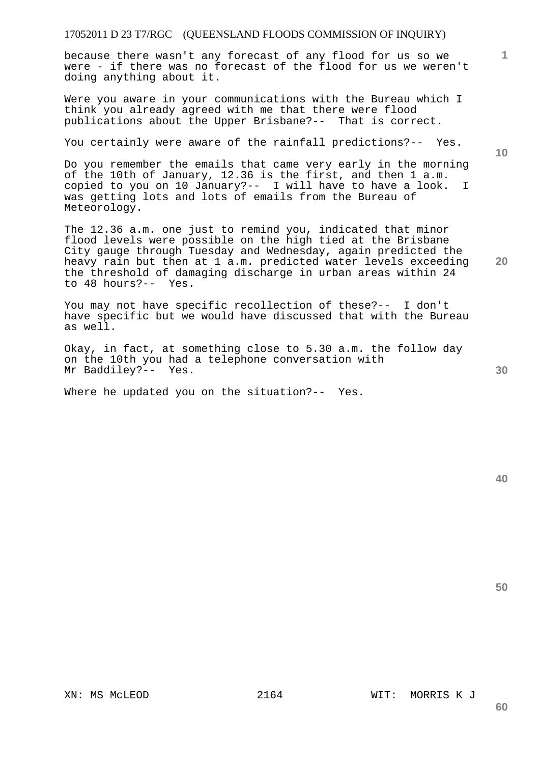because there wasn't any forecast of any flood for us so we were - if there was no forecast of the flood for us we weren't doing anything about it.

Were you aware in your communications with the Bureau which I think you already agreed with me that there were flood publications about the Upper Brisbane?-- That is correct.

You certainly were aware of the rainfall predictions?-- Yes.

Do you remember the emails that came very early in the morning of the 10th of January, 12.36 is the first, and then 1 a.m. copied to you on 10 January?-- I will have to have a look. I was getting lots and lots of emails from the Bureau of Meteorology.

The 12.36 a.m. one just to remind you, indicated that minor flood levels were possible on the high tied at the Brisbane City gauge through Tuesday and Wednesday, again predicted the heavy rain but then at 1 a.m. predicted water levels exceeding the threshold of damaging discharge in urban areas within 24 to 48 hours?-- Yes.

You may not have specific recollection of these?-- I don't have specific but we would have discussed that with the Bureau as well.

Okay, in fact, at something close to 5.30 a.m. the follow day on the 10th you had a telephone conversation with Mr Baddiley?-- Yes.

Where he updated you on the situation?-- Yes.

**10** 

**20** 

**1**

**40** 

**50** 

**30**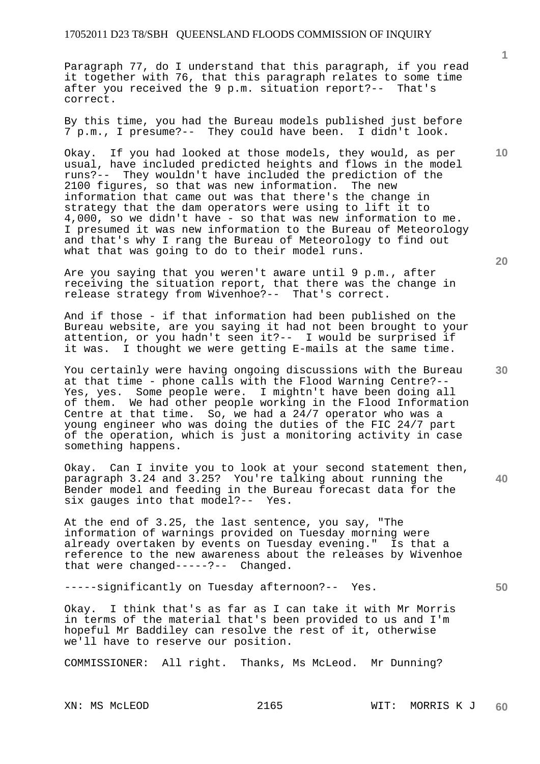Paragraph 77, do I understand that this paragraph, if you read it together with 76, that this paragraph relates to some time after you received the 9 p.m. situation report?-- That's correct.

By this time, you had the Bureau models published just before 7 p.m., I presume?-- They could have been. I didn't look.

Okay. If you had looked at those models, they would, as per usual, have included predicted heights and flows in the model runs?-- They wouldn't have included the prediction of the 2100 figures, so that was new information. The new information that came out was that there's the change in strategy that the dam operators were using to lift it to 4,000, so we didn't have - so that was new information to me. I presumed it was new information to the Bureau of Meteorology and that's why I rang the Bureau of Meteorology to find out what that was going to do to their model runs.

Are you saying that you weren't aware until 9 p.m., after receiving the situation report, that there was the change in release strategy from Wivenhoe?-- That's correct.

And if those - if that information had been published on the Bureau website, are you saying it had not been brought to your attention, or you hadn't seen it?-- I would be surprised if it was. I thought we were getting E-mails at the same time.

You certainly were having ongoing discussions with the Bureau at that time - phone calls with the Flood Warning Centre?-- Yes, yes. Some people were. I mightn't have been doing all of them. We had other people working in the Flood Information Centre at that time. So, we had a  $24/7$  operator who was a young engineer who was doing the duties of the FIC 24/7 part of the operation, which is just a monitoring activity in case something happens.

Okay. Can I invite you to look at your second statement then, paragraph 3.24 and 3.25? You're talking about running the Bender model and feeding in the Bureau forecast data for the six gauges into that model?-- Yes.

At the end of 3.25, the last sentence, you say, "The information of warnings provided on Tuesday morning were already overtaken by events on Tuesday evening." Is that a reference to the new awareness about the releases by Wivenhoe that were changed-----?-- Changed.

-----significantly on Tuesday afternoon?-- Yes.

Okay. I think that's as far as I can take it with Mr Morris in terms of the material that's been provided to us and I'm hopeful Mr Baddiley can resolve the rest of it, otherwise we'll have to reserve our position.

COMMISSIONER: All right. Thanks, Ms McLeod. Mr Dunning?

**10** 

**1**

**30** 

**20**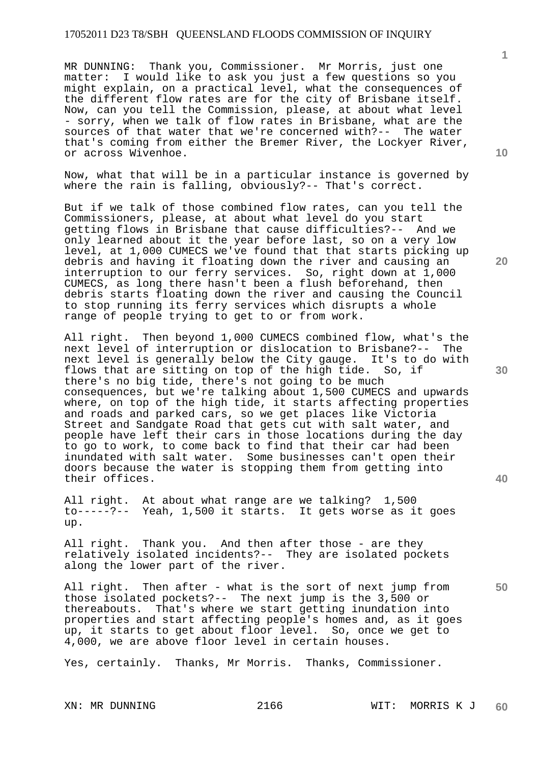MR DUNNING: Thank you, Commissioner. Mr Morris, just one matter: I would like to ask you just a few questions so you might explain, on a practical level, what the consequences of the different flow rates are for the city of Brisbane itself. Now, can you tell the Commission, please, at about what level - sorry, when we talk of flow rates in Brisbane, what are the sources of that water that we're concerned with?-- The water that's coming from either the Bremer River, the Lockyer River, or across Wivenhoe.

Now, what that will be in a particular instance is governed by where the rain is falling, obviously?-- That's correct.

But if we talk of those combined flow rates, can you tell the Commissioners, please, at about what level do you start getting flows in Brisbane that cause difficulties?-- And we only learned about it the year before last, so on a very low level, at 1,000 CUMECS we've found that that starts picking up debris and having it floating down the river and causing an interruption to our ferry services. So, right down at 1,000 CUMECS, as long there hasn't been a flush beforehand, then debris starts floating down the river and causing the Council to stop running its ferry services which disrupts a whole range of people trying to get to or from work.

All right. Then beyond 1,000 CUMECS combined flow, what's the next level of interruption or dislocation to Brisbane?-- The next level is generally below the City gauge. It's to do with flows that are sitting on top of the high tide. So, if there's no big tide, there's not going to be much consequences, but we're talking about 1,500 CUMECS and upwards where, on top of the high tide, it starts affecting properties and roads and parked cars, so we get places like Victoria Street and Sandgate Road that gets cut with salt water, and people have left their cars in those locations during the day to go to work, to come back to find that their car had been inundated with salt water. Some businesses can't open their doors because the water is stopping them from getting into their offices.

All right. At about what range are we talking? 1,500 to-----?-- Yeah, 1,500 it starts. It gets worse as it goes up.

All right. Thank you. And then after those - are they relatively isolated incidents?-- They are isolated pockets along the lower part of the river.

All right. Then after - what is the sort of next jump from those isolated pockets?-- The next jump is the 3,500 or thereabouts. That's where we start getting inundation into properties and start affecting people's homes and, as it goes up, it starts to get about floor level. So, once we get to 4,000, we are above floor level in certain houses.

Yes, certainly. Thanks, Mr Morris. Thanks, Commissioner.

**10** 

**20** 

**30** 

**1**

**40**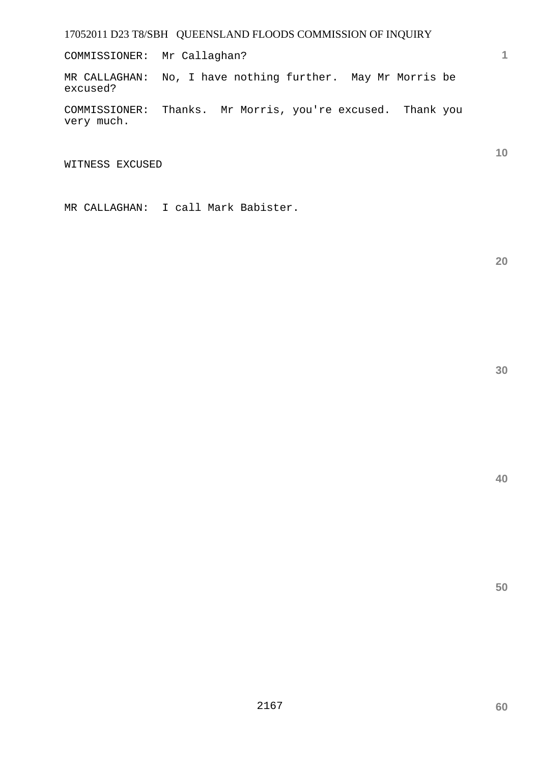COMMISSIONER: Mr Callaghan?

MR CALLAGHAN: No, I have nothing further. May Mr Morris be excused?

COMMISSIONER: Thanks. Mr Morris, you're excused. Thank you very much.

WITNESS EXCUSED

MR CALLAGHAN: I call Mark Babister.

**20** 

**10** 

**1**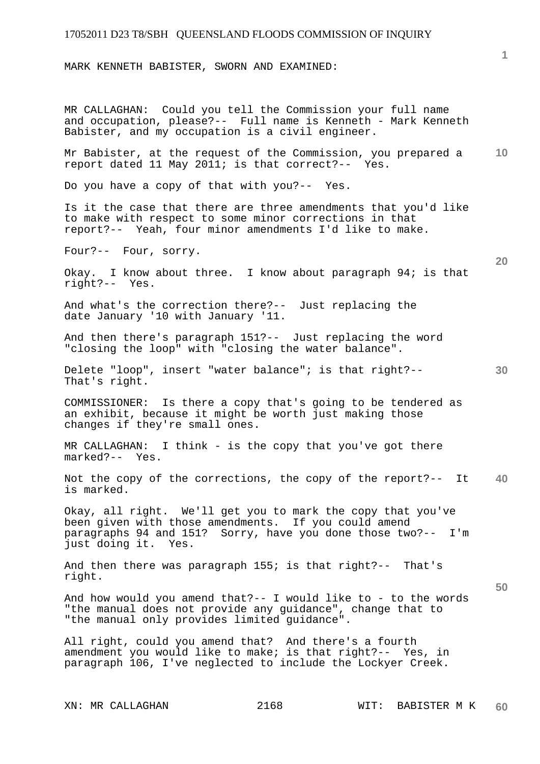MARK KENNETH BABISTER, SWORN AND EXAMINED:

**10 20 30 40 50**  MR CALLAGHAN: Could you tell the Commission your full name and occupation, please?-- Full name is Kenneth - Mark Kenneth Babister, and my occupation is a civil engineer. Mr Babister, at the request of the Commission, you prepared a report dated 11 May 2011; is that correct?-- Yes. Do you have a copy of that with you?-- Yes. Is it the case that there are three amendments that you'd like to make with respect to some minor corrections in that report?-- Yeah, four minor amendments I'd like to make. Four?-- Four, sorry. Okay. I know about three. I know about paragraph 94; is that right?-- Yes. And what's the correction there?-- Just replacing the date January '10 with January '11. And then there's paragraph 151?-- Just replacing the word "closing the loop" with "closing the water balance". Delete "loop", insert "water balance"; is that right?-- That's right. COMMISSIONER: Is there a copy that's going to be tendered as an exhibit, because it might be worth just making those changes if they're small ones. MR CALLAGHAN: I think - is the copy that you've got there marked?-- Yes. Not the copy of the corrections, the copy of the report?-- It is marked. Okay, all right. We'll get you to mark the copy that you've been given with those amendments. If you could amend paragraphs 94 and 151? Sorry, have you done those two?-- I'm just doing it. Yes. And then there was paragraph 155; is that right?-- That's right. And how would you amend that?-- I would like to - to the words "the manual does not provide any guidance", change that to "the manual only provides limited guidance". All right, could you amend that? And there's a fourth amendment you would like to make; is that right?-- Yes, in paragraph 106, I've neglected to include the Lockyer Creek.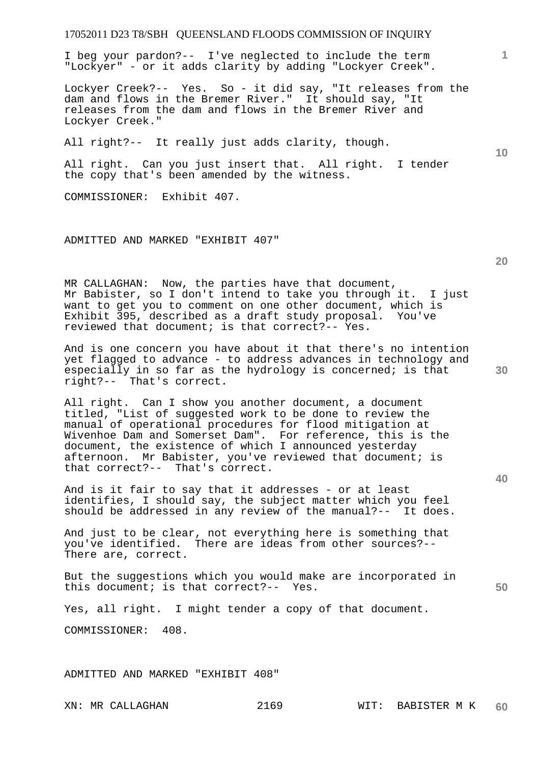I beg your pardon?-- I've neglected to include the term "Lockyer" - or it adds clarity by adding "Lockyer Creek".

Lockyer Creek?-- Yes. So - it did say, "It releases from the dam and flows in the Bremer River." It should say, "It releases from the dam and flows in the Bremer River and Lockyer Creek."

All right?-- It really just adds clarity, though.

All right. Can you just insert that. All right. I tender the copy that's been amended by the witness.

COMMISSIONER: Exhibit 407.

ADMITTED AND MARKED "EXHIBIT 407"

MR CALLAGHAN: Now, the parties have that document, Mr Babister, so I don't intend to take you through it. I just want to get you to comment on one other document, which is Exhibit 395, described as a draft study proposal. You've reviewed that document; is that correct?-- Yes.

And is one concern you have about it that there's no intention yet flagged to advance - to address advances in technology and especially in so far as the hydrology is concerned; is that right?-- That's correct.

All right. Can I show you another document, a document titled, "List of suggested work to be done to review the manual of operational procedures for flood mitigation at Wivenhoe Dam and Somerset Dam". For reference, this is the document, the existence of which I announced yesterday afternoon. Mr Babister, you've reviewed that document; is that correct?-- That's correct.

And is it fair to say that it addresses - or at least identifies, I should say, the subject matter which you feel should be addressed in any review of the manual?-- It does.

And just to be clear, not everything here is something that you've identified. There are ideas from other sources?-- There are, correct.

But the suggestions which you would make are incorporated in this document; is that correct?-- Yes.

Yes, all right. I might tender a copy of that document.

COMMISSIONER: 408.

ADMITTED AND MARKED "EXHIBIT 408"

**30** 

**20** 

**50** 

**10**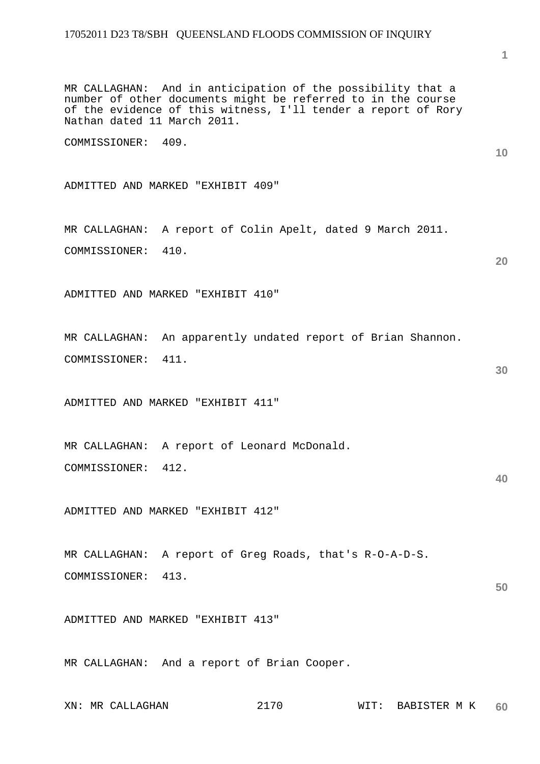MR CALLAGHAN: And in anticipation of the possibility that a number of other documents might be referred to in the course of the evidence of this witness, I'll tender a report of Rory Nathan dated 11 March 2011.

COMMISSIONER: 409.

ADMITTED AND MARKED "EXHIBIT 409"

MR CALLAGHAN: A report of Colin Apelt, dated 9 March 2011. COMMISSIONER: 410.

ADMITTED AND MARKED "EXHIBIT 410"

MR CALLAGHAN: An apparently undated report of Brian Shannon. COMMISSIONER: 411.

ADMITTED AND MARKED "EXHIBIT 411"

MR CALLAGHAN: A report of Leonard McDonald. COMMISSIONER: 412.

ADMITTED AND MARKED "EXHIBIT 412"

MR CALLAGHAN: A report of Greg Roads, that's R-O-A-D-S. COMMISSIONER: 413.

ADMITTED AND MARKED "EXHIBIT 413"

MR CALLAGHAN: And a report of Brian Cooper.

| $XN$ : | ΜR | CALLAGHAN | 71 U V<br>--<br>$\sim$ | ᇄᆍᅟᆖ<br>WI. | <b>BABISTER</b><br>TZ.<br>M<br>. . | 60 |
|--------|----|-----------|------------------------|-------------|------------------------------------|----|
|--------|----|-----------|------------------------|-------------|------------------------------------|----|

# **1**

**10** 

**20** 

**40**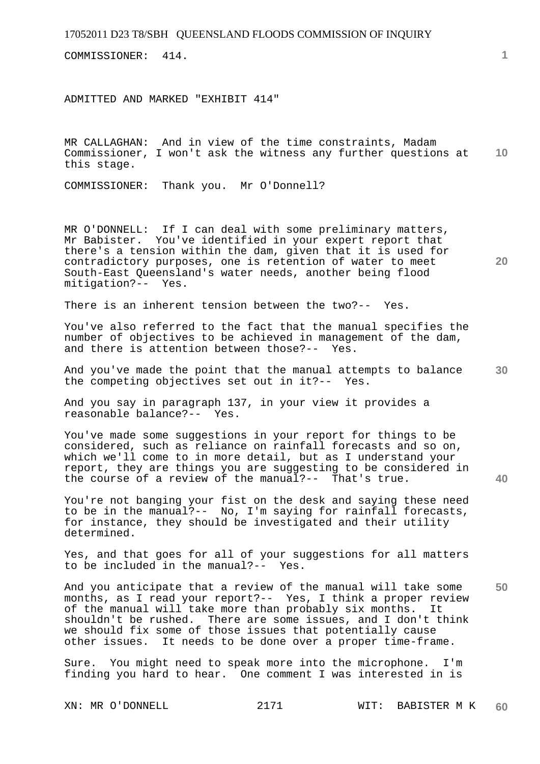COMMISSIONER: 414.

ADMITTED AND MARKED "EXHIBIT 414"

**10**  MR CALLAGHAN: And in view of the time constraints, Madam Commissioner, I won't ask the witness any further questions at this stage.

COMMISSIONER: Thank you. Mr O'Donnell?

MR O'DONNELL: If I can deal with some preliminary matters, Mr Babister. You've identified in your expert report that there's a tension within the dam, given that it is used for contradictory purposes, one is retention of water to meet South-East Queensland's water needs, another being flood mitigation?-- Yes.

There is an inherent tension between the two?-- Yes.

You've also referred to the fact that the manual specifies the number of objectives to be achieved in management of the dam, and there is attention between those?-- Yes.

**30**  And you've made the point that the manual attempts to balance the competing objectives set out in it?-- Yes.

And you say in paragraph 137, in your view it provides a reasonable balance?-- Yes.

You've made some suggestions in your report for things to be considered, such as reliance on rainfall forecasts and so on, which we'll come to in more detail, but as I understand your report, they are things you are suggesting to be considered in the course of a review of the manual?-- That's true.

You're not banging your fist on the desk and saying these need to be in the manual?-- No, I'm saying for rainfall forecasts, for instance, they should be investigated and their utility determined.

Yes, and that goes for all of your suggestions for all matters to be included in the manual?-- Yes.

And you anticipate that a review of the manual will take some months, as I read your report?-- Yes, I think a proper review of the manual will take more than probably six months. It shouldn't be rushed. There are some issues, and I don't think we should fix some of those issues that potentially cause other issues. It needs to be done over a proper time-frame.

Sure. You might need to speak more into the microphone. I'm finding you hard to hear. One comment I was interested in is

**1**

**20** 

**40**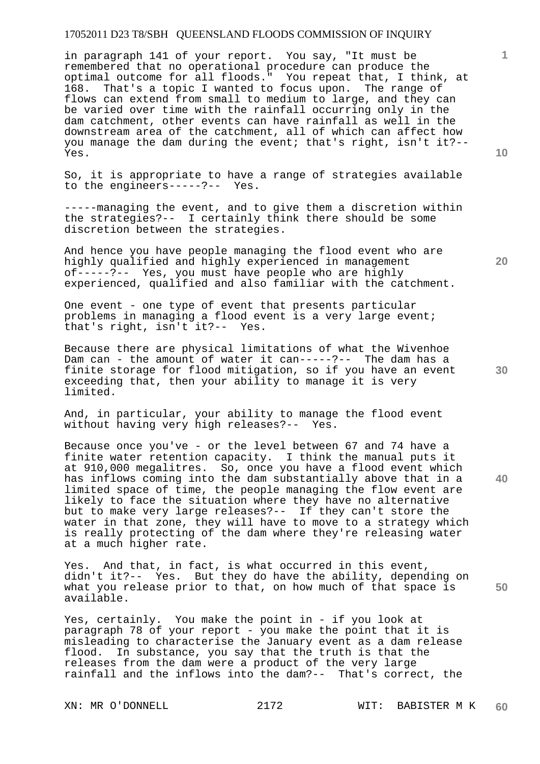in paragraph 141 of your report. You say, "It must be remembered that no operational procedure can produce the optimal outcome for all floods." You repeat that, I think, at 168. That's a topic I wanted to focus upon. The range of flows can extend from small to medium to large, and they can be varied over time with the rainfall occurring only in the dam catchment, other events can have rainfall as well in the downstream area of the catchment, all of which can affect how you manage the dam during the event; that's right, isn't it?-- Yes.

So, it is appropriate to have a range of strategies available to the engineers-----?-- Yes.

-----managing the event, and to give them a discretion within the strategies?-- I certainly think there should be some discretion between the strategies.

And hence you have people managing the flood event who are highly qualified and highly experienced in management of-----?-- Yes, you must have people who are highly experienced, qualified and also familiar with the catchment.

One event - one type of event that presents particular problems in managing a flood event is a very large event; that's right, isn't it?-- Yes.

Because there are physical limitations of what the Wivenhoe Dam can - the amount of water it can-----?-- The dam has a finite storage for flood mitigation, so if you have an event exceeding that, then your ability to manage it is very limited.

And, in particular, your ability to manage the flood event without having very high releases?-- Yes.

Because once you've - or the level between 67 and 74 have a finite water retention capacity. I think the manual puts it at 910,000 megalitres. So, once you have a flood event which has inflows coming into the dam substantially above that in a limited space of time, the people managing the flow event are likely to face the situation where they have no alternative but to make very large releases?-- If they can't store the water in that zone, they will have to move to a strategy which is really protecting of the dam where they're releasing water at a much higher rate.

Yes. And that, in fact, is what occurred in this event, didn't it?-- Yes. But they do have the ability, depending on what you release prior to that, on how much of that space is available.

Yes, certainly. You make the point in - if you look at paragraph 78 of your report - you make the point that it is misleading to characterise the January event as a dam release flood. In substance, you say that the truth is that the releases from the dam were a product of the very large rainfall and the inflows into the dam?-- That's correct, the

**10** 

**1**

**20** 

**30** 

**40**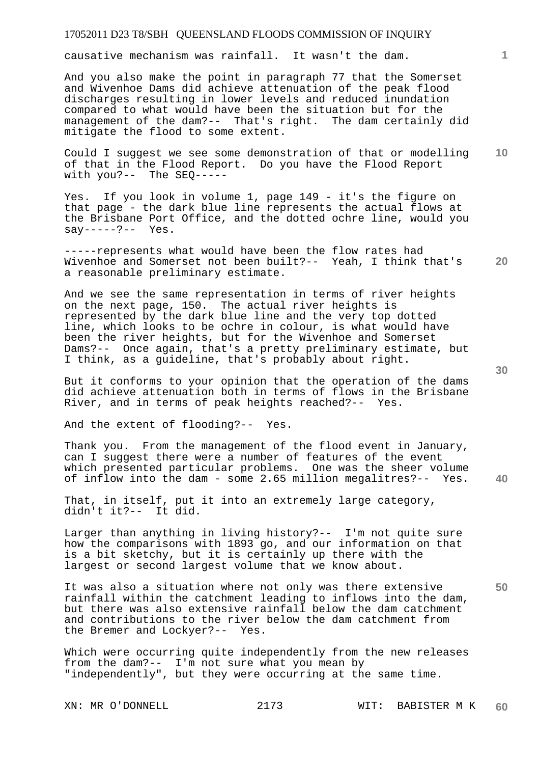causative mechanism was rainfall. It wasn't the dam.

And you also make the point in paragraph 77 that the Somerset and Wivenhoe Dams did achieve attenuation of the peak flood discharges resulting in lower levels and reduced inundation compared to what would have been the situation but for the management of the dam?-- That's right. The dam certainly did mitigate the flood to some extent.

**10**  Could I suggest we see some demonstration of that or modelling of that in the Flood Report. Do you have the Flood Report with you?-- The SEQ-----

Yes. If you look in volume 1, page 149 - it's the figure on that page - the dark blue line represents the actual flows at the Brisbane Port Office, and the dotted ochre line, would you say-----?-- Yes.

**20**  -----represents what would have been the flow rates had Wivenhoe and Somerset not been built?-- Yeah, I think that's a reasonable preliminary estimate.

And we see the same representation in terms of river heights on the next page, 150. The actual river heights is represented by the dark blue line and the very top dotted line, which looks to be ochre in colour, is what would have been the river heights, but for the Wivenhoe and Somerset Dams?-- Once again, that's a pretty preliminary estimate, but I think, as a guideline, that's probably about right.

But it conforms to your opinion that the operation of the dams did achieve attenuation both in terms of flows in the Brisbane River, and in terms of peak heights reached?-- Yes.

And the extent of flooding?-- Yes.

Thank you. From the management of the flood event in January, can I suggest there were a number of features of the event which presented particular problems. One was the sheer volume of inflow into the dam - some 2.65 million megalitres?-- Yes.

That, in itself, put it into an extremely large category, didn't it?-- It did.

Larger than anything in living history?-- I'm not quite sure how the comparisons with 1893 go, and our information on that is a bit sketchy, but it is certainly up there with the largest or second largest volume that we know about.

It was also a situation where not only was there extensive rainfall within the catchment leading to inflows into the dam, but there was also extensive rainfall below the dam catchment and contributions to the river below the dam catchment from the Bremer and Lockyer?-- Yes.

Which were occurring quite independently from the new releases from the dam?-- I'm not sure what you mean by "independently", but they were occurring at the same time.

XN: MR O'DONNELL 2173 WIT: BABISTER M K **60** 

**30** 

**40** 

**50**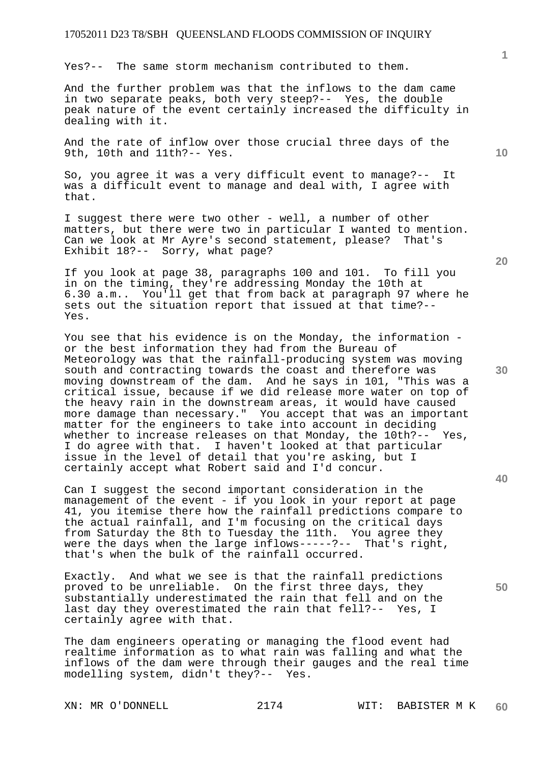Yes?-- The same storm mechanism contributed to them.

And the further problem was that the inflows to the dam came in two separate peaks, both very steep?-- Yes, the double peak nature of the event certainly increased the difficulty in dealing with it.

And the rate of inflow over those crucial three days of the 9th, 10th and 11th?-- Yes.

So, you agree it was a very difficult event to manage?-- It was a difficult event to manage and deal with, I agree with that.

I suggest there were two other - well, a number of other matters, but there were two in particular I wanted to mention. Can we look at Mr Ayre's second statement, please? That's Exhibit 18?-- Sorry, what page?

If you look at page 38, paragraphs 100 and 101. To fill you in on the timing, they're addressing Monday the 10th at 6.30 a.m.. You'll get that from back at paragraph 97 where he sets out the situation report that issued at that time?-- Yes.

You see that his evidence is on the Monday, the information or the best information they had from the Bureau of Meteorology was that the rainfall-producing system was moving south and contracting towards the coast and therefore was moving downstream of the dam. And he says in 101, "This was a critical issue, because if we did release more water on top of the heavy rain in the downstream areas, it would have caused more damage than necessary." You accept that was an important matter for the engineers to take into account in deciding whether to increase releases on that Monday, the 10th?-- Yes, I do agree with that. I haven't looked at that particular issue in the level of detail that you're asking, but I certainly accept what Robert said and I'd concur.

Can I suggest the second important consideration in the management of the event - if you look in your report at page 41, you itemise there how the rainfall predictions compare to the actual rainfall, and I'm focusing on the critical days from Saturday the 8th to Tuesday the 11th. You agree they were the days when the large inflows-----?-- That's right, that's when the bulk of the rainfall occurred.

Exactly. And what we see is that the rainfall predictions proved to be unreliable. On the first three days, they substantially underestimated the rain that fell and on the last day they overestimated the rain that fell?-- Yes, I certainly agree with that.

The dam engineers operating or managing the flood event had realtime information as to what rain was falling and what the inflows of the dam were through their gauges and the real time modelling system, didn't they?-- Yes.

**1**

**20** 

**30** 

**40**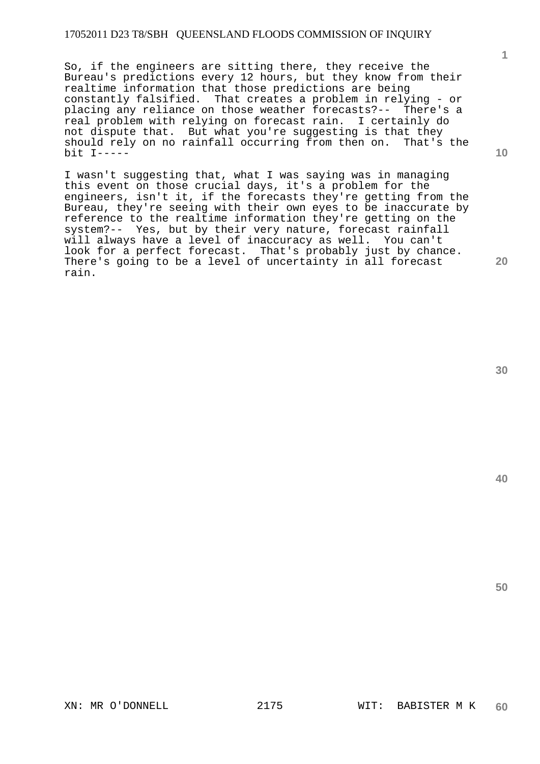So, if the engineers are sitting there, they receive the Bureau's predictions every 12 hours, but they know from their realtime information that those predictions are being constantly falsified. That creates a problem in relying - or placing any reliance on those weather forecasts?-- There's a real problem with relying on forecast rain. I certainly do not dispute that. But what you're suggesting is that they should rely on no rainfall occurring from then on. That's the bit I-----

I wasn't suggesting that, what I was saying was in managing this event on those crucial days, it's a problem for the engineers, isn't it, if the forecasts they're getting from the Bureau, they're seeing with their own eyes to be inaccurate by reference to the realtime information they're getting on the system?-- Yes, but by their very nature, forecast rainfall will always have a level of inaccuracy as well. You can't look for a perfect forecast. That's probably just by chance. There's going to be a level of uncertainty in all forecast rain.

**30** 

**50** 

**1**

**10**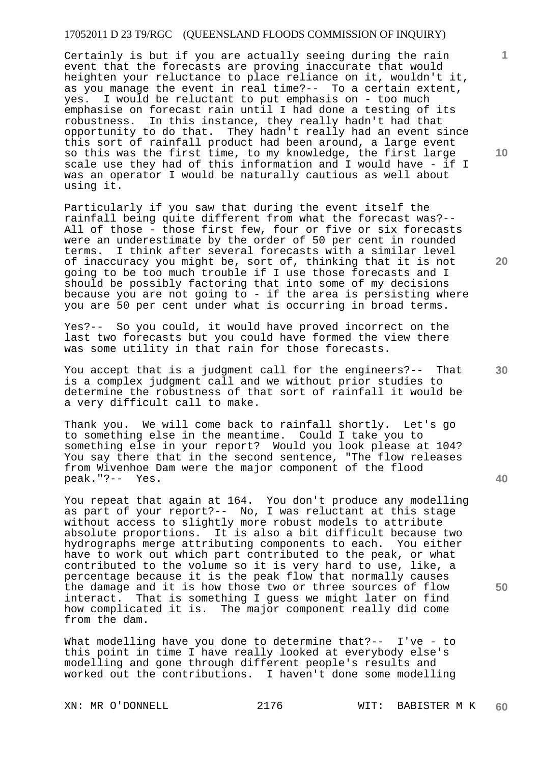Certainly is but if you are actually seeing during the rain event that the forecasts are proving inaccurate that would heighten your reluctance to place reliance on it, wouldn't it, as you manage the event in real time?-- To a certain extent, yes. I would be reluctant to put emphasis on - too much emphasise on forecast rain until I had done a testing of its robustness. In this instance, they really hadn't had that opportunity to do that. They hadn't really had an event since this sort of rainfall product had been around, a large event so this was the first time, to my knowledge, the first large scale use they had of this information and I would have - if I was an operator I would be naturally cautious as well about using it.

Particularly if you saw that during the event itself the rainfall being quite different from what the forecast was?-- All of those - those first few, four or five or six forecasts were an underestimate by the order of 50 per cent in rounded terms. I think after several forecasts with a similar level of inaccuracy you might be, sort of, thinking that it is not going to be too much trouble if I use those forecasts and I should be possibly factoring that into some of my decisions because you are not going to - if the area is persisting where you are 50 per cent under what is occurring in broad terms.

Yes?-- So you could, it would have proved incorrect on the last two forecasts but you could have formed the view there was some utility in that rain for those forecasts.

You accept that is a judgment call for the engineers?-- That is a complex judgment call and we without prior studies to determine the robustness of that sort of rainfall it would be a very difficult call to make.

Thank you. We will come back to rainfall shortly. Let's go to something else in the meantime. Could I take you to something else in your report? Would you look please at 104? You say there that in the second sentence, "The flow releases from Wivenhoe Dam were the major component of the flood peak."?-- Yes.

You repeat that again at 164. You don't produce any modelling as part of your report?-- No, I was reluctant at this stage without access to slightly more robust models to attribute absolute proportions. It is also a bit difficult because two hydrographs merge attributing components to each. You either have to work out which part contributed to the peak, or what contributed to the volume so it is very hard to use, like, a percentage because it is the peak flow that normally causes the damage and it is how those two or three sources of flow interact. That is something I guess we might later on find how complicated it is. The major component really did come from the dam.

What modelling have you done to determine that?-- I've - to this point in time I have really looked at everybody else's modelling and gone through different people's results and worked out the contributions. I haven't done some modelling

**10** 

**1**

**20** 

**40**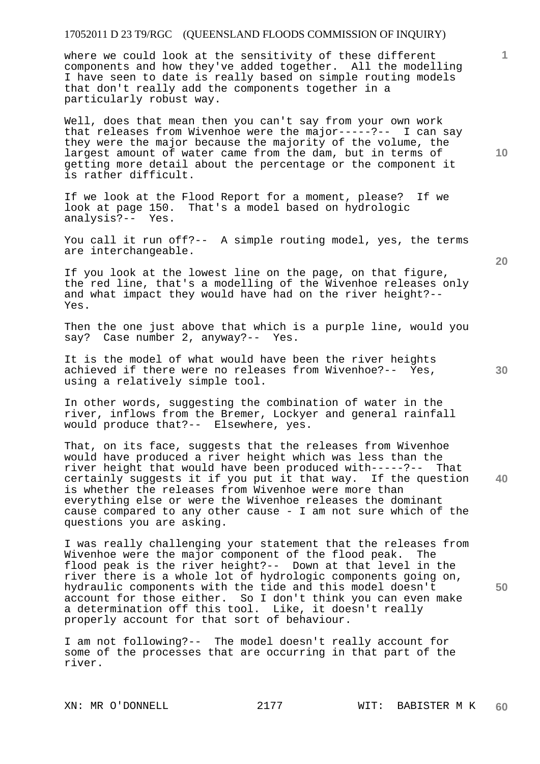where we could look at the sensitivity of these different components and how they've added together. All the modelling I have seen to date is really based on simple routing models that don't really add the components together in a particularly robust way.

Well, does that mean then you can't say from your own work that releases from Wivenhoe were the major-----?-- I can say they were the major because the majority of the volume, the largest amount of water came from the dam, but in terms of getting more detail about the percentage or the component it is rather difficult.

If we look at the Flood Report for a moment, please? If we look at page 150. That's a model based on hydrologic analysis?-- Yes.

You call it run off?-- A simple routing model, yes, the terms are interchangeable.

If you look at the lowest line on the page, on that figure, the red line, that's a modelling of the Wivenhoe releases only and what impact they would have had on the river height?-- Yes.

Then the one just above that which is a purple line, would you say? Case number 2, anyway?-- Yes.

It is the model of what would have been the river heights achieved if there were no releases from Wivenhoe?-- Yes, using a relatively simple tool.

In other words, suggesting the combination of water in the river, inflows from the Bremer, Lockyer and general rainfall would produce that?-- Elsewhere, yes.

**40**  That, on its face, suggests that the releases from Wivenhoe would have produced a river height which was less than the river height that would have been produced with-----?-- That certainly suggests it if you put it that way. If the question is whether the releases from Wivenhoe were more than everything else or were the Wivenhoe releases the dominant cause compared to any other cause - I am not sure which of the questions you are asking.

I was really challenging your statement that the releases from Wivenhoe were the major component of the flood peak. The flood peak is the river height?-- Down at that level in the river there is a whole lot of hydrologic components going on, hydraulic components with the tide and this model doesn't account for those either. So I don't think you can even make a determination off this tool. Like, it doesn't really properly account for that sort of behaviour.

I am not following?-- The model doesn't really account for some of the processes that are occurring in that part of the river.

**10** 

**1**

**30** 

**20**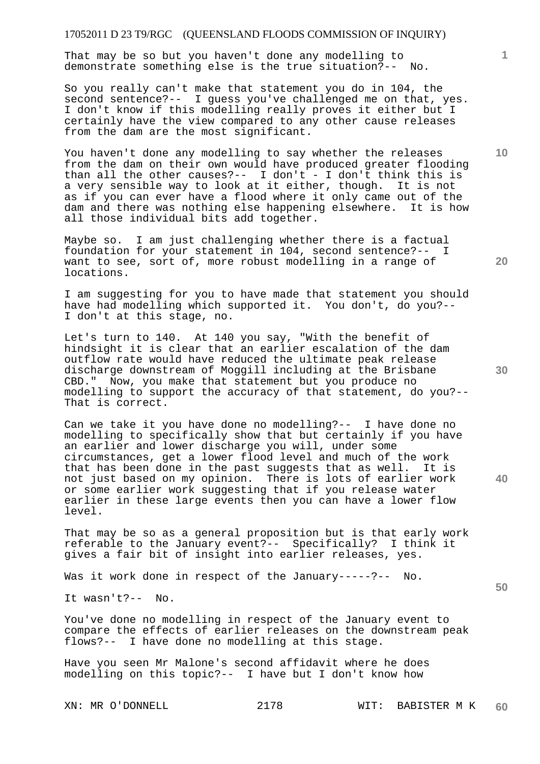That may be so but you haven't done any modelling to demonstrate something else is the true situation?-- No.

So you really can't make that statement you do in 104, the second sentence?-- I guess you've challenged me on that, yes. I don't know if this modelling really proves it either but I certainly have the view compared to any other cause releases from the dam are the most significant.

You haven't done any modelling to say whether the releases from the dam on their own would have produced greater flooding than all the other causes?-- I don't - I don't think this is a very sensible way to look at it either, though. It is not as if you can ever have a flood where it only came out of the dam and there was nothing else happening elsewhere. It is how all those individual bits add together.

Maybe so. I am just challenging whether there is a factual foundation for your statement in 104, second sentence?-- I want to see, sort of, more robust modelling in a range of locations.

I am suggesting for you to have made that statement you should have had modelling which supported it. You don't, do you?-- I don't at this stage, no.

Let's turn to 140. At 140 you say, "With the benefit of hindsight it is clear that an earlier escalation of the dam outflow rate would have reduced the ultimate peak release discharge downstream of Moggill including at the Brisbane CBD." Now, you make that statement but you produce no modelling to support the accuracy of that statement, do you?-- That is correct.

Can we take it you have done no modelling?-- I have done no modelling to specifically show that but certainly if you have an earlier and lower discharge you will, under some circumstances, get a lower flood level and much of the work that has been done in the past suggests that as well. It is not just based on my opinion. There is lots of earlier work or some earlier work suggesting that if you release water earlier in these large events then you can have a lower flow level.

That may be so as a general proposition but is that early work referable to the January event?-- Specifically? I think it gives a fair bit of insight into earlier releases, yes.

Was it work done in respect of the January-----?-- No.

It wasn't?-- No.

You've done no modelling in respect of the January event to compare the effects of earlier releases on the downstream peak flows?-- I have done no modelling at this stage.

Have you seen Mr Malone's second affidavit where he does modelling on this topic?-- I have but I don't know how

**30** 

**20** 

**10**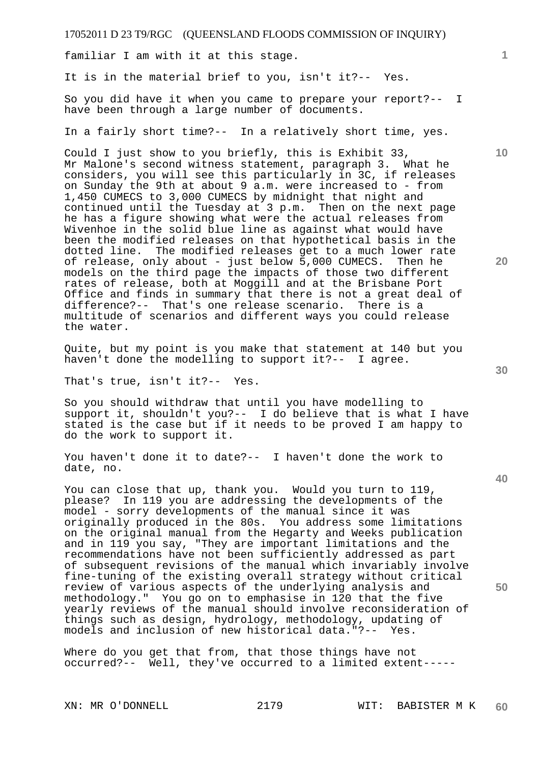familiar I am with it at this stage.

It is in the material brief to you, isn't it?-- Yes.

So you did have it when you came to prepare your report?-- I have been through a large number of documents.

In a fairly short time?-- In a relatively short time, yes.

Could I just show to you briefly, this is Exhibit 33, Mr Malone's second witness statement, paragraph 3. What he considers, you will see this particularly in 3C, if releases on Sunday the 9th at about 9 a.m. were increased to - from 1,450 CUMECS to 3,000 CUMECS by midnight that night and continued until the Tuesday at 3 p.m. Then on the next page he has a figure showing what were the actual releases from Wivenhoe in the solid blue line as against what would have been the modified releases on that hypothetical basis in the dotted line. The modified releases get to a much lower rate of release, only about - just below 5,000 CUMECS. Then he models on the third page the impacts of those two different rates of release, both at Moggill and at the Brisbane Port Office and finds in summary that there is not a great deal of difference?-- That's one release scenario. There is a multitude of scenarios and different ways you could release the water.

Quite, but my point is you make that statement at 140 but you haven't done the modelling to support it?-- I agree.

That's true, isn't it?-- Yes.

So you should withdraw that until you have modelling to support it, shouldn't you?-- I do believe that is what I have stated is the case but if it needs to be proved I am happy to do the work to support it.

You haven't done it to date?-- I haven't done the work to date, no.

You can close that up, thank you. Would you turn to 119, please? In 119 you are addressing the developments of the model - sorry developments of the manual since it was originally produced in the 80s. You address some limitations on the original manual from the Hegarty and Weeks publication and in 119 you say, "They are important limitations and the recommendations have not been sufficiently addressed as part of subsequent revisions of the manual which invariably involve fine-tuning of the existing overall strategy without critical review of various aspects of the underlying analysis and methodology." You go on to emphasise in 120 that the five yearly reviews of the manual should involve reconsideration of things such as design, hydrology, methodology, updating of models and inclusion of new historical data."?-- Yes.

Where do you get that from, that those things have not occurred?-- Well, they've occurred to a limited extent-----

**10** 

**1**

**20** 

**40**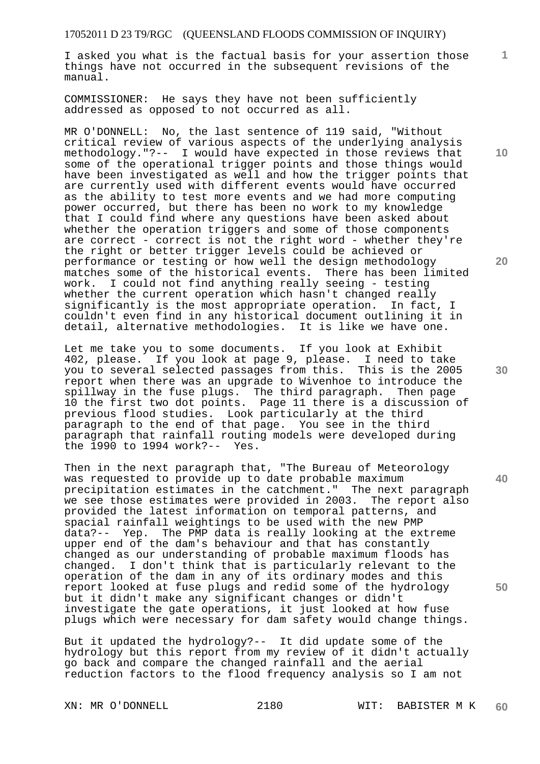I asked you what is the factual basis for your assertion those things have not occurred in the subsequent revisions of the manual.

COMMISSIONER: He says they have not been sufficiently addressed as opposed to not occurred as all.

MR O'DONNELL: No, the last sentence of 119 said, "Without critical review of various aspects of the underlying analysis methodology."?-- I would have expected in those reviews that some of the operational trigger points and those things would have been investigated as well and how the trigger points that are currently used with different events would have occurred as the ability to test more events and we had more computing power occurred, but there has been no work to my knowledge that I could find where any questions have been asked about whether the operation triggers and some of those components are correct - correct is not the right word - whether they're the right or better trigger levels could be achieved or performance or testing or how well the design methodology matches some of the historical events. There has been limited<br>work. I could not find anything really seeing - testing I could not find anything really seeing - testing whether the current operation which hasn't changed really significantly is the most appropriate operation. In fact, I couldn't even find in any historical document outlining it in detail, alternative methodologies. It is like we have one.

Let me take you to some documents. If you look at Exhibit 402, please. If you look at page 9, please. I need to take you to several selected passages from this. This is the 2005 report when there was an upgrade to Wivenhoe to introduce the spillway in the fuse plugs. The third paragraph. Then page 10 the first two dot points. Page 11 there is a discussion of previous flood studies. Look particularly at the third paragraph to the end of that page. You see in the third paragraph that rainfall routing models were developed during the 1990 to 1994 work?-- Yes.

Then in the next paragraph that, "The Bureau of Meteorology was requested to provide up to date probable maximum precipitation estimates in the catchment." The next paragraph we see those estimates were provided in 2003. The report also provided the latest information on temporal patterns, and spacial rainfall weightings to be used with the new PMP data?-- Yep. The PMP data is really looking at the extreme upper end of the dam's behaviour and that has constantly changed as our understanding of probable maximum floods has changed. I don't think that is particularly relevant to the operation of the dam in any of its ordinary modes and this report looked at fuse plugs and redid some of the hydrology but it didn't make any significant changes or didn't investigate the gate operations, it just looked at how fuse plugs which were necessary for dam safety would change things.

But it updated the hydrology?-- It did update some of the hydrology but this report from my review of it didn't actually go back and compare the changed rainfall and the aerial reduction factors to the flood frequency analysis so I am not

**10** 

**1**

**20** 

**30** 

**40**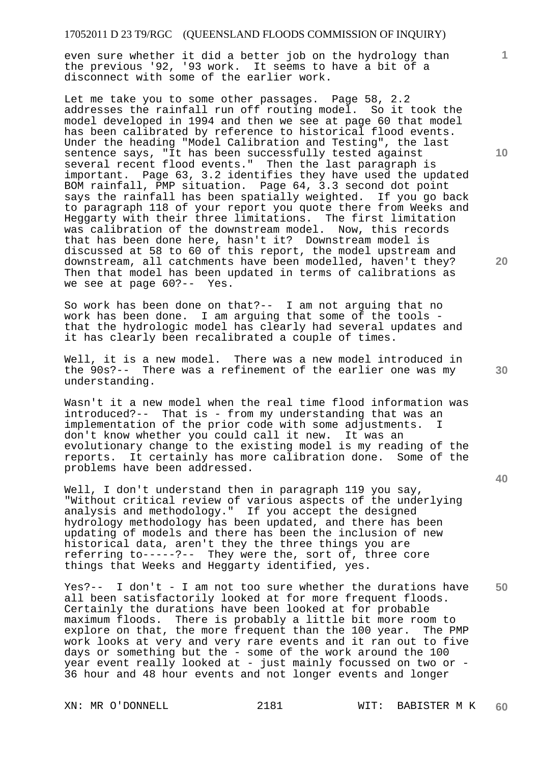even sure whether it did a better job on the hydrology than the previous '92, '93 work. It seems to have a bit of a disconnect with some of the earlier work.

Let me take you to some other passages. Page 58, 2.2 addresses the rainfall run off routing model. So it took the model developed in 1994 and then we see at page 60 that model has been calibrated by reference to historical flood events. Under the heading "Model Calibration and Testing", the last sentence says, "It has been successfully tested against several recent flood events." Then the last paragraph is important. Page 63, 3.2 identifies they have used the updated BOM rainfall, PMP situation. Page 64, 3.3 second dot point says the rainfall has been spatially weighted. If you go back to paragraph 118 of your report you quote there from Weeks and Heggarty with their three limitations. The first limitation was calibration of the downstream model. Now, this records that has been done here, hasn't it? Downstream model is discussed at 58 to 60 of this report, the model upstream and downstream, all catchments have been modelled, haven't they? Then that model has been updated in terms of calibrations as we see at page 60?-- Yes.

So work has been done on that?-- I am not arguing that no work has been done. I am arguing that some of the tools that the hydrologic model has clearly had several updates and it has clearly been recalibrated a couple of times.

Well, it is a new model. There was a new model introduced in the 90s?-- There was a refinement of the earlier one was my understanding.

Wasn't it a new model when the real time flood information was introduced?-- That is - from my understanding that was an implementation of the prior code with some adjustments. I don't know whether you could call it new. It was an evolutionary change to the existing model is my reading of the reports. It certainly has more calibration done. Some of the problems have been addressed.

Well, I don't understand then in paragraph 119 you say, "Without critical review of various aspects of the underlying analysis and methodology." If you accept the designed hydrology methodology has been updated, and there has been updating of models and there has been the inclusion of new historical data, aren't they the three things you are referring to-----?-- They were the, sort of, three core things that Weeks and Heggarty identified, yes.

**50**  Yes?-- I don't - I am not too sure whether the durations have all been satisfactorily looked at for more frequent floods. Certainly the durations have been looked at for probable maximum floods. There is probably a little bit more room to explore on that, the more frequent than the 100 year. The PMP work looks at very and very rare events and it ran out to five days or something but the - some of the work around the 100 year event really looked at - just mainly focussed on two or -36 hour and 48 hour events and not longer events and longer

**10** 

**1**

**20** 

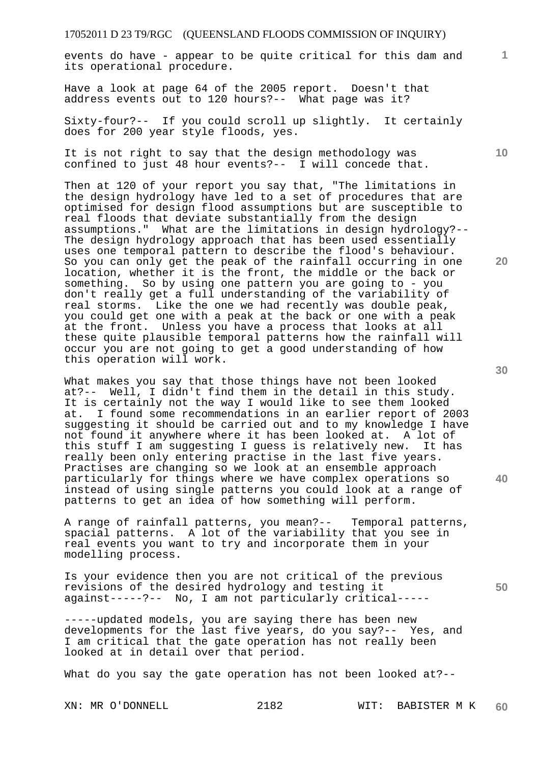events do have - appear to be quite critical for this dam and its operational procedure.

Have a look at page 64 of the 2005 report. Doesn't that address events out to 120 hours?-- What page was it?

Sixty-four?-- If you could scroll up slightly. It certainly does for 200 year style floods, yes.

It is not right to say that the design methodology was confined to just 48 hour events?-- I will concede that.

Then at 120 of your report you say that, "The limitations in the design hydrology have led to a set of procedures that are optimised for design flood assumptions but are susceptible to real floods that deviate substantially from the design assumptions." What are the limitations in design hydrology?-- The design hydrology approach that has been used essentially uses one temporal pattern to describe the flood's behaviour. So you can only get the peak of the rainfall occurring in one location, whether it is the front, the middle or the back or something. So by using one pattern you are going to - you don't really get a full understanding of the variability of real storms. Like the one we had recently was double peak, you could get one with a peak at the back or one with a peak at the front. Unless you have a process that looks at all these quite plausible temporal patterns how the rainfall will occur you are not going to get a good understanding of how this operation will work.

What makes you say that those things have not been looked at?-- Well, I didn't find them in the detail in this study. It is certainly not the way I would like to see them looked at. I found some recommendations in an earlier report of 2003 suggesting it should be carried out and to my knowledge I have not found it anywhere where it has been looked at. A lot of this stuff I am suggesting I guess is relatively new. It has really been only entering practise in the last five years. Practises are changing so we look at an ensemble approach particularly for things where we have complex operations so instead of using single patterns you could look at a range of patterns to get an idea of how something will perform.

A range of rainfall patterns, you mean?-- Temporal patterns, spacial patterns. A lot of the variability that you see in real events you want to try and incorporate them in your modelling process.

Is your evidence then you are not critical of the previous revisions of the desired hydrology and testing it against-----?-- No, I am not particularly critical-----

-----updated models, you are saying there has been new developments for the last five years, do you say?-- Yes, and I am critical that the gate operation has not really been looked at in detail over that period.

What do you say the gate operation has not been looked at?--

**1**

**10** 

**30** 

**40**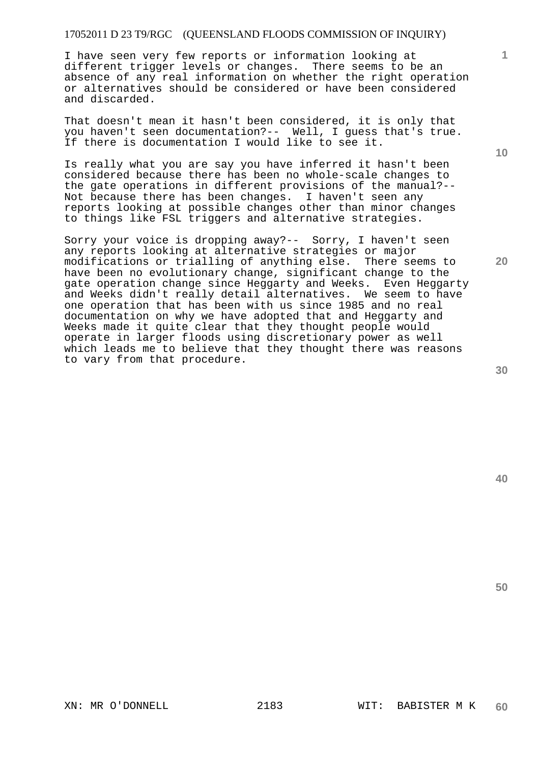I have seen very few reports or information looking at different trigger levels or changes. There seems to be an absence of any real information on whether the right operation or alternatives should be considered or have been considered and discarded.

That doesn't mean it hasn't been considered, it is only that you haven't seen documentation?-- Well, I guess that's true. If there is documentation I would like to see it.

Is really what you are say you have inferred it hasn't been considered because there has been no whole-scale changes to the gate operations in different provisions of the manual?-- Not because there has been changes. I haven't seen any reports looking at possible changes other than minor changes to things like FSL triggers and alternative strategies.

Sorry your voice is dropping away?-- Sorry, I haven't seen any reports looking at alternative strategies or major modifications or trialling of anything else. There seems to have been no evolutionary change, significant change to the gate operation change since Heggarty and Weeks. Even Heggarty and Weeks didn't really detail alternatives. We seem to have one operation that has been with us since 1985 and no real documentation on why we have adopted that and Heggarty and Weeks made it quite clear that they thought people would operate in larger floods using discretionary power as well which leads me to believe that they thought there was reasons to vary from that procedure.

**20** 

**40** 

**50** 

**1**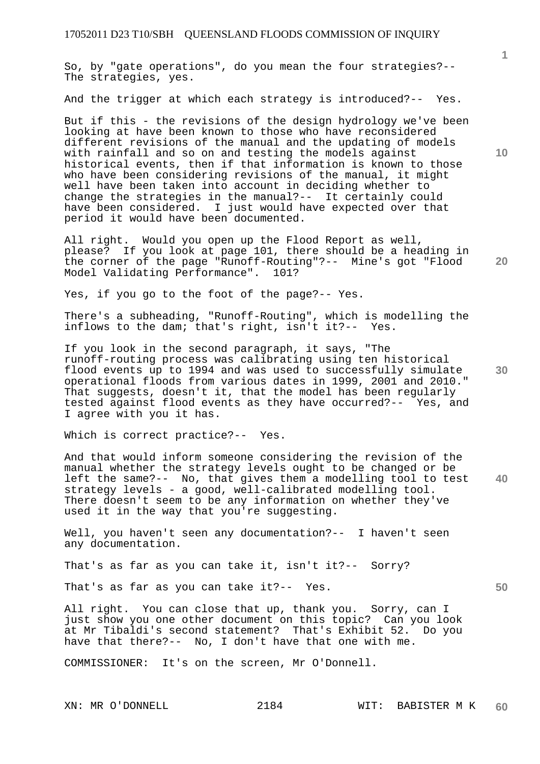So, by "gate operations", do you mean the four strategies?-- The strategies, yes.

And the trigger at which each strategy is introduced?-- Yes.

But if this - the revisions of the design hydrology we've been looking at have been known to those who have reconsidered different revisions of the manual and the updating of models with rainfall and so on and testing the models against historical events, then if that information is known to those who have been considering revisions of the manual, it might well have been taken into account in deciding whether to change the strategies in the manual?-- It certainly could have been considered. I just would have expected over that period it would have been documented.

All right. Would you open up the Flood Report as well, please? If you look at page 101, there should be a heading in the corner of the page "Runoff-Routing"?-- Mine's got "Flood Model Validating Performance". 101?

Yes, if you go to the foot of the page?-- Yes.

There's a subheading, "Runoff-Routing", which is modelling the inflows to the dam; that's right, isn't it?-- Yes.

If you look in the second paragraph, it says, "The runoff-routing process was calibrating using ten historical flood events up to 1994 and was used to successfully simulate operational floods from various dates in 1999, 2001 and 2010." That suggests, doesn't it, that the model has been regularly tested against flood events as they have occurred?-- Yes, and I agree with you it has.

Which is correct practice?-- Yes.

**40**  And that would inform someone considering the revision of the manual whether the strategy levels ought to be changed or be left the same?-- No, that gives them a modelling tool to test strategy levels - a good, well-calibrated modelling tool. There doesn't seem to be any information on whether they've used it in the way that you're suggesting.

Well, you haven't seen any documentation?-- I haven't seen any documentation.

That's as far as you can take it, isn't it?-- Sorry?

That's as far as you can take it?-- Yes.

All right. You can close that up, thank you. Sorry, can I just show you one other document on this topic? Can you look at Mr Tibaldi's second statement? That's Exhibit 52. Do you have that there?-- No, I don't have that one with me.

COMMISSIONER: It's on the screen, Mr O'Donnell.

**10** 

**1**

**30** 

**50**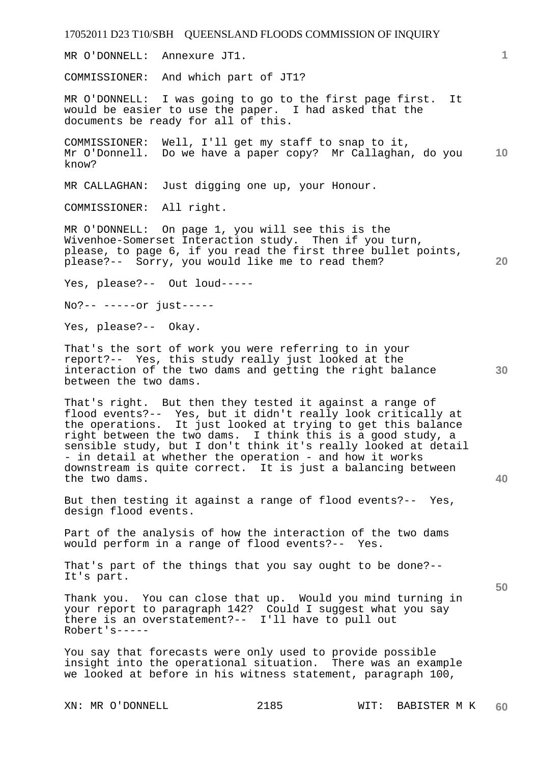**1 10 20 30 40 50**  MR O'DONNELL: Annexure JT1. COMMISSIONER: And which part of JT1? MR O'DONNELL: I was going to go to the first page first. It would be easier to use the paper. I had asked that the documents be ready for all of this. COMMISSIONER: Well, I'll get my staff to snap to it, Mr O'Donnell. Do we have a paper copy? Mr Callaghan, do you know? MR CALLAGHAN: Just digging one up, your Honour. COMMISSIONER: All right. MR O'DONNELL: On page 1, you will see this is the Wivenhoe-Somerset Interaction study. Then if you turn, please, to page 6, if you read the first three bullet points, please?-- Sorry, you would like me to read them? Yes, please?-- Out loud----- No?-- -----or just----- Yes, please?-- Okay. That's the sort of work you were referring to in your report?-- Yes, this study really just looked at the interaction of the two dams and getting the right balance between the two dams. That's right. But then they tested it against a range of flood events?-- Yes, but it didn't really look critically at the operations. It just looked at trying to get this balance right between the two dams. I think this is a good study, a sensible study, but I don't think it's really looked at detail - in detail at whether the operation - and how it works downstream is quite correct. It is just a balancing between the two dams. But then testing it against a range of flood events?-- Yes, design flood events. Part of the analysis of how the interaction of the two dams would perform in a range of flood events?-- Yes. That's part of the things that you say ought to be done?-- It's part. Thank you. You can close that up. Would you mind turning in your report to paragraph 142? Could I suggest what you say there is an overstatement?-- I'll have to pull out Robert's----- You say that forecasts were only used to provide possible insight into the operational situation. There was an example we looked at before in his witness statement, paragraph 100,

17052011 D23 T10/SBH QUEENSLAND FLOODS COMMISSION OF INQUIRY

XN: MR O'DONNELL 2185 WIT: BABISTER M K **60**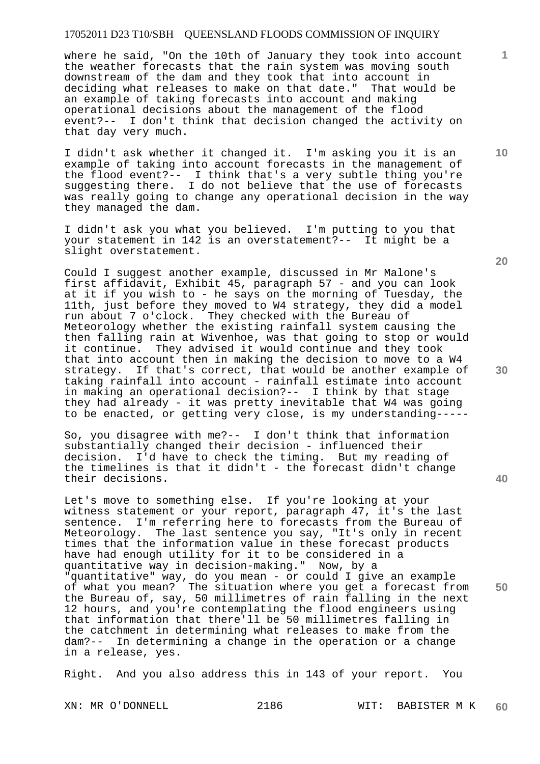where he said, "On the 10th of January they took into account the weather forecasts that the rain system was moving south downstream of the dam and they took that into account in deciding what releases to make on that date." That would be an example of taking forecasts into account and making operational decisions about the management of the flood event?-- I don't think that decision changed the activity on that day very much.

I didn't ask whether it changed it. I'm asking you it is an example of taking into account forecasts in the management of the flood event?-- I think that's a very subtle thing you're suggesting there. I do not believe that the use of forecasts was really going to change any operational decision in the way they managed the dam.

I didn't ask you what you believed. I'm putting to you that your statement in 142 is an overstatement?-- It might be a slight overstatement.

Could I suggest another example, discussed in Mr Malone's first affidavit, Exhibit 45, paragraph 57 - and you can look at it if you wish to - he says on the morning of Tuesday, the 11th, just before they moved to W4 strategy, they did a model run about 7 o'clock. They checked with the Bureau of Meteorology whether the existing rainfall system causing the then falling rain at Wivenhoe, was that going to stop or would it continue. They advised it would continue and they took that into account then in making the decision to move to a W4 strategy. If that's correct, that would be another example of taking rainfall into account - rainfall estimate into account in making an operational decision?-- I think by that stage they had already - it was pretty inevitable that W4 was going to be enacted, or getting very close, is my understanding-----

So, you disagree with me?-- I don't think that information substantially changed their decision - influenced their decision. I'd have to check the timing. But my reading of the timelines is that it didn't - the forecast didn't change their decisions.

Let's move to something else. If you're looking at your witness statement or your report, paragraph 47, it's the last sentence. I'm referring here to forecasts from the Bureau of Meteorology. The last sentence you say, "It's only in recent times that the information value in these forecast products have had enough utility for it to be considered in a quantitative way in decision-making." Now, by a "quantitative" way, do you mean - or could I give an example of what you mean? The situation where you get a forecast from the Bureau of, say, 50 millimetres of rain falling in the next 12 hours, and you're contemplating the flood engineers using that information that there'll be 50 millimetres falling in the catchment in determining what releases to make from the dam?-- In determining a change in the operation or a change in a release, yes.

Right. And you also address this in 143 of your report. You

**20** 

**10** 

**1**



**40**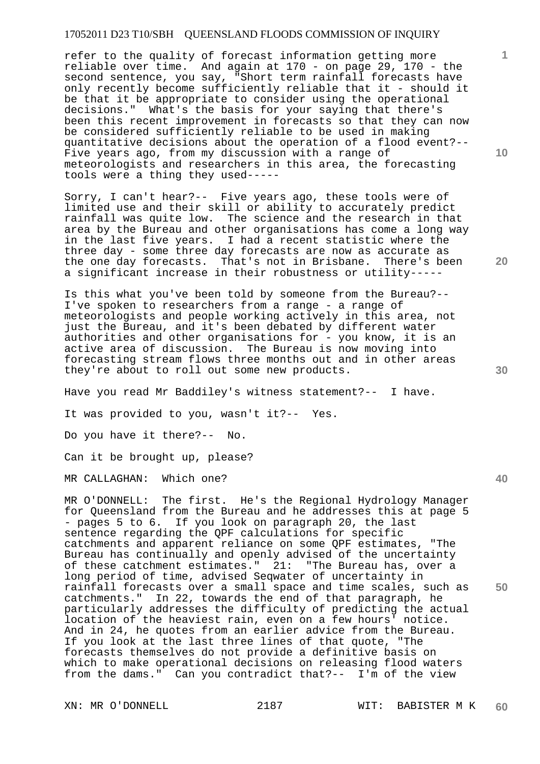refer to the quality of forecast information getting more reliable over time. And again at 170 - on page 29, 170 - the second sentence, you say, "Short term rainfall forecasts have only recently become sufficiently reliable that it - should it be that it be appropriate to consider using the operational decisions." What's the basis for your saying that there's been this recent improvement in forecasts so that they can now be considered sufficiently reliable to be used in making quantitative decisions about the operation of a flood event?-- Five years ago, from my discussion with a range of meteorologists and researchers in this area, the forecasting tools were a thing they used-----

Sorry, I can't hear?-- Five years ago, these tools were of limited use and their skill or ability to accurately predict rainfall was quite low. The science and the research in that area by the Bureau and other organisations has come a long way in the last five years. I had a recent statistic where the three day - some three day forecasts are now as accurate as the one day forecasts. That's not in Brisbane. There's been a significant increase in their robustness or utility-----

Is this what you've been told by someone from the Bureau?-- I've spoken to researchers from a range - a range of meteorologists and people working actively in this area, not just the Bureau, and it's been debated by different water authorities and other organisations for - you know, it is an active area of discussion. The Bureau is now moving into forecasting stream flows three months out and in other areas they're about to roll out some new products.

Have you read Mr Baddiley's witness statement?-- I have.

It was provided to you, wasn't it?-- Yes.

Do you have it there?-- No.

Can it be brought up, please?

MR CALLAGHAN: Which one?

MR O'DONNELL: The first. He's the Regional Hydrology Manager for Queensland from the Bureau and he addresses this at page 5 - pages 5 to 6. If you look on paragraph 20, the last sentence regarding the QPF calculations for specific catchments and apparent reliance on some QPF estimates, "The Bureau has continually and openly advised of the uncertainty of these catchment estimates." 21: "The Bureau has, over a long period of time, advised Seqwater of uncertainty in rainfall forecasts over a small space and time scales, such as catchments." In 22, towards the end of that paragraph, he particularly addresses the difficulty of predicting the actual location of the heaviest rain, even on a few hours' notice. And in 24, he quotes from an earlier advice from the Bureau. If you look at the last three lines of that quote, "The forecasts themselves do not provide a definitive basis on which to make operational decisions on releasing flood waters from the dams." Can you contradict that?-- I'm of the view

**10** 

**1**

**20** 

**40**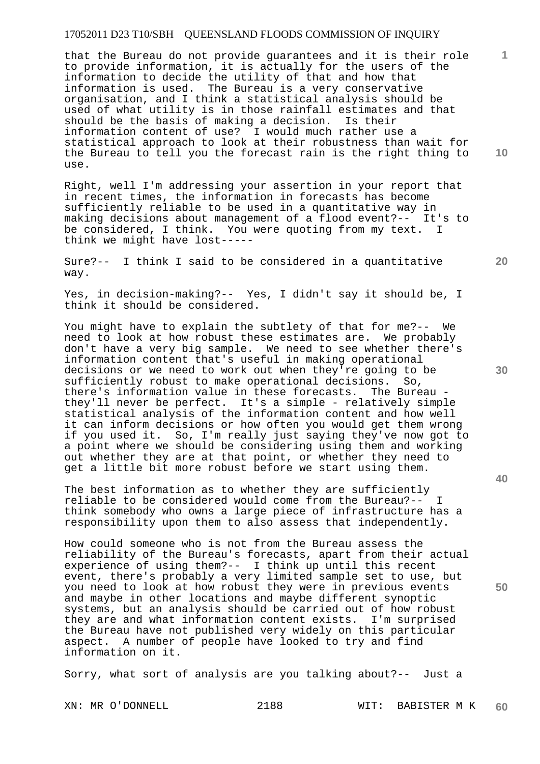that the Bureau do not provide guarantees and it is their role to provide information, it is actually for the users of the information to decide the utility of that and how that information is used. The Bureau is a very conservative organisation, and I think a statistical analysis should be used of what utility is in those rainfall estimates and that should be the basis of making a decision. Is their information content of use? I would much rather use a statistical approach to look at their robustness than wait for the Bureau to tell you the forecast rain is the right thing to use.

Right, well I'm addressing your assertion in your report that in recent times, the information in forecasts has become sufficiently reliable to be used in a quantitative way in making decisions about management of a flood event?-- It's to be considered, I think. You were quoting from my text. I think we might have lost-----

Sure?-- I think I said to be considered in a quantitative way.

Yes, in decision-making?-- Yes, I didn't say it should be, I think it should be considered.

You might have to explain the subtlety of that for me?-- We need to look at how robust these estimates are. We probably don't have a very big sample. We need to see whether there's information content that's useful in making operational decisions or we need to work out when they're going to be sufficiently robust to make operational decisions. So, there's information value in these forecasts. The Bureau they'll never be perfect. It's a simple - relatively simple statistical analysis of the information content and how well it can inform decisions or how often you would get them wrong if you used it. So, I'm really just saying they've now got to a point where we should be considering using them and working out whether they are at that point, or whether they need to get a little bit more robust before we start using them.

The best information as to whether they are sufficiently reliable to be considered would come from the Bureau?-- I think somebody who owns a large piece of infrastructure has a responsibility upon them to also assess that independently.

How could someone who is not from the Bureau assess the reliability of the Bureau's forecasts, apart from their actual experience of using them?-- I think up until this recent event, there's probably a very limited sample set to use, but you need to look at how robust they were in previous events and maybe in other locations and maybe different synoptic systems, but an analysis should be carried out of how robust they are and what information content exists. I'm surprised the Bureau have not published very widely on this particular aspect. A number of people have looked to try and find information on it.

Sorry, what sort of analysis are you talking about?-- Just a

**30** 

**20** 

**40** 

**50** 

**10**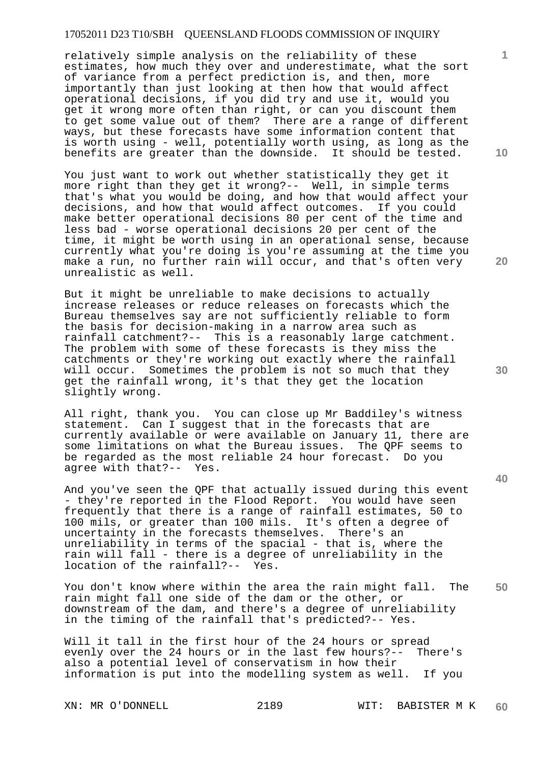relatively simple analysis on the reliability of these estimates, how much they over and underestimate, what the sort of variance from a perfect prediction is, and then, more importantly than just looking at then how that would affect operational decisions, if you did try and use it, would you get it wrong more often than right, or can you discount them to get some value out of them? There are a range of different ways, but these forecasts have some information content that is worth using - well, potentially worth using, as long as the benefits are greater than the downside. It should be tested.

You just want to work out whether statistically they get it more right than they get it wrong?-- Well, in simple terms that's what you would be doing, and how that would affect your decisions, and how that would affect outcomes. If you could make better operational decisions 80 per cent of the time and less bad - worse operational decisions 20 per cent of the time, it might be worth using in an operational sense, because currently what you're doing is you're assuming at the time you make a run, no further rain will occur, and that's often very unrealistic as well.

But it might be unreliable to make decisions to actually increase releases or reduce releases on forecasts which the Bureau themselves say are not sufficiently reliable to form the basis for decision-making in a narrow area such as rainfall catchment?-- This is a reasonably large catchment. The problem with some of these forecasts is they miss the catchments or they're working out exactly where the rainfall will occur. Sometimes the problem is not so much that they get the rainfall wrong, it's that they get the location slightly wrong.

All right, thank you. You can close up Mr Baddiley's witness statement. Can I suggest that in the forecasts that are currently available or were available on January 11, there are some limitations on what the Bureau issues. The QPF seems to be regarded as the most reliable 24 hour forecast. Do you agree with that?-- Yes.

And you've seen the QPF that actually issued during this event - they're reported in the Flood Report. You would have seen frequently that there is a range of rainfall estimates, 50 to 100 mils, or greater than 100 mils. It's often a degree of uncertainty in the forecasts themselves. There's an unreliability in terms of the spacial - that is, where the rain will fall - there is a degree of unreliability in the location of the rainfall?-- Yes. location of the rainfall?--

**50**  You don't know where within the area the rain might fall. The rain might fall one side of the dam or the other, or downstream of the dam, and there's a degree of unreliability in the timing of the rainfall that's predicted?-- Yes.

Will it tall in the first hour of the 24 hours or spread evenly over the 24 hours or in the last few hours?-- There's also a potential level of conservatism in how their information is put into the modelling system as well. If you

**10** 

**1**

**20**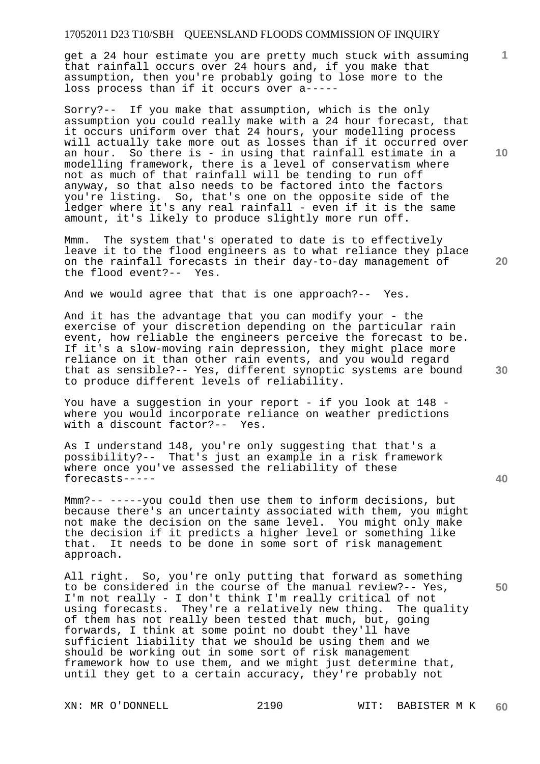get a 24 hour estimate you are pretty much stuck with assuming that rainfall occurs over 24 hours and, if you make that assumption, then you're probably going to lose more to the loss process than if it occurs over a-----

Sorry?-- If you make that assumption, which is the only assumption you could really make with a 24 hour forecast, that it occurs uniform over that 24 hours, your modelling process will actually take more out as losses than if it occurred over an hour. So there is - in using that rainfall estimate in a modelling framework, there is a level of conservatism where not as much of that rainfall will be tending to run off anyway, so that also needs to be factored into the factors you're listing. So, that's one on the opposite side of the ledger where it's any real rainfall - even if it is the same amount, it's likely to produce slightly more run off.

Mmm. The system that's operated to date is to effectively leave it to the flood engineers as to what reliance they place on the rainfall forecasts in their day-to-day management of the flood event?-- Yes.

And we would agree that that is one approach?-- Yes.

And it has the advantage that you can modify your - the exercise of your discretion depending on the particular rain event, how reliable the engineers perceive the forecast to be. If it's a slow-moving rain depression, they might place more reliance on it than other rain events, and you would regard that as sensible?-- Yes, different synoptic systems are bound to produce different levels of reliability.

You have a suggestion in your report - if you look at 148 where you would incorporate reliance on weather predictions with a discount factor?-- Yes.

As I understand 148, you're only suggesting that that's a possibility?-- That's just an example in a risk framework where once you've assessed the reliability of these forecasts-----

Mmm?-- -----you could then use them to inform decisions, but because there's an uncertainty associated with them, you might not make the decision on the same level. You might only make the decision if it predicts a higher level or something like that. It needs to be done in some sort of risk management approach.

All right. So, you're only putting that forward as something to be considered in the course of the manual review?-- Yes, I'm not really - I don't think I'm really critical of not using forecasts. They're a relatively new thing. The quality of them has not really been tested that much, but, going forwards, I think at some point no doubt they'll have sufficient liability that we should be using them and we should be working out in some sort of risk management framework how to use them, and we might just determine that, until they get to a certain accuracy, they're probably not

**10** 

**1**

**20** 

**30** 

**40**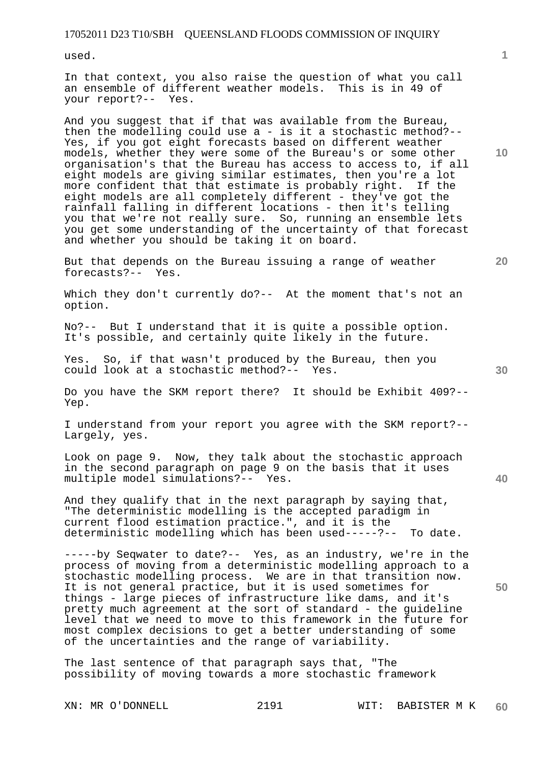used.

In that context, you also raise the question of what you call an ensemble of different weather models. This is in 49 of your report?-- Yes.

And you suggest that if that was available from the Bureau, then the modelling could use a - is it a stochastic method?-- Yes, if you got eight forecasts based on different weather models, whether they were some of the Bureau's or some other organisation's that the Bureau has access to access to, if all eight models are giving similar estimates, then you're a lot more confident that that estimate is probably right. If the eight models are all completely different - they've got the rainfall falling in different locations - then it's telling you that we're not really sure. So, running an ensemble lets you get some understanding of the uncertainty of that forecast and whether you should be taking it on board.

But that depends on the Bureau issuing a range of weather forecasts?-- Yes.

Which they don't currently do?-- At the moment that's not an option.

No?-- But I understand that it is quite a possible option. It's possible, and certainly quite likely in the future.

Yes. So, if that wasn't produced by the Bureau, then you could look at a stochastic method?-- Yes.

Do you have the SKM report there? It should be Exhibit 409?-- Yep.

I understand from your report you agree with the SKM report?-- Largely, yes.

Look on page 9. Now, they talk about the stochastic approach in the second paragraph on page 9 on the basis that it uses multiple model simulations?-- Yes.

And they qualify that in the next paragraph by saying that, "The deterministic modelling is the accepted paradigm in current flood estimation practice.", and it is the deterministic modelling which has been used-----?-- To date.

-----by Seqwater to date?-- Yes, as an industry, we're in the process of moving from a deterministic modelling approach to a stochastic modelling process. We are in that transition now. It is not general practice, but it is used sometimes for things - large pieces of infrastructure like dams, and it's pretty much agreement at the sort of standard - the guideline level that we need to move to this framework in the future for most complex decisions to get a better understanding of some of the uncertainties and the range of variability.

The last sentence of that paragraph says that, "The possibility of moving towards a more stochastic framework

**10** 

**1**

**50**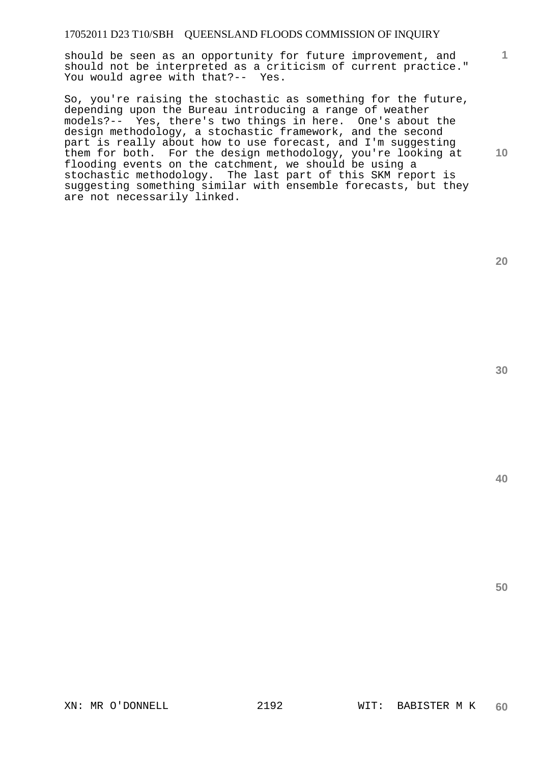should be seen as an opportunity for future improvement, and should not be interpreted as a criticism of current practice." You would agree with that?-- Yes.

So, you're raising the stochastic as something for the future, depending upon the Bureau introducing a range of weather models?-- Yes, there's two things in here. One's about the design methodology, a stochastic framework, and the second part is really about how to use forecast, and I'm suggesting them for both. For the design methodology, you're looking at flooding events on the catchment, we should be using a stochastic methodology. The last part of this SKM report is suggesting something similar with ensemble forecasts, but they are not necessarily linked.

**20** 

**1**

**10** 

**40**